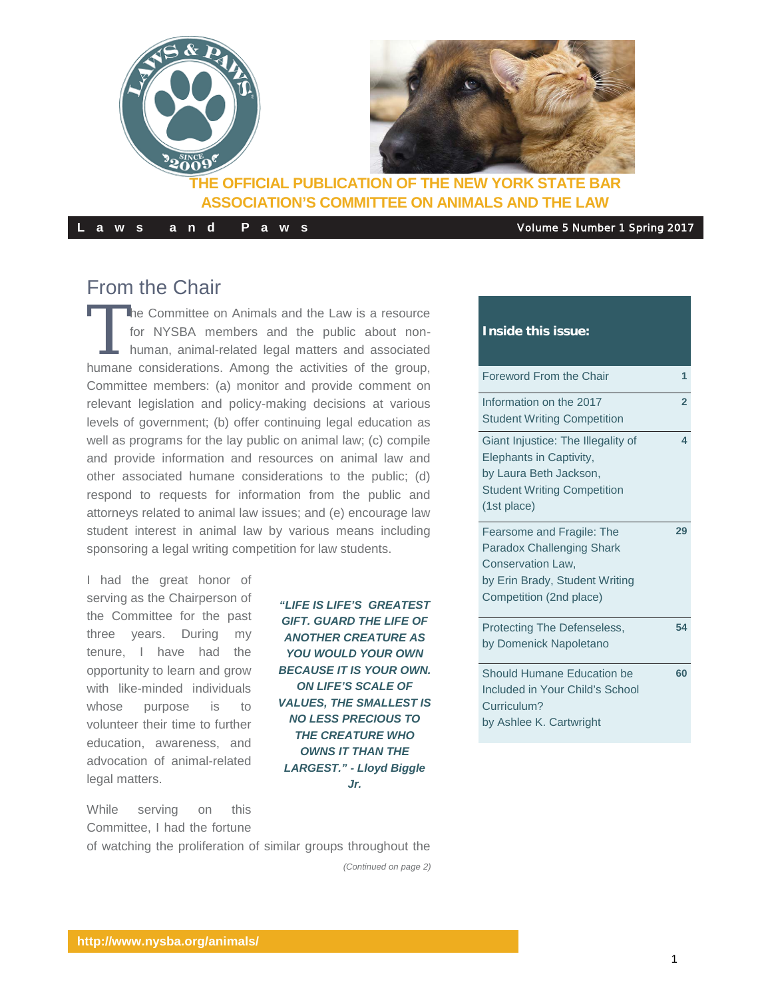

**Laws and Paws** Volume 5 Number 1 Spring 2017

## From the Chair

The Committee on Animals and the Law is a resource<br>for NYSBA members and the public about non-<br>human, animal-related legal matters and associated<br>humane considerations. Among the estimities of the stress for NYSBA members and the public about nonhuman, animal-related legal matters and associated humane considerations. Among the activities of the group, Committee members: (a) monitor and provide comment on relevant legislation and policy-making decisions at various levels of government; (b) offer continuing legal education as well as programs for the lay public on animal law; (c) compile and provide information and resources on animal law and other associated humane considerations to the public; (d) respond to requests for information from the public and attorneys related to animal law issues; and (e) encourage law student interest in animal law by various means including sponsoring a legal writing competition for law students.

I had the great honor of serving as the Chairperson of the Committee for the past three years. During my tenure, I have had the opportunity to learn and grow with like-minded individuals whose purpose is to volunteer their time to further education, awareness, and advocation of animal-related legal matters.

While serving on this Committee, I had the fortune

*"LIFE IS LIFE'S GREATEST GIFT. GUARD THE LIFE OF ANOTHER CREATURE AS YOU WOULD YOUR OWN BECAUSE IT IS YOUR OWN. ON LIFE'S SCALE OF VALUES, THE SMALLEST IS NO LESS PRECIOUS TO THE CREATURE WHO OWNS IT THAN THE LARGEST." - Lloyd Biggle Jr.* 

#### **Inside this issue:**

| Foreword From the Chair            | 1              |
|------------------------------------|----------------|
| Information on the 2017            | $\overline{2}$ |
| <b>Student Writing Competition</b> |                |
| Giant Injustice: The Illegality of | 4              |
| Elephants in Captivity,            |                |
| by Laura Beth Jackson,             |                |
| <b>Student Writing Competition</b> |                |
| (1st place)                        |                |
| Fearsome and Fragile: The          | 29             |
| <b>Paradox Challenging Shark</b>   |                |
| Conservation Law,                  |                |
| by Erin Brady, Student Writing     |                |
| Competition (2nd place)            |                |
| Protecting The Defenseless,        | 54             |
| by Domenick Napoletano             |                |
| Should Humane Education be         | 60             |
| Included in Your Child's School    |                |
| Curriculum?                        |                |
| by Ashlee K. Cartwright            |                |
|                                    |                |

of watching the proliferation of similar groups throughout the

*(Continued on page 2)*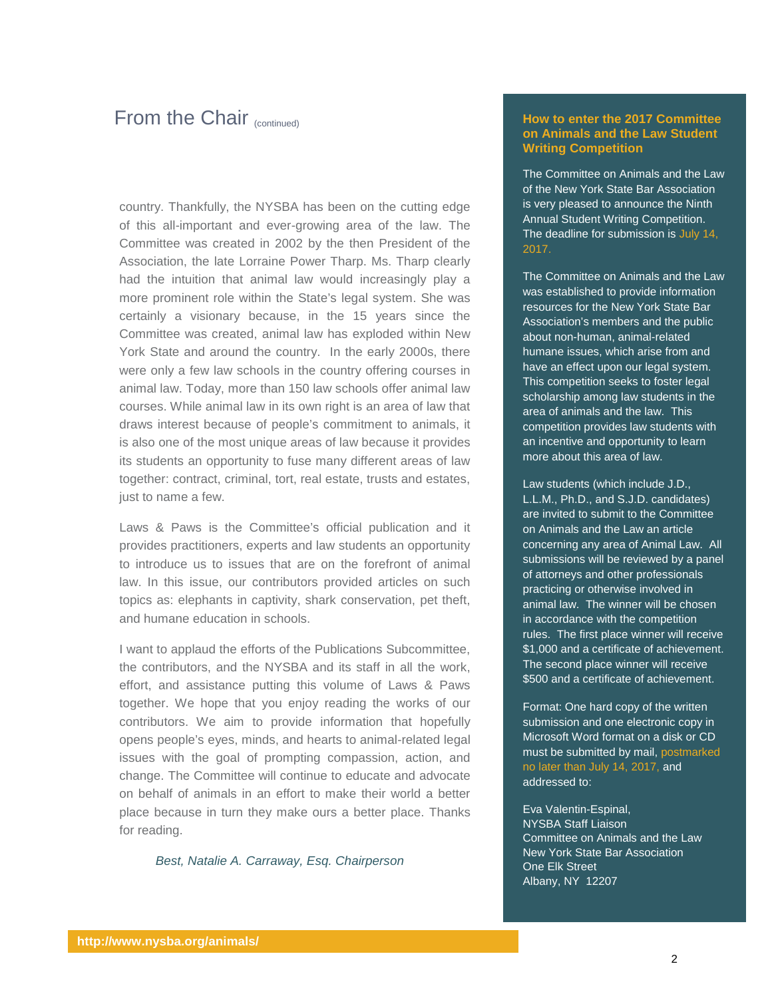## From the Chair (continued)

country. Thankfully, the NYSBA has been on the cutting edge of this all-important and ever-growing area of the law. The Committee was created in 2002 by the then President of the Association, the late Lorraine Power Tharp. Ms. Tharp clearly had the intuition that animal law would increasingly play a more prominent role within the State's legal system. She was certainly a visionary because, in the 15 years since the Committee was created, animal law has exploded within New York State and around the country. In the early 2000s, there were only a few law schools in the country offering courses in animal law. Today, more than 150 law schools offer animal law courses. While animal law in its own right is an area of law that draws interest because of people's commitment to animals, it is also one of the most unique areas of law because it provides its students an opportunity to fuse many different areas of law together: contract, criminal, tort, real estate, trusts and estates, just to name a few.

Laws & Paws is the Committee's official publication and it provides practitioners, experts and law students an opportunity to introduce us to issues that are on the forefront of animal law. In this issue, our contributors provided articles on such topics as: elephants in captivity, shark conservation, pet theft, and humane education in schools.

I want to applaud the efforts of the Publications Subcommittee, the contributors, and the NYSBA and its staff in all the work, effort, and assistance putting this volume of Laws & Paws together. We hope that you enjoy reading the works of our contributors. We aim to provide information that hopefully opens people's eyes, minds, and hearts to animal-related legal issues with the goal of prompting compassion, action, and change. The Committee will continue to educate and advocate on behalf of animals in an effort to make their world a better place because in turn they make ours a better place. Thanks for reading.

*Best, Natalie A. Carraway, Esq. Chairperson*

#### **How to enter the 2017 Committee on Animals and the Law Student Writing Competition**

The Committee on Animals and the Law of the New York State Bar Association is very pleased to announce the Ninth Annual Student Writing Competition. The deadline for submission is July 14, 2017.

The Committee on Animals and the Law was established to provide information resources for the New York State Bar Association's members and the public about non-human, animal-related humane issues, which arise from and have an effect upon our legal system. This competition seeks to foster legal scholarship among law students in the area of animals and the law. This competition provides law students with an incentive and opportunity to learn more about this area of law.

Law students (which include J.D., L.L.M., Ph.D., and S.J.D. candidates) are invited to submit to the Committee on Animals and the Law an article concerning any area of Animal Law. All submissions will be reviewed by a panel of attorneys and other professionals practicing or otherwise involved in animal law. The winner will be chosen in accordance with the competition rules. The first place winner will receive \$1,000 and a certificate of achievement. The second place winner will receive \$500 and a certificate of achievement.

Format: One hard copy of the written submission and one electronic copy in Microsoft Word format on a disk or CD must be submitted by mail, postmarked no later than July 14, 2017, and addressed to:

Eva Valentin-Espinal, NYSBA Staff Liaison Committee on Animals and the Law New York State Bar Association One Elk Street Albany, NY 12207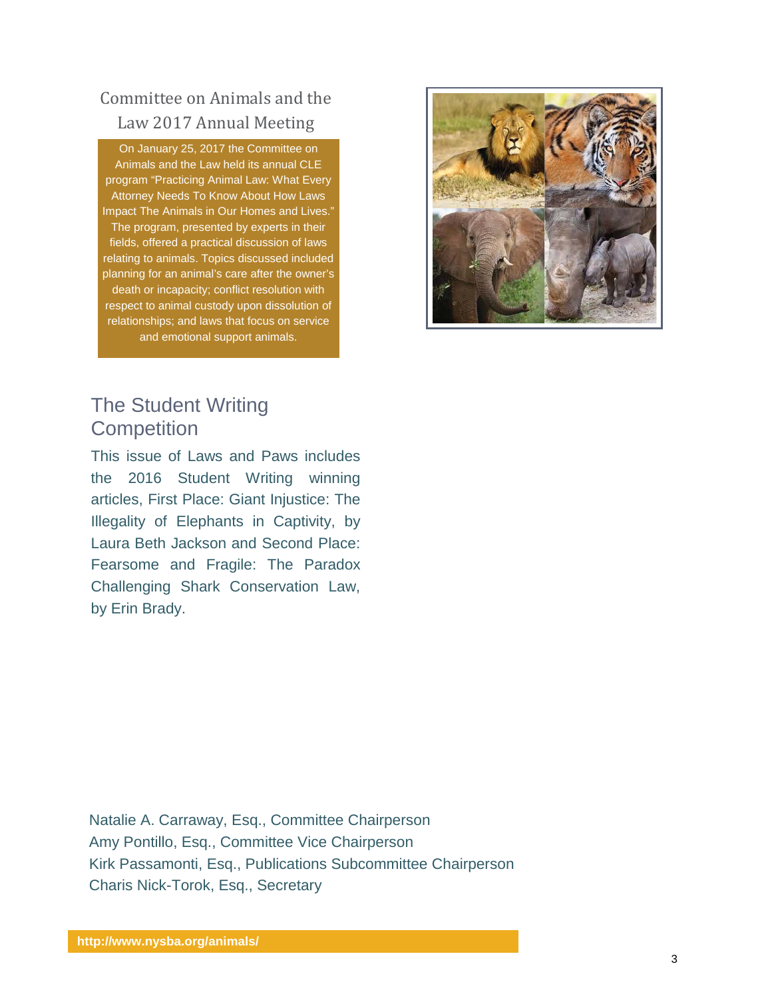## Committee on Animals and the Law 2017 Annual Meeting

On January 25, 2017 the Committee on Animals and the Law held its annual CLE program "Practicing Animal Law: What Every Attorney Needs To Know About How Laws Impact The Animals in Our Homes and Lives." The program, presented by experts in their fields, offered a practical discussion of laws relating to animals. Topics discussed included planning for an animal's care after the owner's death or incapacity; conflict resolution with respect to animal custody upon dissolution of relationships; and laws that focus on service and emotional support animals.



## The Student Writing **Competition**

This issue of Laws and Paws includes the 2016 Student Writing winning articles, First Place: Giant Injustice: The Illegality of Elephants in Captivity, by Laura Beth Jackson and Second Place: Fearsome and Fragile: The Paradox Challenging Shark Conservation Law, by Erin Brady.

Natalie A. Carraway, Esq., Committee Chairperson Amy Pontillo, Esq., Committee Vice Chairperson Kirk Passamonti, Esq., Publications Subcommittee Chairperson Charis Nick-Torok, Esq., Secretary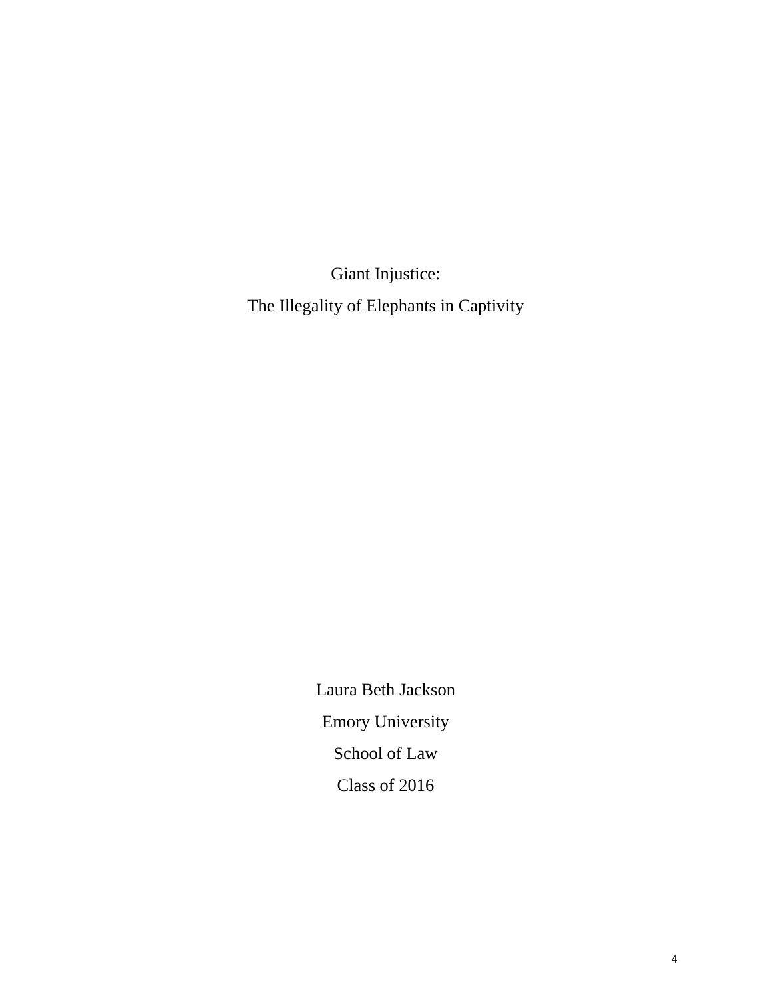Giant Injustice: The Illegality of Elephants in Captivity

> Laura Beth Jackson Emory University School of Law Class of 2016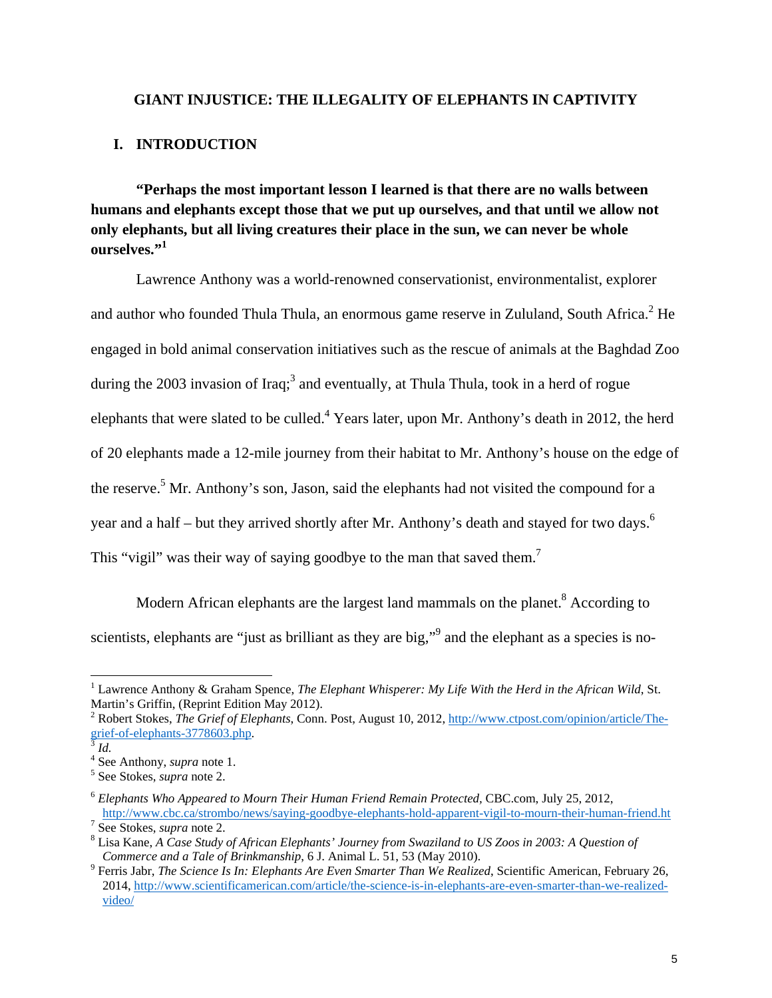#### **GIANT INJUSTICE: THE ILLEGALITY OF ELEPHANTS IN CAPTIVITY**

#### **I. INTRODUCTION**

**"Perhaps the most important lesson I learned is that there are no walls between humans and elephants except those that we put up ourselves, and that until we allow not only elephants, but all living creatures their place in the sun, we can never be whole ourselves."1** 

Lawrence Anthony was a world-renowned conservationist, environmentalist, explorer and author who founded Thula Thula, an enormous game reserve in Zululand, South Africa. $^2$  He engaged in bold animal conservation initiatives such as the rescue of animals at the Baghdad Zoo during the 2003 invasion of Iraq;<sup>3</sup> and eventually, at Thula Thula, took in a herd of rogue elephants that were slated to be culled.<sup>4</sup> Years later, upon Mr. Anthony's death in 2012, the herd of 20 elephants made a 12-mile journey from their habitat to Mr. Anthony's house on the edge of the reserve.<sup>5</sup> Mr. Anthony's son, Jason, said the elephants had not visited the compound for a year and a half – but they arrived shortly after Mr. Anthony's death and stayed for two days.<sup>6</sup> This "vigil" was their way of saying goodbye to the man that saved them.<sup>7</sup>

Modern African elephants are the largest land mammals on the planet.<sup>8</sup> According to scientists, elephants are "just as brilliant as they are big,"<sup>9</sup> and the elephant as a species is no-

<sup>&</sup>lt;sup>1</sup> Lawrence Anthony & Graham Spence, *The Elephant Whisperer: My Life With the Herd in the African Wild*, St. Martin's Griffin, (Reprint Edition May 2012).

<sup>&</sup>lt;sup>2</sup> Robert Stokes, *The Grief of Elephants*, Conn. Post, August 10, 2012, http://www.ctpost.com/opinion/article/Thegrief-of-elephants-3778603.php. <sup>3</sup> *Id.* 

 $^{4}$  See Anthony, *supra* note 1.<br> $^{5}$  See Stekes, *supra* pote 2.

See Stokes, *supra* note 2.

<sup>6</sup> *Elephants Who Appeared to Mourn Their Human Friend Remain Protected,* CBC.com, July 25, 2012, http://www.cbc.ca/strombo/news/saying-goodbye-elephants-hold-apparent-vigil-to-mourn-their-human-friend.ht <sup>7</sup> <sup>7</sup> See Stokes, *supra* note 2.

Lisa Kane, *A Case Study of African Elephants' Journey from Swaziland to US Zoos in 2003: A Question of* 

*Commerce and a Tale of Brinkmanship*, 6 J. Animal L. 51, 53 (May 2010). Ferris Jabr, *The Science Is In: Elephants Are Even Smarter Than We Realized*, Scientific American, February 26, 2014, http://www.scientificamerican.com/article/the-science-is-in-elephants-are-even-smarter-than-we-realizedvideo/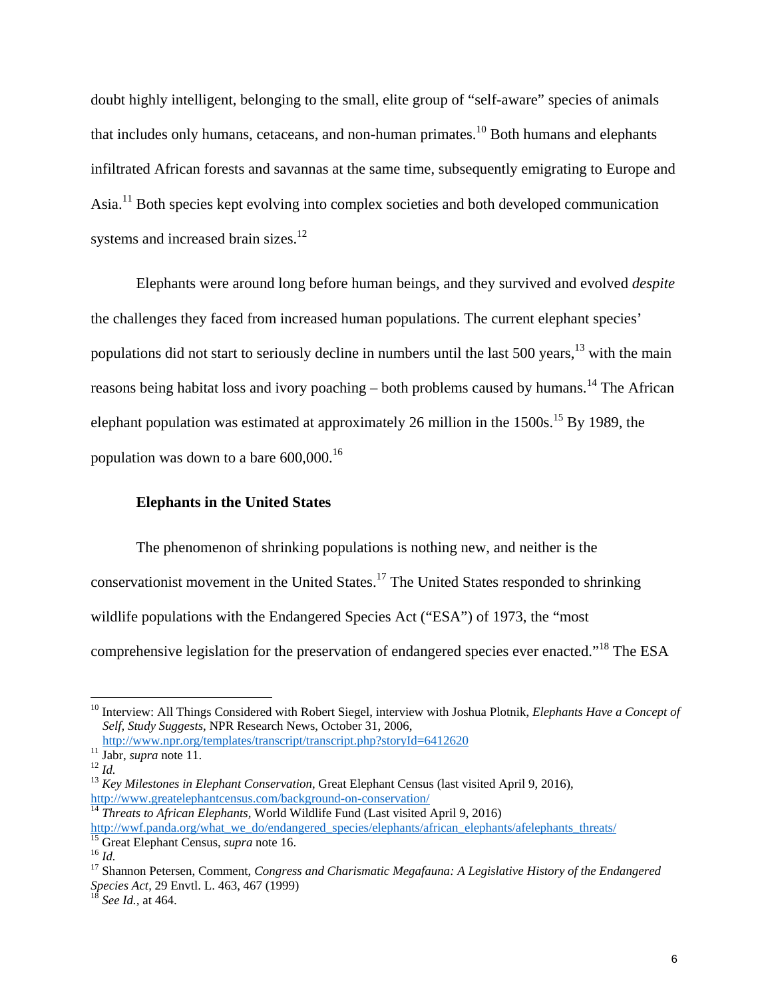doubt highly intelligent, belonging to the small, elite group of "self-aware" species of animals that includes only humans, cetaceans, and non-human primates.<sup>10</sup> Both humans and elephants infiltrated African forests and savannas at the same time, subsequently emigrating to Europe and Asia.11 Both species kept evolving into complex societies and both developed communication systems and increased brain sizes.<sup>12</sup>

Elephants were around long before human beings, and they survived and evolved *despite* the challenges they faced from increased human populations. The current elephant species' populations did not start to seriously decline in numbers until the last 500 years,  $^{13}$  with the main reasons being habitat loss and ivory poaching – both problems caused by humans.<sup>14</sup> The African elephant population was estimated at approximately 26 million in the  $1500s$ .<sup>15</sup> By 1989, the population was down to a bare 600,000.16

#### **Elephants in the United States**

The phenomenon of shrinking populations is nothing new, and neither is the conservationist movement in the United States.<sup>17</sup> The United States responded to shrinking wildlife populations with the Endangered Species Act ("ESA") of 1973, the "most comprehensive legislation for the preservation of endangered species ever enacted."18 The ESA

<sup>&</sup>lt;sup>10</sup> Interview: All Things Considered with Robert Siegel, interview with Joshua Plotnik, *Elephants Have a Concept of Self, Study Suggests*, NPR Research News, October 31, 2006,

<sup>&</sup>lt;sup>11</sup> Jabr, *supra* note 11.<br><sup>12</sup> *Id. Key Milestones in Elephant Conservation*, Great Elephant Census (last visited April 9, 2016), <sup>13</sup> *Key Milestones in Elephant Conservation*, Great Elephant Census (last visited Apri

http://www.greatelephantcensus.com/background-on-conservation/<br><sup>14</sup> *Threats to African Elephants*, World Wildlife Fund (Last visited April 9, 2016)<br>http://wwf.panda.org/what we do/endangered species/elephants/african elep

<sup>&</sup>lt;sup>15</sup> Great Elephant Census, *supra* note 16.<br><sup>16</sup> Id.<br><sup>17</sup> Shannon Petersen, Comment, *Congress and Charismatic Megafauna: A Legislative History of the Endangered Species Act,* 29 Envtl. L. 463, 467 (1999) <sup>18</sup> *See Id.,* at 464.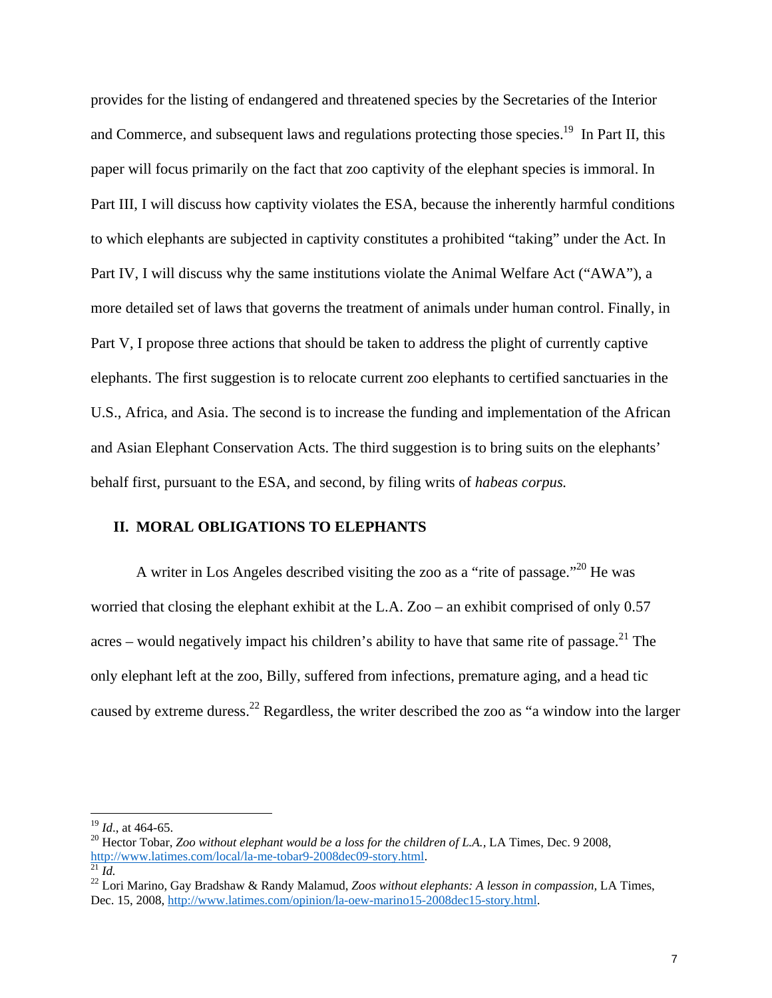provides for the listing of endangered and threatened species by the Secretaries of the Interior and Commerce, and subsequent laws and regulations protecting those species.<sup>19</sup> In Part II, this paper will focus primarily on the fact that zoo captivity of the elephant species is immoral. In Part III, I will discuss how captivity violates the ESA, because the inherently harmful conditions to which elephants are subjected in captivity constitutes a prohibited "taking" under the Act. In Part IV, I will discuss why the same institutions violate the Animal Welfare Act ("AWA"), a more detailed set of laws that governs the treatment of animals under human control. Finally, in Part V, I propose three actions that should be taken to address the plight of currently captive elephants. The first suggestion is to relocate current zoo elephants to certified sanctuaries in the U.S., Africa, and Asia. The second is to increase the funding and implementation of the African and Asian Elephant Conservation Acts. The third suggestion is to bring suits on the elephants' behalf first, pursuant to the ESA, and second, by filing writs of *habeas corpus.*

#### **II. MORAL OBLIGATIONS TO ELEPHANTS**

A writer in Los Angeles described visiting the zoo as a "rite of passage."20 He was worried that closing the elephant exhibit at the L.A. Zoo – an exhibit comprised of only 0.57 acres – would negatively impact his children's ability to have that same rite of passage.<sup>21</sup> The only elephant left at the zoo, Billy, suffered from infections, premature aging, and a head tic caused by extreme duress.22 Regardless, the writer described the zoo as "a window into the larger

<sup>&</sup>lt;sup>19</sup> *Id.*, at 464-65.<br><sup>20</sup> Hector Tobar, *Zoo without elephant would be a loss for the children of L.A.*, LA Times, Dec. 9 2008, <br>http://www.latimes.com/local/la-me-tobar9-2008dec09-story.html.<br><sup>21</sup> *Id.* 

<sup>&</sup>lt;sup>22</sup> Lori Marino, Gay Bradshaw & Randy Malamud, *Zoos without elephants: A lesson in compassion*, LA Times, Dec. 15, 2008, http://www.latimes.com/opinion/la-oew-marino15-2008dec15-story.html.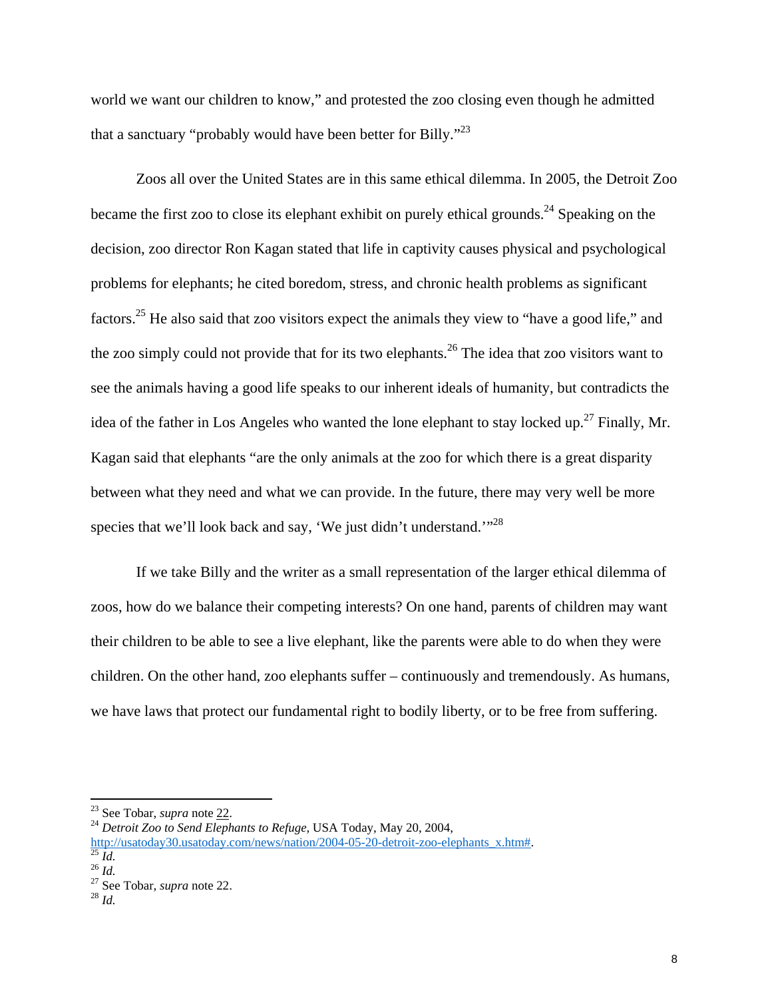world we want our children to know," and protested the zoo closing even though he admitted that a sanctuary "probably would have been better for Billy."<sup>23</sup>

Zoos all over the United States are in this same ethical dilemma. In 2005, the Detroit Zoo became the first zoo to close its elephant exhibit on purely ethical grounds.<sup>24</sup> Speaking on the decision, zoo director Ron Kagan stated that life in captivity causes physical and psychological problems for elephants; he cited boredom, stress, and chronic health problems as significant factors.25 He also said that zoo visitors expect the animals they view to "have a good life," and the zoo simply could not provide that for its two elephants.<sup>26</sup> The idea that zoo visitors want to see the animals having a good life speaks to our inherent ideals of humanity, but contradicts the idea of the father in Los Angeles who wanted the lone elephant to stay locked up.<sup>27</sup> Finally, Mr. Kagan said that elephants "are the only animals at the zoo for which there is a great disparity between what they need and what we can provide. In the future, there may very well be more species that we'll look back and say, 'We just didn't understand."<sup>28</sup>

If we take Billy and the writer as a small representation of the larger ethical dilemma of zoos, how do we balance their competing interests? On one hand, parents of children may want their children to be able to see a live elephant, like the parents were able to do when they were children. On the other hand, zoo elephants suffer – continuously and tremendously. As humans, we have laws that protect our fundamental right to bodily liberty, or to be free from suffering.

<sup>&</sup>lt;sup>23</sup> See Tobar, *supra* note  $22$ .

<sup>&</sup>lt;sup>23</sup> See Tobar, *supra* note <u>22</u>.<br><sup>24</sup> Detroit Zoo to Send Elephants to Refuge, USA Today, May 20, 2004,

http://usatoday30.usatoday.com/news/nation/2004-05-20-detroit-zoo-elephants\_x.htm#.<br><sup>25</sup> *Id.* <sup>26</sup> *Id.* <sup>27</sup> See Tobar, *supra* note 22. <sup>28</sup> *Id.* <sup>28</sup> *Id.*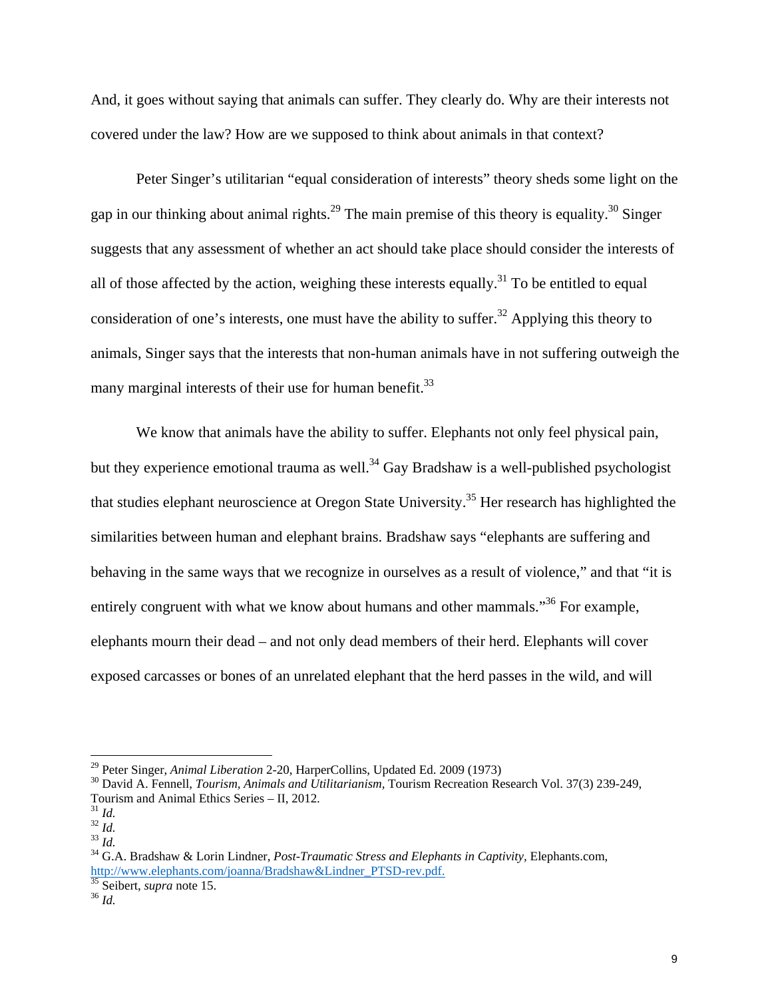And, it goes without saying that animals can suffer. They clearly do. Why are their interests not covered under the law? How are we supposed to think about animals in that context?

Peter Singer's utilitarian "equal consideration of interests" theory sheds some light on the gap in our thinking about animal rights.<sup>29</sup> The main premise of this theory is equality.<sup>30</sup> Singer suggests that any assessment of whether an act should take place should consider the interests of all of those affected by the action, weighing these interests equally.<sup>31</sup> To be entitled to equal consideration of one's interests, one must have the ability to suffer.<sup>32</sup> Applying this theory to animals, Singer says that the interests that non-human animals have in not suffering outweigh the many marginal interests of their use for human benefit.<sup>33</sup>

We know that animals have the ability to suffer. Elephants not only feel physical pain, but they experience emotional trauma as well.<sup>34</sup> Gay Bradshaw is a well-published psychologist that studies elephant neuroscience at Oregon State University.35 Her research has highlighted the similarities between human and elephant brains. Bradshaw says "elephants are suffering and behaving in the same ways that we recognize in ourselves as a result of violence," and that "it is entirely congruent with what we know about humans and other mammals."<sup>36</sup> For example, elephants mourn their dead – and not only dead members of their herd. Elephants will cover exposed carcasses or bones of an unrelated elephant that the herd passes in the wild, and will

<sup>&</sup>lt;sup>29</sup> Peter Singer, *Animal Liberation* 2-20, HarperCollins, Updated Ed. 2009 (1973)<br><sup>30</sup> David A. Fennell, *Tourism, Animals and Utilitarianism*, Tourism Recreation Research Vol. 37(3) 239-249, Tourism and Animal Ethics Series – II, 2012.<br> $\frac{31}{1}$  *Id.* 

<sup>31</sup> *Id.* <sup>32</sup> *Id.* <sup>33</sup> *Id.* 34 G.A. Bradshaw & Lorin Lindner, *Post-Traumatic Stress and Elephants in Captivity,* Elephants.com, http://www.elephants.com/joanna/Bradshaw&Lindner\_PTSD-rev.pdf.<br><sup>35</sup> Seibert, *supra* note 15.<br><sup>36</sup> *Id.*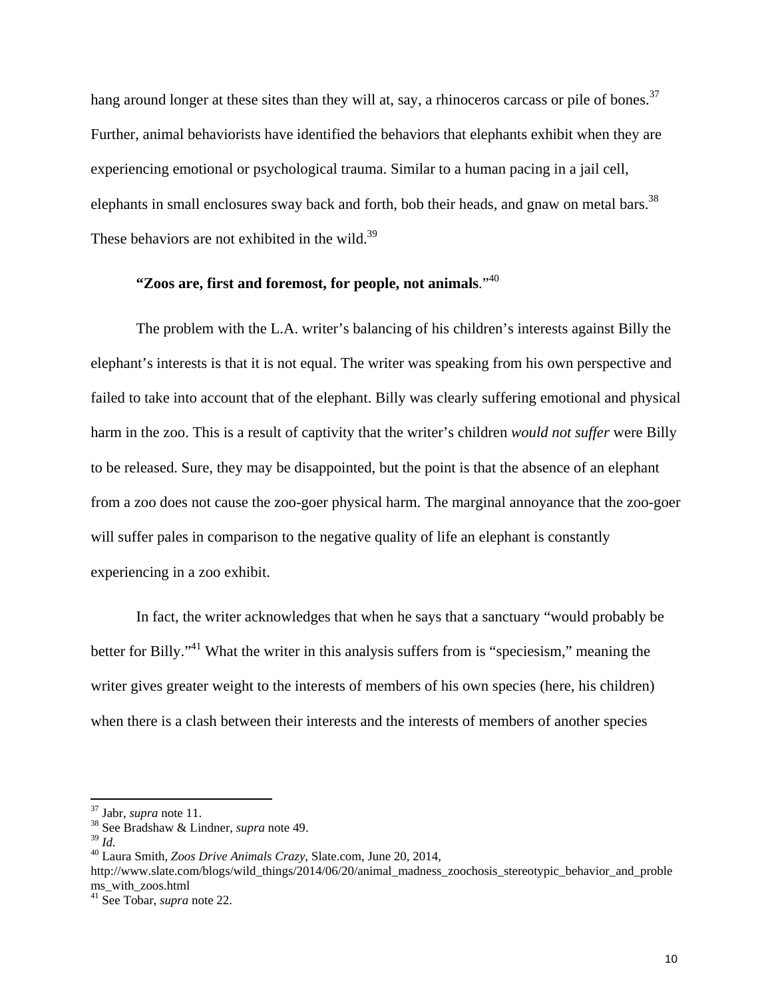hang around longer at these sites than they will at, say, a rhinoceros carcass or pile of bones.<sup>37</sup> Further, animal behaviorists have identified the behaviors that elephants exhibit when they are experiencing emotional or psychological trauma. Similar to a human pacing in a jail cell, elephants in small enclosures sway back and forth, bob their heads, and gnaw on metal bars.<sup>38</sup> These behaviors are not exhibited in the wild.<sup>39</sup>

## **"Zoos are, first and foremost, for people, not animals**."40

The problem with the L.A. writer's balancing of his children's interests against Billy the elephant's interests is that it is not equal. The writer was speaking from his own perspective and failed to take into account that of the elephant. Billy was clearly suffering emotional and physical harm in the zoo. This is a result of captivity that the writer's children *would not suffer* were Billy to be released. Sure, they may be disappointed, but the point is that the absence of an elephant from a zoo does not cause the zoo-goer physical harm. The marginal annoyance that the zoo-goer will suffer pales in comparison to the negative quality of life an elephant is constantly experiencing in a zoo exhibit.

In fact, the writer acknowledges that when he says that a sanctuary "would probably be better for Billy."41 What the writer in this analysis suffers from is "speciesism," meaning the writer gives greater weight to the interests of members of his own species (here, his children) when there is a clash between their interests and the interests of members of another species

http://www.slate.com/blogs/wild\_things/2014/06/20/animal\_madness\_zoochosis\_stereotypic\_behavior\_and\_proble ms\_with\_zoos.html

<sup>37</sup> Jabr, *supra* note 11. 38 See Bradshaw & Lindner, *supra* note 49.

<sup>39</sup> *Id.* 40 Laura Smith, *Zoos Drive Animals Crazy,* Slate.com, June 20, 2014,

<sup>41</sup> See Tobar, *supra* note 22.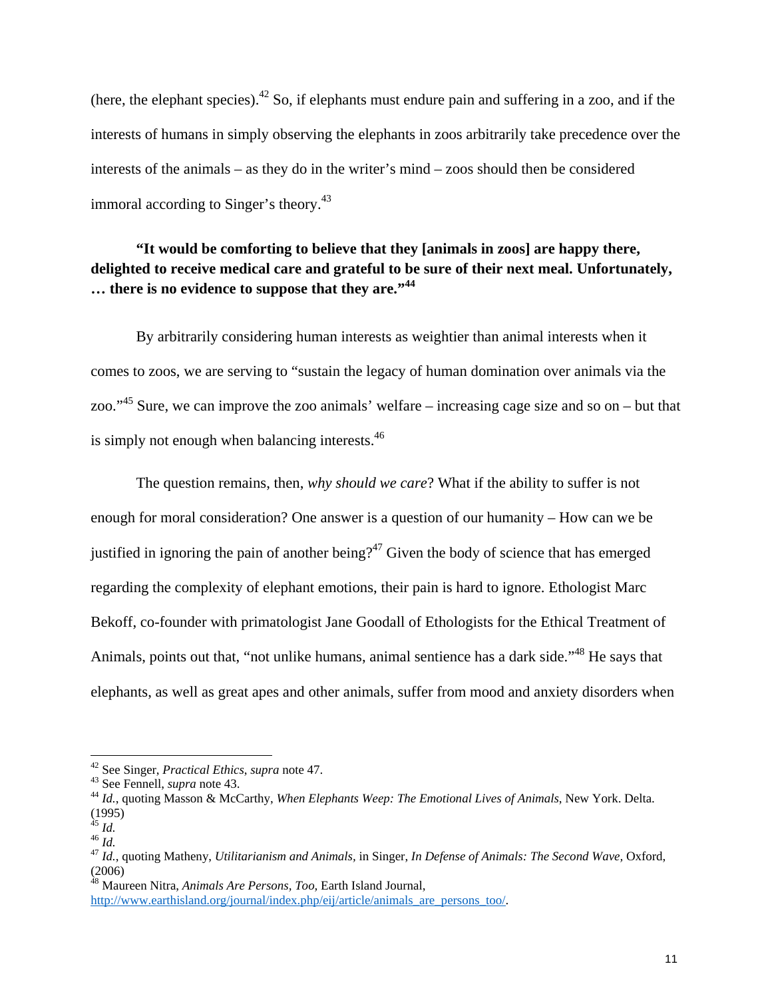(here, the elephant species).<sup>42</sup> So, if elephants must endure pain and suffering in a zoo, and if the interests of humans in simply observing the elephants in zoos arbitrarily take precedence over the interests of the animals – as they do in the writer's mind – zoos should then be considered immoral according to Singer's theory.<sup>43</sup>

## **"It would be comforting to believe that they [animals in zoos] are happy there, delighted to receive medical care and grateful to be sure of their next meal. Unfortunately, … there is no evidence to suppose that they are."<sup>44</sup>**

By arbitrarily considering human interests as weightier than animal interests when it comes to zoos, we are serving to "sustain the legacy of human domination over animals via the zoo."45 Sure, we can improve the zoo animals' welfare – increasing cage size and so on – but that is simply not enough when balancing interests.<sup>46</sup>

The question remains, then, *why should we care*? What if the ability to suffer is not enough for moral consideration? One answer is a question of our humanity – How can we be justified in ignoring the pain of another being?<sup>47</sup> Given the body of science that has emerged regarding the complexity of elephant emotions, their pain is hard to ignore. Ethologist Marc Bekoff, co-founder with primatologist Jane Goodall of Ethologists for the Ethical Treatment of Animals, points out that, "not unlike humans, animal sentience has a dark side."<sup>48</sup> He says that elephants, as well as great apes and other animals, suffer from mood and anxiety disorders when

<sup>42</sup> See Singer, *Practical Ethics*, *supra* note 47.<br><sup>43</sup> See Fennell, *supra* note 43.<br><sup>44</sup> *Id.*, quoting Masson & McCarthy, *When Elephants Weep: The Emotional Lives of Animals*, New York. Delta.  $rac{(1995)}{45}$  *Id.* 

<sup>45</sup> *Id.* <sup>46</sup> *Id.* <sup>47</sup> *Id.*, quoting Matheny, *Utilitarianism and Animals,* in Singer, *In Defense of Animals: The Second Wave,* Oxford, (2006)

<sup>48</sup> Maureen Nitra, *Animals Are Persons, Too,* Earth Island Journal,

http://www.earthisland.org/journal/index.php/eij/article/animals\_are\_persons\_too/.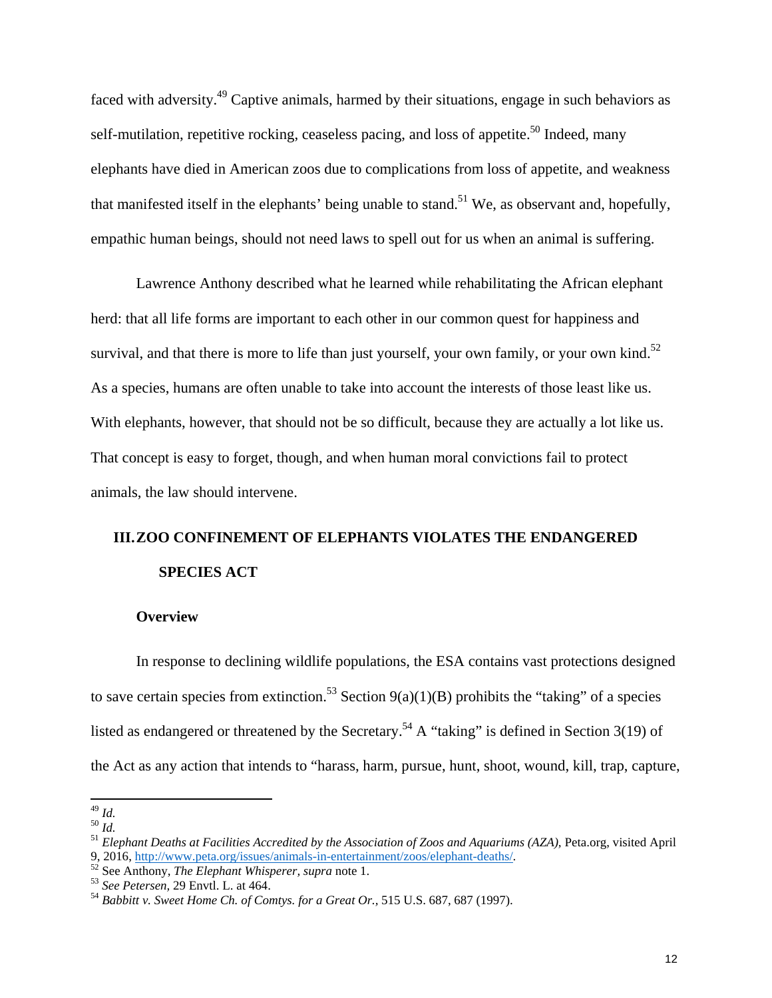faced with adversity.49 Captive animals, harmed by their situations, engage in such behaviors as self-mutilation, repetitive rocking, ceaseless pacing, and loss of appetite.<sup>50</sup> Indeed, many elephants have died in American zoos due to complications from loss of appetite, and weakness that manifested itself in the elephants' being unable to stand.<sup>51</sup> We, as observant and, hopefully, empathic human beings, should not need laws to spell out for us when an animal is suffering.

Lawrence Anthony described what he learned while rehabilitating the African elephant herd: that all life forms are important to each other in our common quest for happiness and survival, and that there is more to life than just yourself, your own family, or your own kind.<sup>52</sup> As a species, humans are often unable to take into account the interests of those least like us. With elephants, however, that should not be so difficult, because they are actually a lot like us. That concept is easy to forget, though, and when human moral convictions fail to protect animals, the law should intervene.

## **III.ZOO CONFINEMENT OF ELEPHANTS VIOLATES THE ENDANGERED SPECIES ACT**

#### **Overview**

In response to declining wildlife populations, the ESA contains vast protections designed to save certain species from extinction.<sup>53</sup> Section 9(a)(1)(B) prohibits the "taking" of a species listed as endangered or threatened by the Secretary.<sup>54</sup> A "taking" is defined in Section 3(19) of the Act as any action that intends to "harass, harm, pursue, hunt, shoot, wound, kill, trap, capture,

<sup>49</sup> *Id.* <sup>50</sup> *Id.* <sup>51</sup> *Elephant Deaths at Facilities Accredited by the Association of Zoos and Aquariums (AZA),* Peta.org, visited April 9, 2016, <u>http://www.peta.org/issues/animals-in-entertainment/zoos/elephant-deaths/</u><br><sup>52</sup> See Anthony, *The Elephant Whisperer, supra* note 1.<br><sup>53</sup> See Petersen, 29 Envtl. L. at 464.<br><sup>54</sup> Babbitt v. Sweet Home Ch. of Comt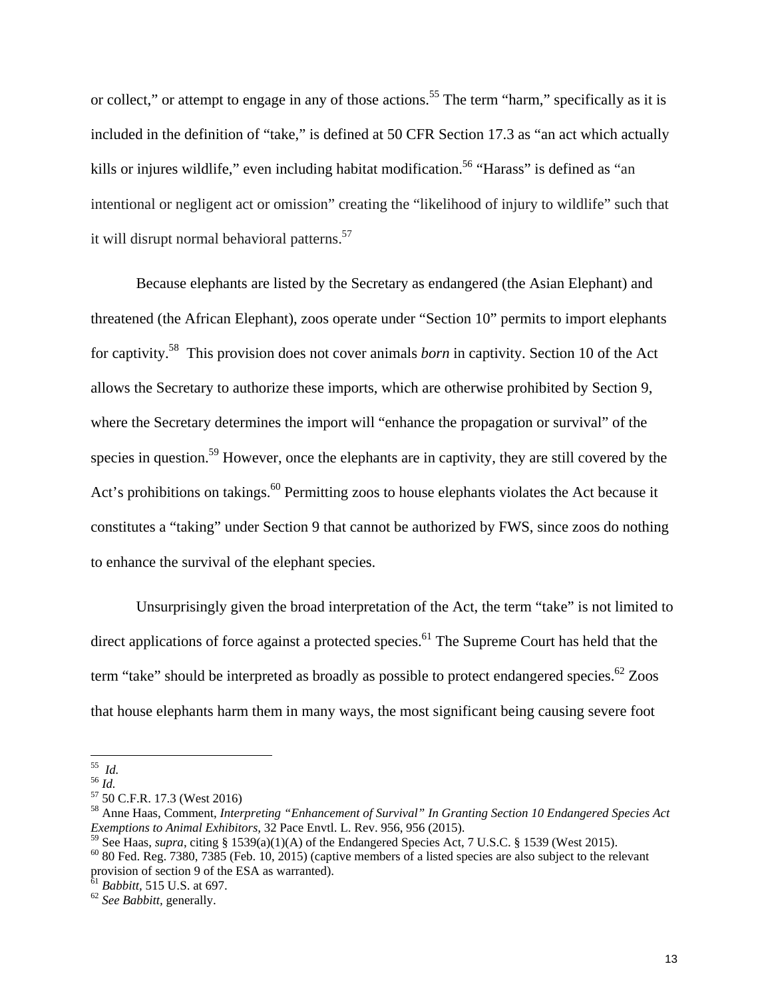or collect," or attempt to engage in any of those actions.<sup>55</sup> The term "harm," specifically as it is included in the definition of "take," is defined at 50 CFR Section 17.3 as "an act which actually kills or injures wildlife," even including habitat modification.<sup>56</sup> "Harass" is defined as "an intentional or negligent act or omission" creating the "likelihood of injury to wildlife" such that it will disrupt normal behavioral patterns.<sup>57</sup>

Because elephants are listed by the Secretary as endangered (the Asian Elephant) and threatened (the African Elephant), zoos operate under "Section 10" permits to import elephants for captivity.58 This provision does not cover animals *born* in captivity. Section 10 of the Act allows the Secretary to authorize these imports, which are otherwise prohibited by Section 9, where the Secretary determines the import will "enhance the propagation or survival" of the species in question.<sup>59</sup> However, once the elephants are in captivity, they are still covered by the Act's prohibitions on takings.<sup>60</sup> Permitting zoos to house elephants violates the Act because it constitutes a "taking" under Section 9 that cannot be authorized by FWS, since zoos do nothing to enhance the survival of the elephant species.

Unsurprisingly given the broad interpretation of the Act, the term "take" is not limited to direct applications of force against a protected species.<sup>61</sup> The Supreme Court has held that the term "take" should be interpreted as broadly as possible to protect endangered species.<sup>62</sup> Zoos that house elephants harm them in many ways, the most significant being causing severe foot

<sup>55</sup>*Id.* <sup>56</sup> *Id.* 57 50 C.F.R. 17.3 (West 2016)

<sup>58</sup> Anne Haas, Comment, *Interpreting "Enhancement of Survival" In Granting Section 10 Endangered Species Act Exemptions to Animal Exhibitors,* 32 Pace Envtl. L. Rev. 956, 956 (2015).

<sup>&</sup>lt;sup>59</sup> See Haas, *supra*, citing § 1539(a)(1)(A) of the Endangered Species Act, 7 U.S.C. § 1539 (West 2015).<br><sup>60</sup> 80 Fed. Reg. 7380, 7385 (Feb. 10, 2015) (captive members of a listed species are also subject to the relevant

provision of section 9 of the ESA as warranted).

<sup>61</sup> *Babbitt,* 515 U.S. at 697. 62 *See Babbitt,* generally.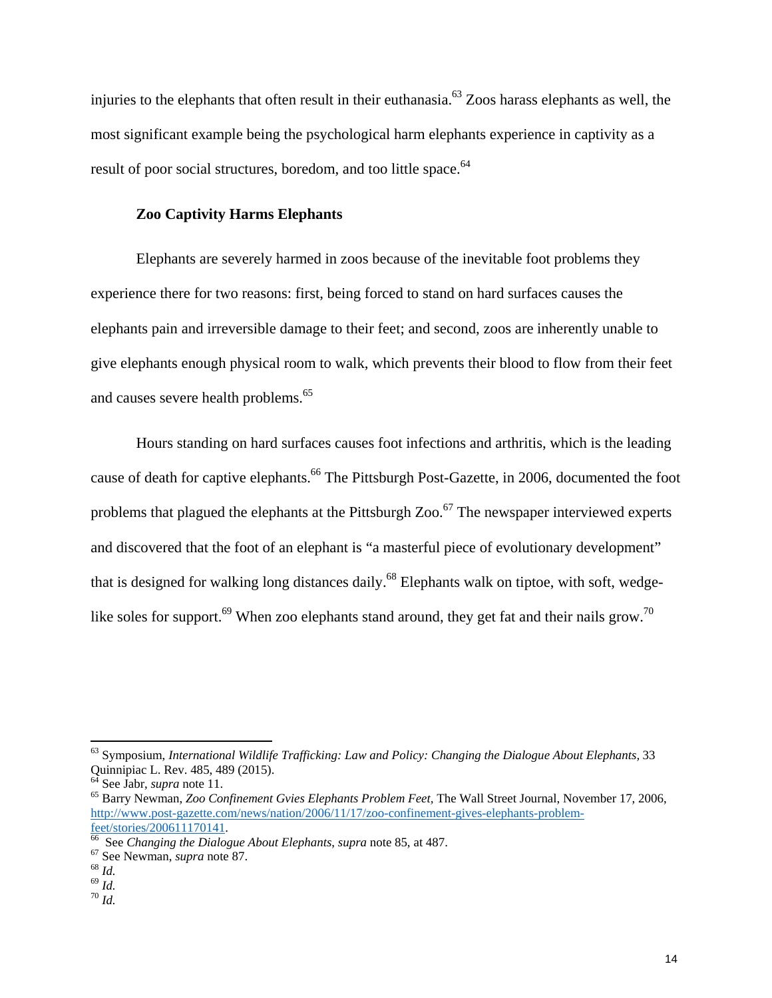injuries to the elephants that often result in their euthanasia.<sup>63</sup> Zoos harass elephants as well, the most significant example being the psychological harm elephants experience in captivity as a result of poor social structures, boredom, and too little space.<sup>64</sup>

#### **Zoo Captivity Harms Elephants**

Elephants are severely harmed in zoos because of the inevitable foot problems they experience there for two reasons: first, being forced to stand on hard surfaces causes the elephants pain and irreversible damage to their feet; and second, zoos are inherently unable to give elephants enough physical room to walk, which prevents their blood to flow from their feet and causes severe health problems.<sup>65</sup>

Hours standing on hard surfaces causes foot infections and arthritis, which is the leading cause of death for captive elephants.<sup>66</sup> The Pittsburgh Post-Gazette, in 2006, documented the foot problems that plagued the elephants at the Pittsburgh  $Zoo<sup>67</sup>$  The newspaper interviewed experts and discovered that the foot of an elephant is "a masterful piece of evolutionary development" that is designed for walking long distances daily.<sup>68</sup> Elephants walk on tiptoe, with soft, wedgelike soles for support.<sup>69</sup> When zoo elephants stand around, they get fat and their nails grow.<sup>70</sup>

<sup>63</sup> Symposium, *International Wildlife Trafficking: Law and Policy: Changing the Dialogue About Elephants,* 33 Quinnipiac L. Rev. 485, 489 (2015).<br><sup>64</sup> See Jabr, *supra* note 11.

<sup>&</sup>lt;sup>65</sup> Barry Newman, *Zoo Confinement Gvies Elephants Problem Feet*, The Wall Street Journal, November 17, 2006, http://www.post-gazette.com/news/nation/2006/11/17/zoo-confinement-gives-elephants-problem-

feet/stories/200611170141.<br><sup>66</sup> See *Changing the Dialogue About Elephants*, *supra* note 85, at 487.<br><sup>67</sup> See Newman, *supra* note 87.<br><sup>69</sup> *Id.* <sup>69</sup> *Id.* <sup>70</sup> *Id.*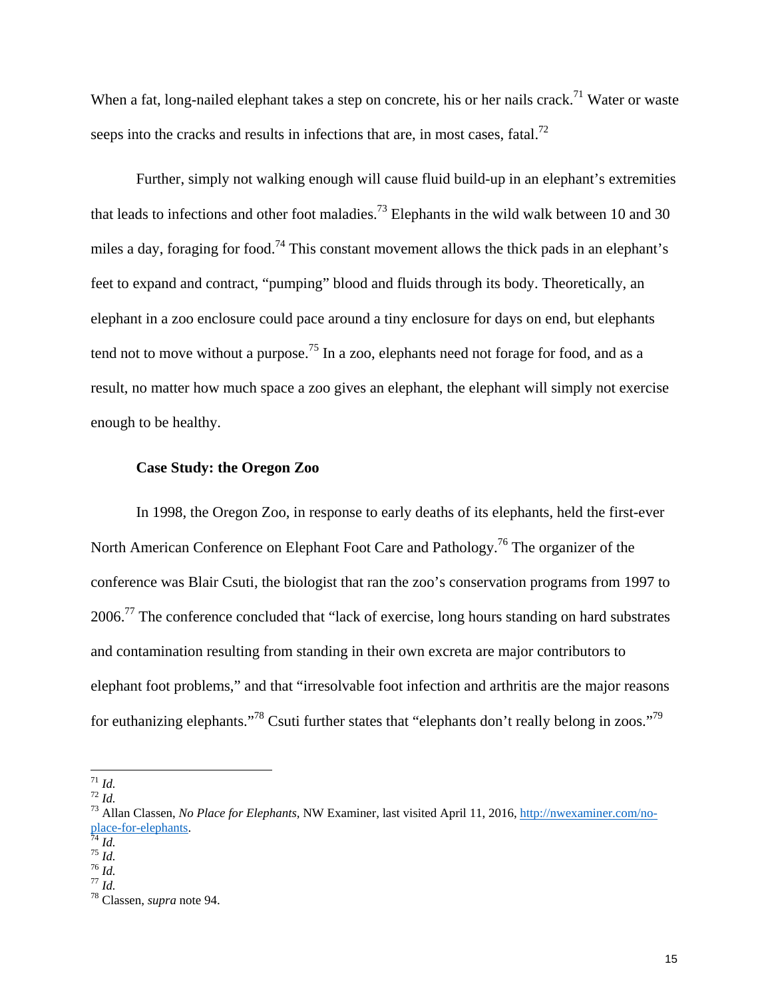When a fat, long-nailed elephant takes a step on concrete, his or her nails crack.<sup>71</sup> Water or waste seeps into the cracks and results in infections that are, in most cases, fatal.<sup>72</sup>

Further, simply not walking enough will cause fluid build-up in an elephant's extremities that leads to infections and other foot maladies.<sup>73</sup> Elephants in the wild walk between 10 and 30 miles a day, foraging for food.<sup>74</sup> This constant movement allows the thick pads in an elephant's feet to expand and contract, "pumping" blood and fluids through its body. Theoretically, an elephant in a zoo enclosure could pace around a tiny enclosure for days on end, but elephants tend not to move without a purpose.<sup>75</sup> In a zoo, elephants need not forage for food, and as a result, no matter how much space a zoo gives an elephant, the elephant will simply not exercise enough to be healthy.

#### **Case Study: the Oregon Zoo**

In 1998, the Oregon Zoo, in response to early deaths of its elephants, held the first-ever North American Conference on Elephant Foot Care and Pathology.76 The organizer of the conference was Blair Csuti, the biologist that ran the zoo's conservation programs from 1997 to 2006.77 The conference concluded that "lack of exercise, long hours standing on hard substrates and contamination resulting from standing in their own excreta are major contributors to elephant foot problems," and that "irresolvable foot infection and arthritis are the major reasons for euthanizing elephants."78 Csuti further states that "elephants don't really belong in zoos."79

<sup>71</sup> *Id.* <sup>72</sup> *Id.* 73 Allan Classen, *No Place for Elephants,* NW Examiner, last visited April 11, 2016, http://nwexaminer.com/no**place-for-elephants.**<br>
<sup>75</sup> *Id.*<br>
<sup>75</sup> *Id.*<br>
<sup>77</sup> *Id.*<br>
<sup>78</sup> Classen, *supra* note 94.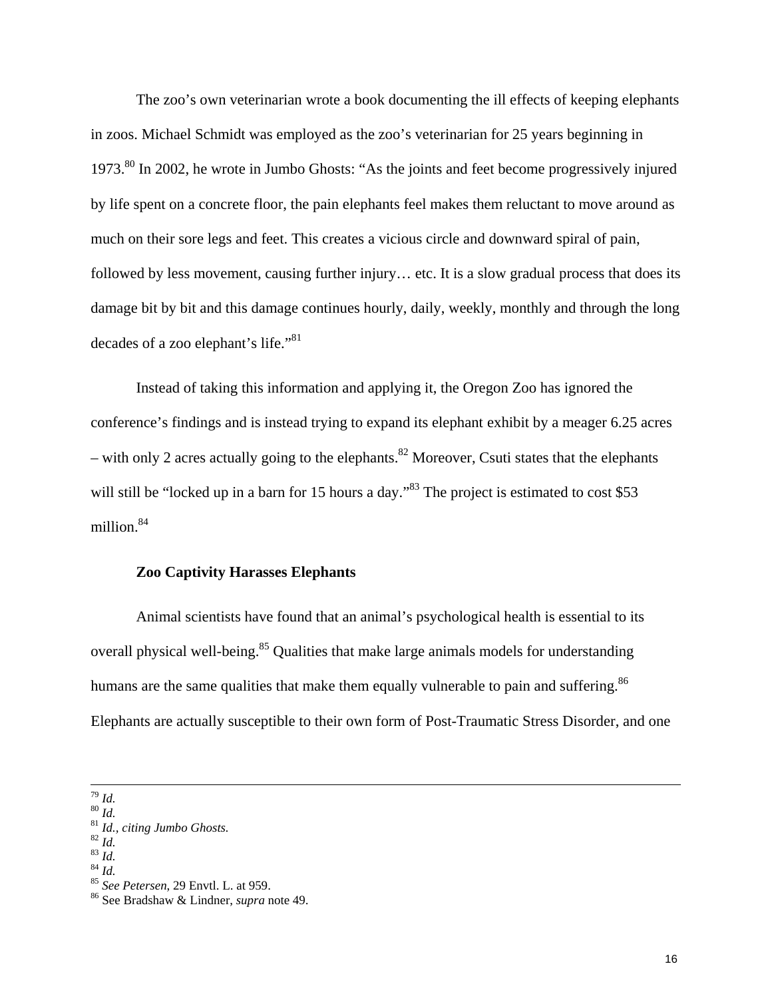The zoo's own veterinarian wrote a book documenting the ill effects of keeping elephants in zoos. Michael Schmidt was employed as the zoo's veterinarian for 25 years beginning in 1973.80 In 2002, he wrote in Jumbo Ghosts: "As the joints and feet become progressively injured by life spent on a concrete floor, the pain elephants feel makes them reluctant to move around as much on their sore legs and feet. This creates a vicious circle and downward spiral of pain, followed by less movement, causing further injury... etc. It is a slow gradual process that does its damage bit by bit and this damage continues hourly, daily, weekly, monthly and through the long decades of a zoo elephant's life."<sup>81</sup>

Instead of taking this information and applying it, the Oregon Zoo has ignored the conference's findings and is instead trying to expand its elephant exhibit by a meager 6.25 acres – with only 2 acres actually going to the elephants.<sup>82</sup> Moreover, Csuti states that the elephants will still be "locked up in a barn for 15 hours a day."<sup>83</sup> The project is estimated to cost \$53 million.<sup>84</sup>

#### **Zoo Captivity Harasses Elephants**

Animal scientists have found that an animal's psychological health is essential to its overall physical well-being.<sup>85</sup> Qualities that make large animals models for understanding humans are the same qualities that make them equally vulnerable to pain and suffering.<sup>86</sup> Elephants are actually susceptible to their own form of Post-Traumatic Stress Disorder, and one

 <sup>79</sup> *Id.* <sup>80</sup> *Id.* <sup>81</sup> *Id., citing Jumbo Ghosts.* <sup>82</sup> *Id.* <sup>83</sup> *Id.* <sup>84</sup> *Id.* <sup>85</sup> *See Petersen*, 29 Envtl. L. at 959. 86 See Bradshaw & Lindner, *supra* note 49.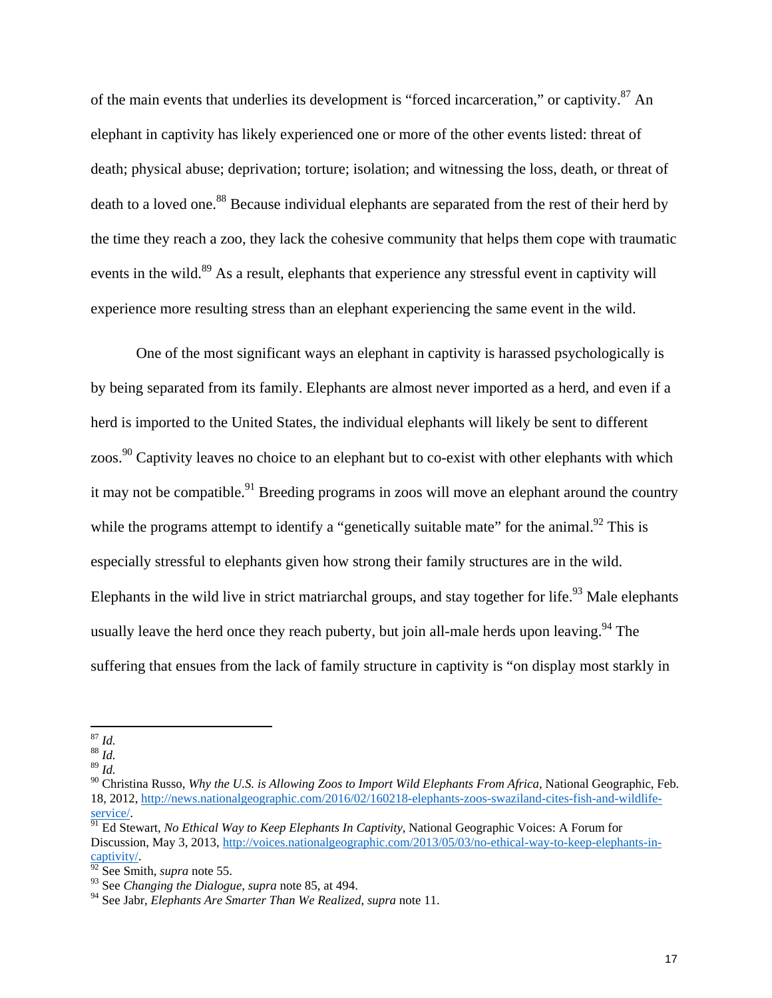of the main events that underlies its development is "forced incarceration," or captivity.87 An elephant in captivity has likely experienced one or more of the other events listed: threat of death; physical abuse; deprivation; torture; isolation; and witnessing the loss, death, or threat of death to a loved one.<sup>88</sup> Because individual elephants are separated from the rest of their herd by the time they reach a zoo, they lack the cohesive community that helps them cope with traumatic events in the wild.<sup>89</sup> As a result, elephants that experience any stressful event in captivity will experience more resulting stress than an elephant experiencing the same event in the wild.

One of the most significant ways an elephant in captivity is harassed psychologically is by being separated from its family. Elephants are almost never imported as a herd, and even if a herd is imported to the United States, the individual elephants will likely be sent to different zoos.<sup>90</sup> Captivity leaves no choice to an elephant but to co-exist with other elephants with which it may not be compatible.<sup>91</sup> Breeding programs in zoos will move an elephant around the country while the programs attempt to identify a "genetically suitable mate" for the animal.<sup>92</sup> This is especially stressful to elephants given how strong their family structures are in the wild. Elephants in the wild live in strict matriarchal groups, and stay together for life.<sup>93</sup> Male elephants usually leave the herd once they reach puberty, but join all-male herds upon leaving. <sup>94</sup> The suffering that ensues from the lack of family structure in captivity is "on display most starkly in

<sup>87</sup> *Id.* 88 *Id.* 

<sup>89</sup> *Id.* 

<sup>90</sup> Christina Russo, *Why the U.S. is Allowing Zoos to Import Wild Elephants From Africa,* National Geographic, Feb. 18, 2012, http://news.nationalgeographic.com/2016/02/160218-elephants-zoos-swaziland-cites-fish-and-wildlife-

service/. 91 Ed Stewart, *No Ethical Way to Keep Elephants In Captivity,* National Geographic Voices: A Forum for Discussion, May 3, 2013, http://voices.nationalgeographic.com/2013/05/03/no-ethical-way-to-keep-elephants-incaptivity/. 92 See Smith, *supra* note 55.

<sup>93</sup> See *Changing the Dialogue*, *supra* note 85, at 494.

<sup>94</sup> See Jabr, *Elephants Are Smarter Than We Realized*, *supra* note 11.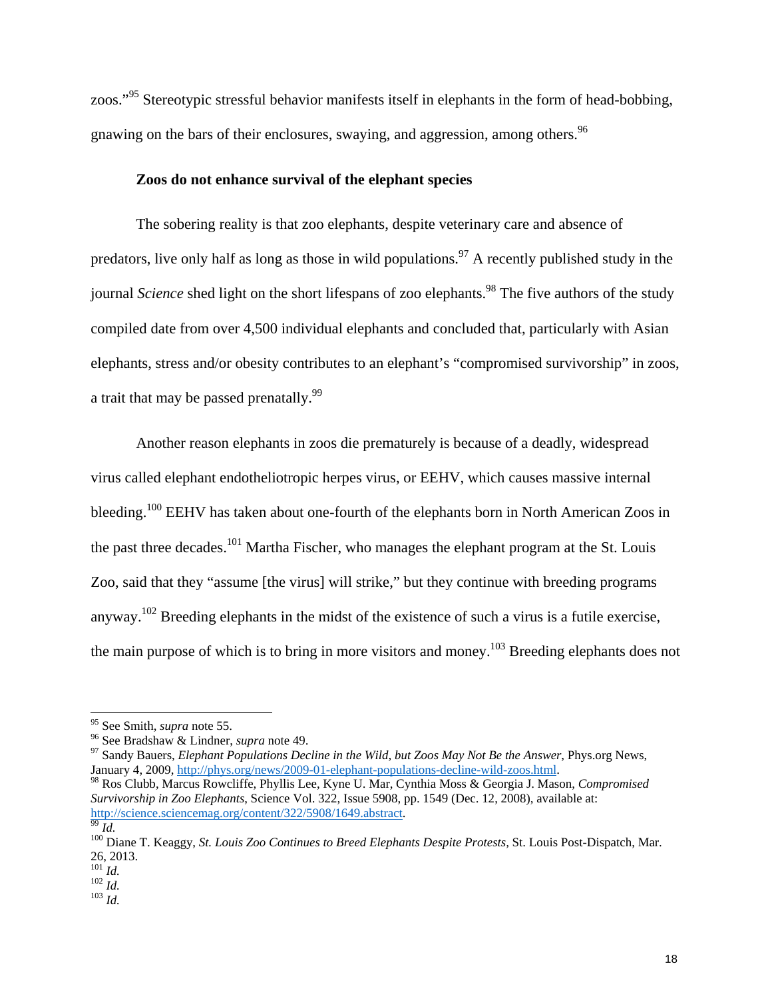zoos."95 Stereotypic stressful behavior manifests itself in elephants in the form of head-bobbing, gnawing on the bars of their enclosures, swaying, and aggression, among others.<sup>96</sup>

#### **Zoos do not enhance survival of the elephant species**

The sobering reality is that zoo elephants, despite veterinary care and absence of predators, live only half as long as those in wild populations.<sup>97</sup> A recently published study in the journal *Science* shed light on the short lifespans of zoo elephants.<sup>98</sup> The five authors of the study compiled date from over 4,500 individual elephants and concluded that, particularly with Asian elephants, stress and/or obesity contributes to an elephant's "compromised survivorship" in zoos, a trait that may be passed prenatally.<sup>99</sup>

Another reason elephants in zoos die prematurely is because of a deadly, widespread virus called elephant endotheliotropic herpes virus, or EEHV, which causes massive internal bleeding.<sup>100</sup> EEHV has taken about one-fourth of the elephants born in North American Zoos in the past three decades.<sup>101</sup> Martha Fischer, who manages the elephant program at the St. Louis Zoo, said that they "assume [the virus] will strike," but they continue with breeding programs anyway.102 Breeding elephants in the midst of the existence of such a virus is a futile exercise, the main purpose of which is to bring in more visitors and money.<sup>103</sup> Breeding elephants does not

<sup>&</sup>lt;sup>95</sup> See Smith, *supra* note 55.<br><sup>96</sup> See Bradshaw & Lindner, *supra* note 49.<br><sup>97</sup> Sandy Bauers, *Elephant Populations Decline in the Wild, but Zoos May Not Be the Answer*, Phys.org News,<br>January 4, 2009, <u>http://phys.org</u>

<sup>&</sup>lt;sup>98</sup> Ros Clubb, Marcus Rowcliffe, Phyllis Lee, Kyne U. Mar, Cynthia Moss & Georgia J. Mason, *Compromised Survivorship in Zoo Elephants*, Science Vol. 322, Issue 5908, pp. 1549 (Dec. 12, 2008), available at:<br>
<u>http://science.sciencemag.org/content/322/5908/1649.abstract</u>.

<sup>&</sup>lt;sup>99</sup> Id.<br><sup>100</sup> Diane T. Keaggy, *St. Louis Zoo Continues to Breed Elephants Despite Protests, St. Louis Post-Dispatch, Mar.*  $^{26, 2013.}_{^{101}$  *Id.* 

<sup>101</sup> *Id.* 102 *Id.* 103 *Id.*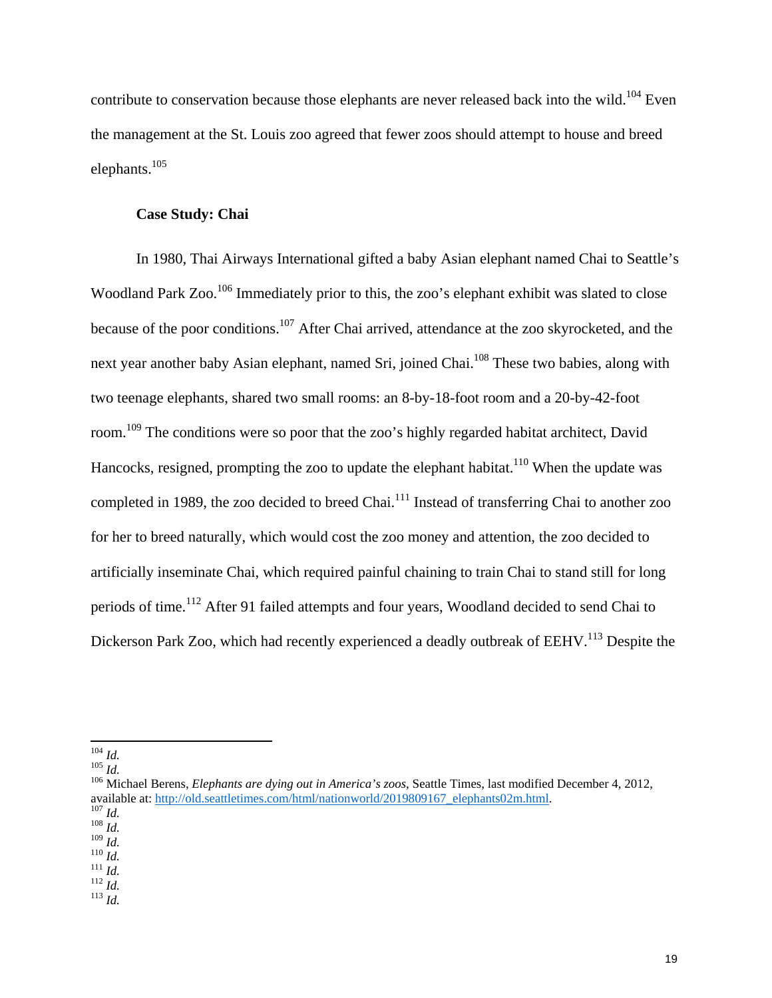contribute to conservation because those elephants are never released back into the wild.<sup>104</sup> Even the management at the St. Louis zoo agreed that fewer zoos should attempt to house and breed elephants.105

#### **Case Study: Chai**

In 1980, Thai Airways International gifted a baby Asian elephant named Chai to Seattle's Woodland Park Zoo.<sup>106</sup> Immediately prior to this, the zoo's elephant exhibit was slated to close because of the poor conditions.<sup>107</sup> After Chai arrived, attendance at the zoo skyrocketed, and the next year another baby Asian elephant, named Sri, joined Chai.<sup>108</sup> These two babies, along with two teenage elephants, shared two small rooms: an 8-by-18-foot room and a 20-by-42-foot room.109 The conditions were so poor that the zoo's highly regarded habitat architect, David Hancocks, resigned, prompting the zoo to update the elephant habitat.<sup>110</sup> When the update was completed in 1989, the zoo decided to breed Chai.<sup>111</sup> Instead of transferring Chai to another zoo for her to breed naturally, which would cost the zoo money and attention, the zoo decided to artificially inseminate Chai, which required painful chaining to train Chai to stand still for long periods of time.<sup>112</sup> After 91 failed attempts and four years, Woodland decided to send Chai to Dickerson Park Zoo, which had recently experienced a deadly outbreak of EEHV.<sup>113</sup> Despite the

<sup>104</sup> *Id.* <sup>105</sup> *Id.* 106 Michael Berens, *Elephants are dying out in America's zoos*, Seattle Times, last modified December 4, 2012, available at: <u>http://old.seattletimes.com/html/nationworld/2019809167\_elephants02m.html</u>.<br><sup>107</sup> *Id.*<br><sup>108</sup> *Id.*<br><sup>108</sup> *Id.* 

<sup>109</sup> *Id.* 110 *Id.* 111 *Id.* 112 *Id.* 113 *Id.*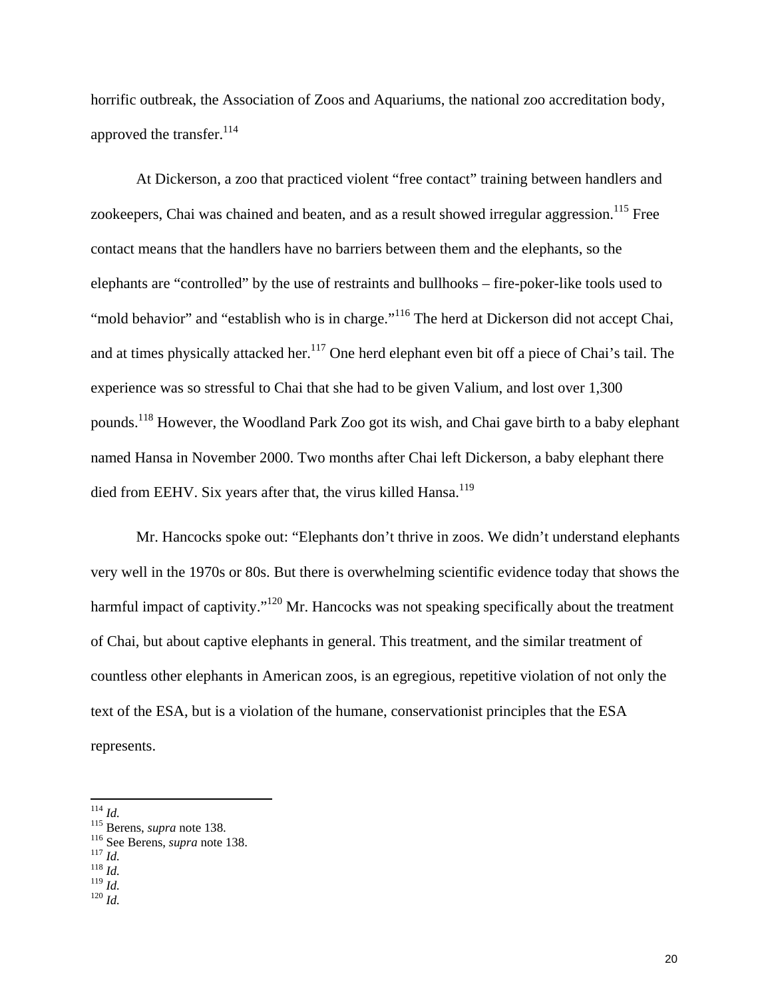horrific outbreak, the Association of Zoos and Aquariums, the national zoo accreditation body, approved the transfer.<sup>114</sup>

At Dickerson, a zoo that practiced violent "free contact" training between handlers and zookeepers, Chai was chained and beaten, and as a result showed irregular aggression.<sup>115</sup> Free contact means that the handlers have no barriers between them and the elephants, so the elephants are "controlled" by the use of restraints and bullhooks – fire-poker-like tools used to "mold behavior" and "establish who is in charge."<sup>116</sup> The herd at Dickerson did not accept Chai, and at times physically attacked her.<sup>117</sup> One herd elephant even bit off a piece of Chai's tail. The experience was so stressful to Chai that she had to be given Valium, and lost over 1,300 pounds.118 However, the Woodland Park Zoo got its wish, and Chai gave birth to a baby elephant named Hansa in November 2000. Two months after Chai left Dickerson, a baby elephant there died from EEHV. Six years after that, the virus killed Hansa.<sup>119</sup>

Mr. Hancocks spoke out: "Elephants don't thrive in zoos. We didn't understand elephants very well in the 1970s or 80s. But there is overwhelming scientific evidence today that shows the harmful impact of captivity."<sup>120</sup> Mr. Hancocks was not speaking specifically about the treatment of Chai, but about captive elephants in general. This treatment, and the similar treatment of countless other elephants in American zoos, is an egregious, repetitive violation of not only the text of the ESA, but is a violation of the humane, conservationist principles that the ESA represents.

<sup>&</sup>lt;sup>114</sup> *Id.* <sup>115</sup> Berens, *supra* note 138.<br><sup>116</sup> See Berens, *supra* note 138.<br><sup>117</sup> *Id.* <sup>119</sup> *Id.* <sup>119</sup> *Id.* 

 $120$  *Id.*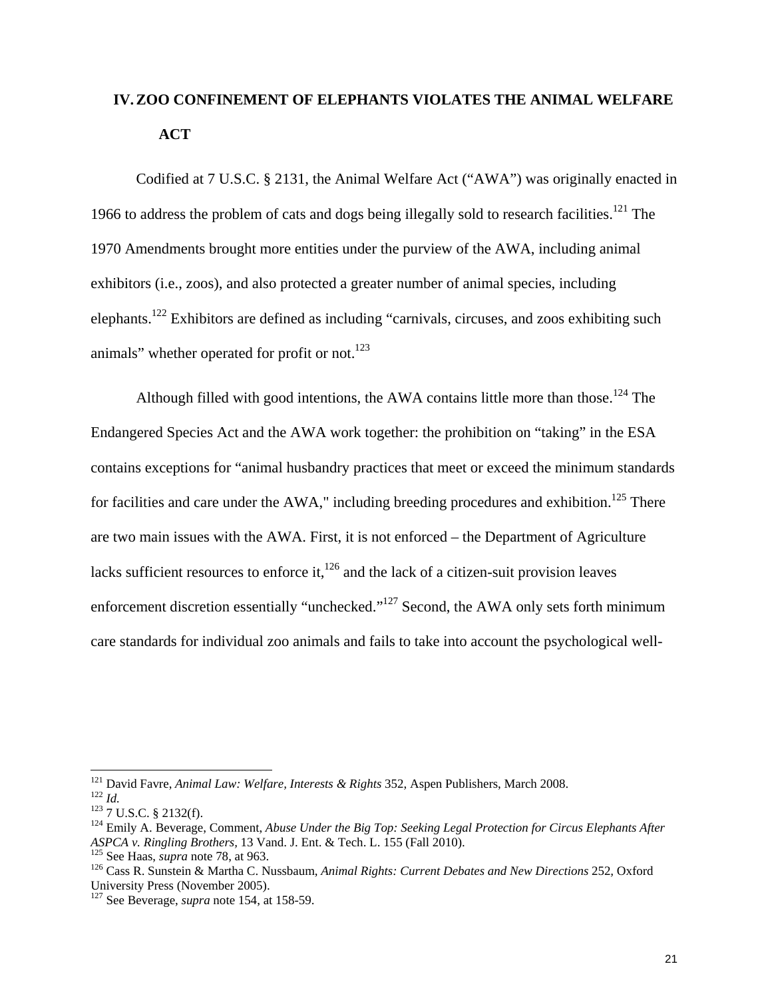## **IV.ZOO CONFINEMENT OF ELEPHANTS VIOLATES THE ANIMAL WELFARE ACT**

 Codified at 7 U.S.C. § 2131, the Animal Welfare Act ("AWA") was originally enacted in 1966 to address the problem of cats and dogs being illegally sold to research facilities.<sup>121</sup> The 1970 Amendments brought more entities under the purview of the AWA, including animal exhibitors (i.e., zoos), and also protected a greater number of animal species, including elephants.122 Exhibitors are defined as including "carnivals, circuses, and zoos exhibiting such animals" whether operated for profit or not. $123$ 

Although filled with good intentions, the AWA contains little more than those.<sup>124</sup> The Endangered Species Act and the AWA work together: the prohibition on "taking" in the ESA contains exceptions for "animal husbandry practices that meet or exceed the minimum standards for facilities and care under the AWA," including breeding procedures and exhibition.<sup>125</sup> There are two main issues with the AWA. First, it is not enforced – the Department of Agriculture lacks sufficient resources to enforce it, $126$  and the lack of a citizen-suit provision leaves enforcement discretion essentially "unchecked."<sup>127</sup> Second, the AWA only sets forth minimum care standards for individual zoo animals and fails to take into account the psychological well-

<sup>&</sup>lt;sup>121</sup> David Favre, Animal Law: Welfare, Interests & Rights 352, Aspen Publishers, March 2008.

<sup>&</sup>lt;sup>122</sup> *Id.*<br><sup>123</sup> 7 U.S.C. § 2132(f).<br><sup>124</sup> Emily A. Beverage, Comment, *Abuse Under the Big Top: Seeking Legal Protection for Circus Elephants After* ASPCA v. Ringling Brothers, 13 Vand. J. Ent. & Tech. L. 155 (Fall 2010).<br><sup>125</sup> See Haas, *supra* note 78, at 963.<br><sup>126</sup> Cass R. Sunstein & Martha C. Nussbaum, *Animal Rights: Current Debates and New Directions* 252, Oxford

University Press (November 2005).

<sup>127</sup> See Beverage, *supra* note 154, at 158-59.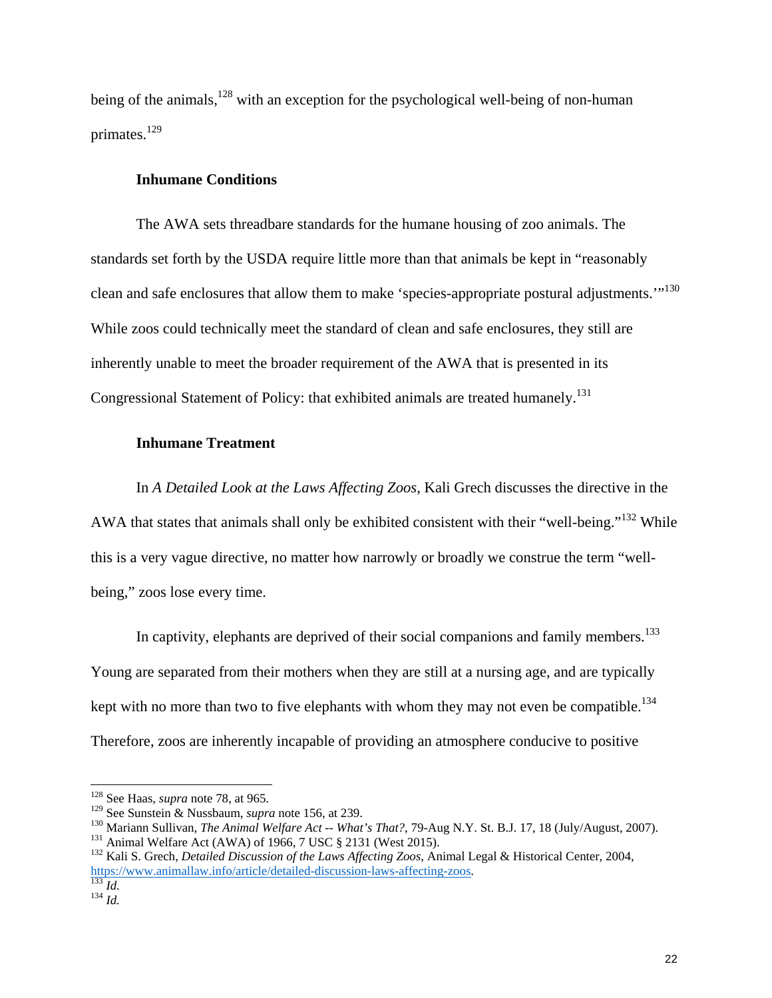being of the animals, $128$  with an exception for the psychological well-being of non-human primates.<sup>129</sup>

#### **Inhumane Conditions**

The AWA sets threadbare standards for the humane housing of zoo animals. The standards set forth by the USDA require little more than that animals be kept in "reasonably clean and safe enclosures that allow them to make 'species-appropriate postural adjustments."<sup>130</sup> While zoos could technically meet the standard of clean and safe enclosures, they still are inherently unable to meet the broader requirement of the AWA that is presented in its Congressional Statement of Policy: that exhibited animals are treated humanely.<sup>131</sup>

#### **Inhumane Treatment**

In *A Detailed Look at the Laws Affecting Zoos,* Kali Grech discusses the directive in the AWA that states that animals shall only be exhibited consistent with their "well-being."<sup>132</sup> While this is a very vague directive, no matter how narrowly or broadly we construe the term "wellbeing," zoos lose every time.

In captivity, elephants are deprived of their social companions and family members.<sup>133</sup> Young are separated from their mothers when they are still at a nursing age, and are typically kept with no more than two to five elephants with whom they may not even be compatible.<sup>134</sup> Therefore, zoos are inherently incapable of providing an atmosphere conducive to positive

 128 See Haas, *supra* note 78, at 965.

<sup>&</sup>lt;sup>129</sup> See Sunstein & Nussbaum, *supra* note 156, at 239.<br>
<sup>130</sup> Mariann Sullivan, *The Animal Welfare Act* -- *What's That?*, 79-Aug N.Y. St. B.J. 17, 18 (July/August, 2007).<br>
<sup>131</sup> Animal Welfare Act (AWA) of 1966, 7 US

https://www.animallaw.info/article/detailed-discussion-laws-affecting-zoos.<br><sup>133</sup> *Id.* <sup>134</sup> *Id.*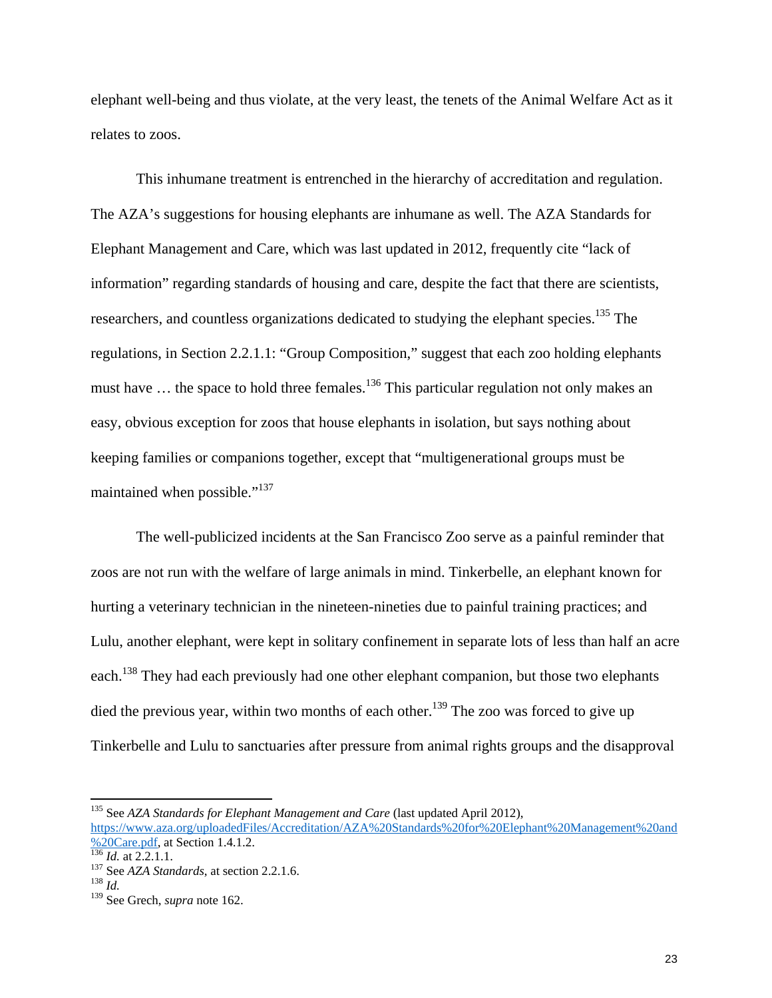elephant well-being and thus violate, at the very least, the tenets of the Animal Welfare Act as it relates to zoos.

This inhumane treatment is entrenched in the hierarchy of accreditation and regulation. The AZA's suggestions for housing elephants are inhumane as well. The AZA Standards for Elephant Management and Care, which was last updated in 2012, frequently cite "lack of information" regarding standards of housing and care, despite the fact that there are scientists, researchers, and countless organizations dedicated to studying the elephant species.<sup>135</sup> The regulations, in Section 2.2.1.1: "Group Composition," suggest that each zoo holding elephants must have  $\ldots$  the space to hold three females.<sup>136</sup> This particular regulation not only makes an easy, obvious exception for zoos that house elephants in isolation, but says nothing about keeping families or companions together, except that "multigenerational groups must be maintained when possible."<sup>137</sup>

The well-publicized incidents at the San Francisco Zoo serve as a painful reminder that zoos are not run with the welfare of large animals in mind. Tinkerbelle, an elephant known for hurting a veterinary technician in the nineteen-nineties due to painful training practices; and Lulu, another elephant, were kept in solitary confinement in separate lots of less than half an acre each.<sup>138</sup> They had each previously had one other elephant companion, but those two elephants died the previous year, within two months of each other.<sup>139</sup> The zoo was forced to give up Tinkerbelle and Lulu to sanctuaries after pressure from animal rights groups and the disapproval

<sup>135</sup> See *AZA Standards for Elephant Management and Care* (last updated April 2012), https://www.aza.org/uploadedFiles/Accreditation/AZA%20Standards%20for%20Elephant%20Management%20and

<sup>%20</sup>Care.pdf, at Section 1.4.1.2.<br><sup>136</sup> *Id.* at 2.2.1.1.<br><sup>137</sup> See *AZA Standards*, at section 2.2.1.6.<br><sup>138</sup> *Id* 

<sup>139</sup> See Grech, *supra* note 162.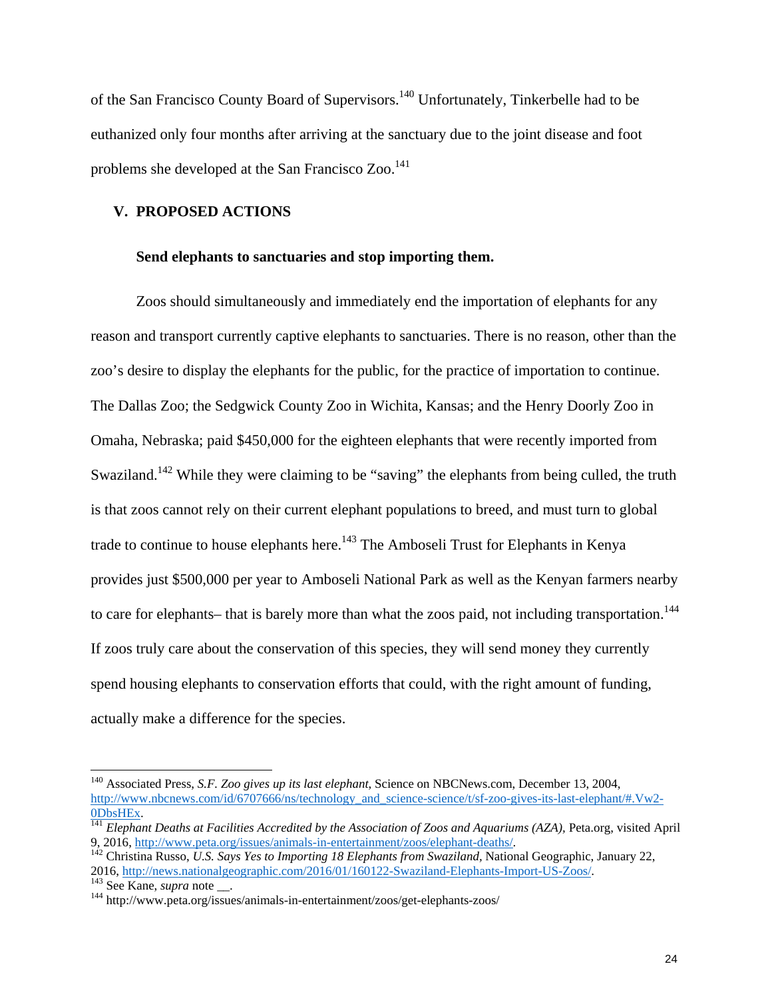of the San Francisco County Board of Supervisors.140 Unfortunately, Tinkerbelle had to be euthanized only four months after arriving at the sanctuary due to the joint disease and foot problems she developed at the San Francisco  $Z_{00}$ <sup>141</sup>

#### **V. PROPOSED ACTIONS**

#### **Send elephants to sanctuaries and stop importing them.**

Zoos should simultaneously and immediately end the importation of elephants for any reason and transport currently captive elephants to sanctuaries. There is no reason, other than the zoo's desire to display the elephants for the public, for the practice of importation to continue. The Dallas Zoo; the Sedgwick County Zoo in Wichita, Kansas; and the Henry Doorly Zoo in Omaha, Nebraska; paid \$450,000 for the eighteen elephants that were recently imported from Swaziland.<sup>142</sup> While they were claiming to be "saving" the elephants from being culled, the truth is that zoos cannot rely on their current elephant populations to breed, and must turn to global trade to continue to house elephants here.<sup>143</sup> The Amboseli Trust for Elephants in Kenya provides just \$500,000 per year to Amboseli National Park as well as the Kenyan farmers nearby to care for elephants– that is barely more than what the zoos paid, not including transportation.<sup>144</sup> If zoos truly care about the conservation of this species, they will send money they currently spend housing elephants to conservation efforts that could, with the right amount of funding, actually make a difference for the species.

<sup>140</sup> Associated Press, *S.F. Zoo gives up its last elephant*, Science on NBCNews.com, December 13, 2004, http://www.nbcnews.com/id/6707666/ns/technology\_and\_science-science/t/sf-zoo-gives-its-last-elephant/#.Vw2-

<sup>0</sup>DbsHEx. <sup>141</sup> *Elephant Deaths at Facilities Accredited by the Association of Zoos and Aquariums (AZA),* Peta.org, visited April

<sup>9, 2016,</sup> http://www.peta.org/issues/animals-in-entertainment/zoos/elephant-deaths/.<br><sup>142</sup> Christina Russo, *U.S. Says Yes to Importing 18 Elephants from Swaziland*, National Geographic, January 22,<br>2016. http://news.nation

<sup>&</sup>lt;sup>143</sup> See Kane, *supra* note \_\_.<br><sup>143</sup> http://www.peta.org/issues/animals-in-entertainment/zoos/get-elephants-zoos/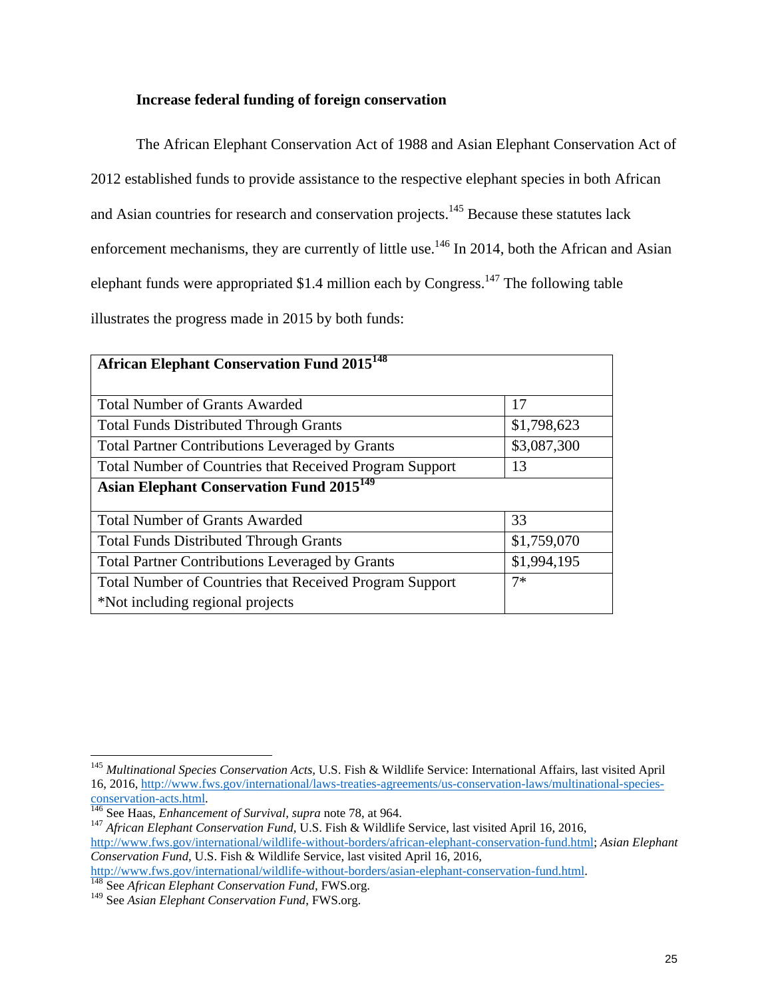#### **Increase federal funding of foreign conservation**

The African Elephant Conservation Act of 1988 and Asian Elephant Conservation Act of 2012 established funds to provide assistance to the respective elephant species in both African and Asian countries for research and conservation projects.<sup>145</sup> Because these statutes lack enforcement mechanisms, they are currently of little use.<sup>146</sup> In 2014, both the African and Asian elephant funds were appropriated \$1.4 million each by Congress.<sup>147</sup> The following table illustrates the progress made in 2015 by both funds:

| <b>African Elephant Conservation Fund 2015</b> <sup>148</sup>  |             |  |
|----------------------------------------------------------------|-------------|--|
| <b>Total Number of Grants Awarded</b>                          | 17          |  |
|                                                                |             |  |
| <b>Total Funds Distributed Through Grants</b>                  | \$1,798,623 |  |
| <b>Total Partner Contributions Leveraged by Grants</b>         | \$3,087,300 |  |
| <b>Total Number of Countries that Received Program Support</b> | 13          |  |
| <b>Asian Elephant Conservation Fund 2015</b> <sup>149</sup>    |             |  |
| <b>Total Number of Grants Awarded</b>                          | 33          |  |
| <b>Total Funds Distributed Through Grants</b>                  | \$1,759,070 |  |
| <b>Total Partner Contributions Leveraged by Grants</b>         | \$1,994,195 |  |
| <b>Total Number of Countries that Received Program Support</b> | $7*$        |  |
| *Not including regional projects                               |             |  |

<sup>145</sup> *Multinational Species Conservation Acts,* U.S. Fish & Wildlife Service: International Affairs, last visited April 16, 2016, http://www.fws.gov/international/laws-treaties-agreements/us-conservation-laws/multinational-speciesconservation-acts.html. 146 See Haas, *Enhancement of Survival, supra* note 78, at 964. 147 *African Elephant Conservation Fund,* U.S. Fish & Wildlife Service, last visited April 16, 2016,

http://www.fws.gov/international/wildlife-without-borders/african-elephant-conservation-fund.html; *Asian Elephant Conservation Fund,* U.S. Fish & Wildlife Service, last visited April 16, 2016,

http://www.fws.gov/international/wildlife-without-borders/asian-elephant-conservation-fund.html. 148 See *African Elephant Conservation Fund*, FWS.org.

<sup>149</sup> See *Asian Elephant Conservation Fund*, FWS.org.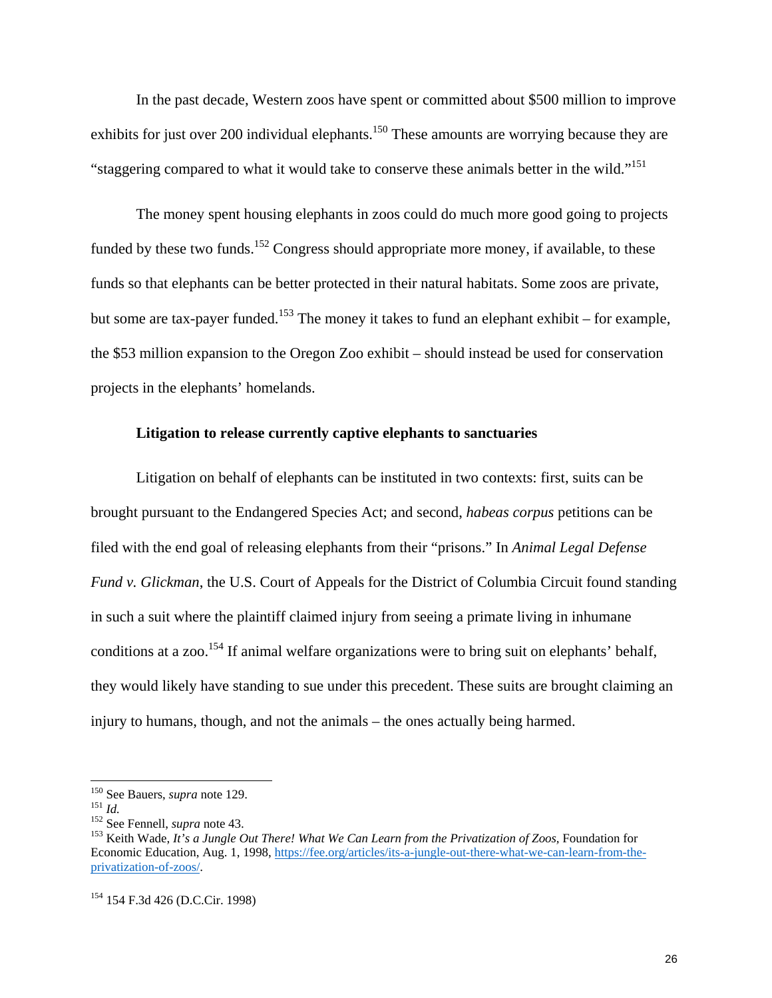In the past decade, Western zoos have spent or committed about \$500 million to improve exhibits for just over 200 individual elephants.<sup>150</sup> These amounts are worrying because they are "staggering compared to what it would take to conserve these animals better in the wild."<sup>151</sup>

The money spent housing elephants in zoos could do much more good going to projects funded by these two funds.<sup>152</sup> Congress should appropriate more money, if available, to these funds so that elephants can be better protected in their natural habitats. Some zoos are private, but some are tax-payer funded.<sup>153</sup> The money it takes to fund an elephant exhibit – for example, the \$53 million expansion to the Oregon Zoo exhibit – should instead be used for conservation projects in the elephants' homelands.

#### **Litigation to release currently captive elephants to sanctuaries**

Litigation on behalf of elephants can be instituted in two contexts: first, suits can be brought pursuant to the Endangered Species Act; and second, *habeas corpus* petitions can be filed with the end goal of releasing elephants from their "prisons." In *Animal Legal Defense Fund v. Glickman*, the U.S. Court of Appeals for the District of Columbia Circuit found standing in such a suit where the plaintiff claimed injury from seeing a primate living in inhumane conditions at a zoo.<sup>154</sup> If animal welfare organizations were to bring suit on elephants' behalf, they would likely have standing to sue under this precedent. These suits are brought claiming an injury to humans, though, and not the animals – the ones actually being harmed.

<sup>&</sup>lt;sup>150</sup> See Bauers, *supra* note 129.

<sup>151</sup> *Id.*<br><sup>152</sup> See Fennell, *supra* note 43.<br><sup>152</sup> See Fennell, *supra* note 43.<br><sup>153</sup> Keith Wade, *It's a Jungle Out There! What We Can Learn from the Privatization of Zoos, Foundation for* Economic Education, Aug. 1, 1998, https://fee.org/articles/its-a-jungle-out-there-what-we-can-learn-from-theprivatization-of-zoos/.

<sup>154 154</sup> F.3d 426 (D.C.Cir. 1998)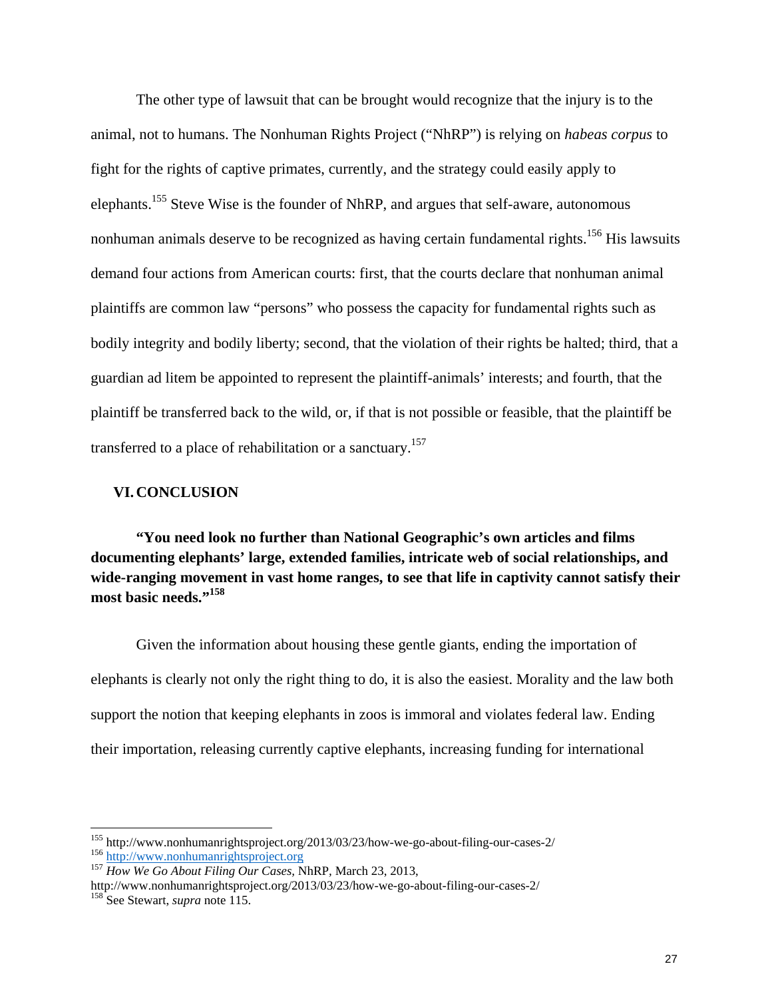The other type of lawsuit that can be brought would recognize that the injury is to the animal, not to humans. The Nonhuman Rights Project ("NhRP") is relying on *habeas corpus* to fight for the rights of captive primates, currently, and the strategy could easily apply to elephants.155 Steve Wise is the founder of NhRP, and argues that self-aware, autonomous nonhuman animals deserve to be recognized as having certain fundamental rights.<sup>156</sup> His lawsuits demand four actions from American courts: first, that the courts declare that nonhuman animal plaintiffs are common law "persons" who possess the capacity for fundamental rights such as bodily integrity and bodily liberty; second, that the violation of their rights be halted; third, that a guardian ad litem be appointed to represent the plaintiff-animals' interests; and fourth, that the plaintiff be transferred back to the wild, or, if that is not possible or feasible, that the plaintiff be transferred to a place of rehabilitation or a sanctuary.<sup>157</sup>

#### **VI.CONCLUSION**

**"You need look no further than National Geographic's own articles and films documenting elephants' large, extended families, intricate web of social relationships, and wide-ranging movement in vast home ranges, to see that life in captivity cannot satisfy their most basic needs."158**

Given the information about housing these gentle giants, ending the importation of elephants is clearly not only the right thing to do, it is also the easiest. Morality and the law both support the notion that keeping elephants in zoos is immoral and violates federal law. Ending their importation, releasing currently captive elephants, increasing funding for international

<sup>155</sup> http://www.nonhumanrightsproject.org/2013/03/23/how-we-go-about-filing-our-cases-2/ <sup>156</sup> http://www.nonhumanrightsproject.org <sup>157</sup> *How We Go About Filing Our Cases,* NhRP*,* March 23, 2013,

http://www.nonhumanrightsproject.org/2013/03/23/how-we-go-about-filing-our-cases-2/ 158 See Stewart, *supra* note 115.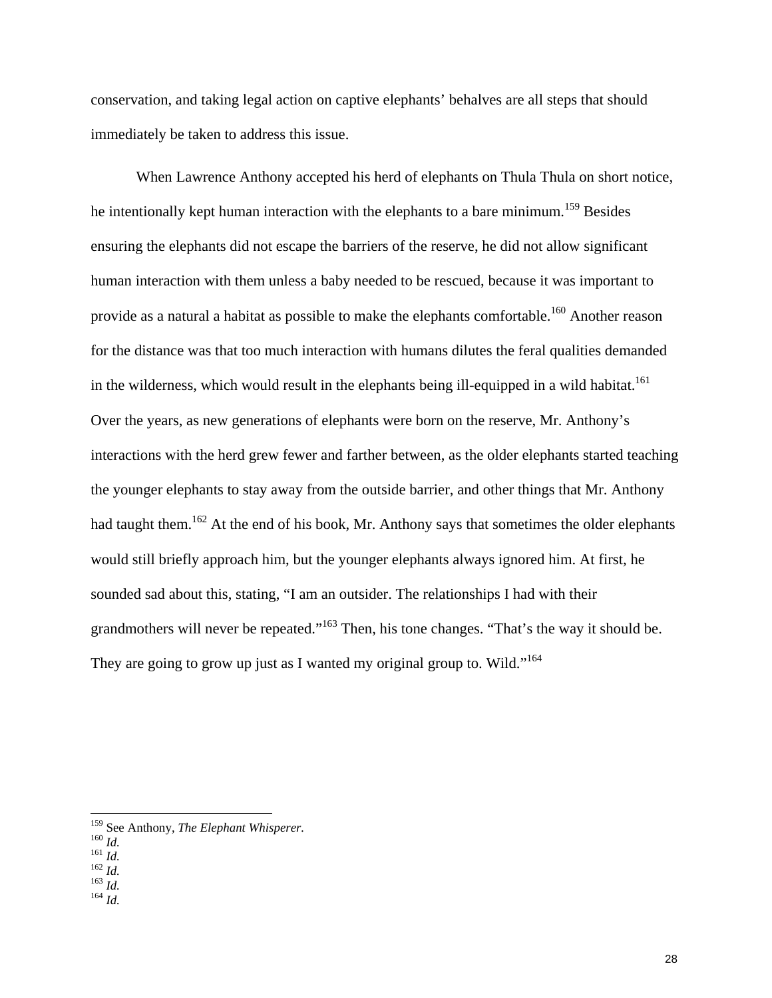conservation, and taking legal action on captive elephants' behalves are all steps that should immediately be taken to address this issue.

When Lawrence Anthony accepted his herd of elephants on Thula Thula on short notice, he intentionally kept human interaction with the elephants to a bare minimum.<sup>159</sup> Besides ensuring the elephants did not escape the barriers of the reserve, he did not allow significant human interaction with them unless a baby needed to be rescued, because it was important to provide as a natural a habitat as possible to make the elephants comfortable.<sup>160</sup> Another reason for the distance was that too much interaction with humans dilutes the feral qualities demanded in the wilderness, which would result in the elephants being ill-equipped in a wild habitat.<sup>161</sup> Over the years, as new generations of elephants were born on the reserve, Mr. Anthony's interactions with the herd grew fewer and farther between, as the older elephants started teaching the younger elephants to stay away from the outside barrier, and other things that Mr. Anthony had taught them.<sup>162</sup> At the end of his book, Mr. Anthony says that sometimes the older elephants would still briefly approach him, but the younger elephants always ignored him. At first, he sounded sad about this, stating, "I am an outsider. The relationships I had with their grandmothers will never be repeated."163 Then, his tone changes. "That's the way it should be. They are going to grow up just as I wanted my original group to. Wild."<sup>164</sup>

<sup>159</sup> See Anthony, *The Elephant Whisperer.* <sup>160</sup> *Id.* <sup>161</sup> *Id.* <sup>162</sup> *Id.* <sup>163</sup> *Id.* <sup>164</sup> *Id.*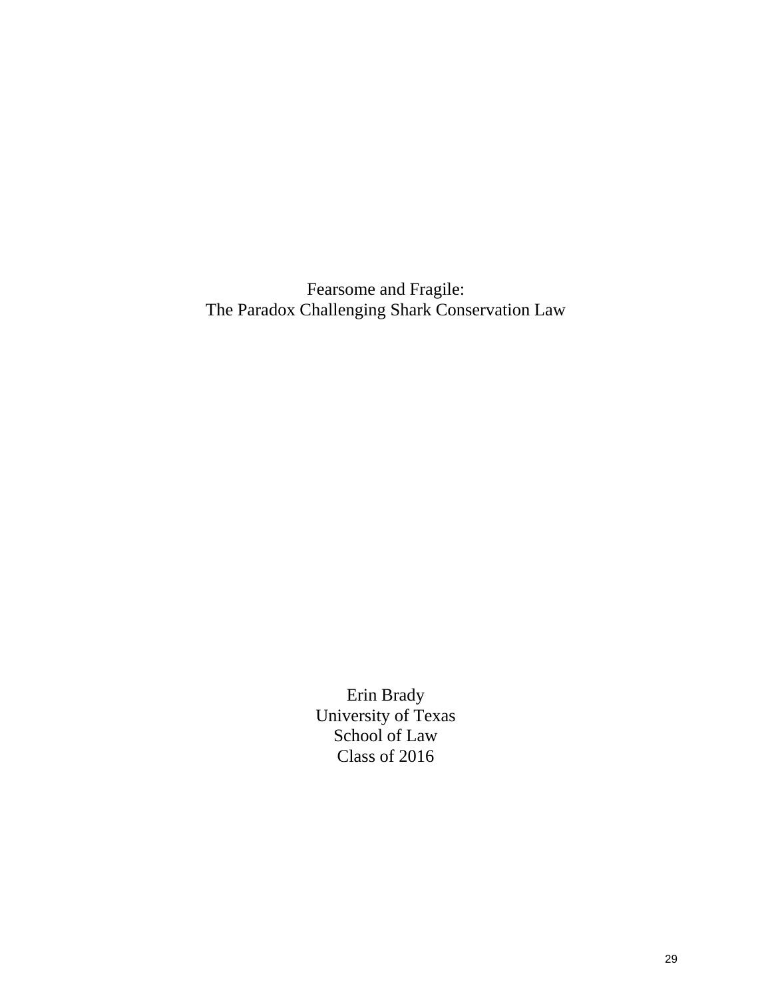Fearsome and Fragile: The Paradox Challenging Shark Conservation Law

> Erin Brady University of Texas School of Law Class of 2016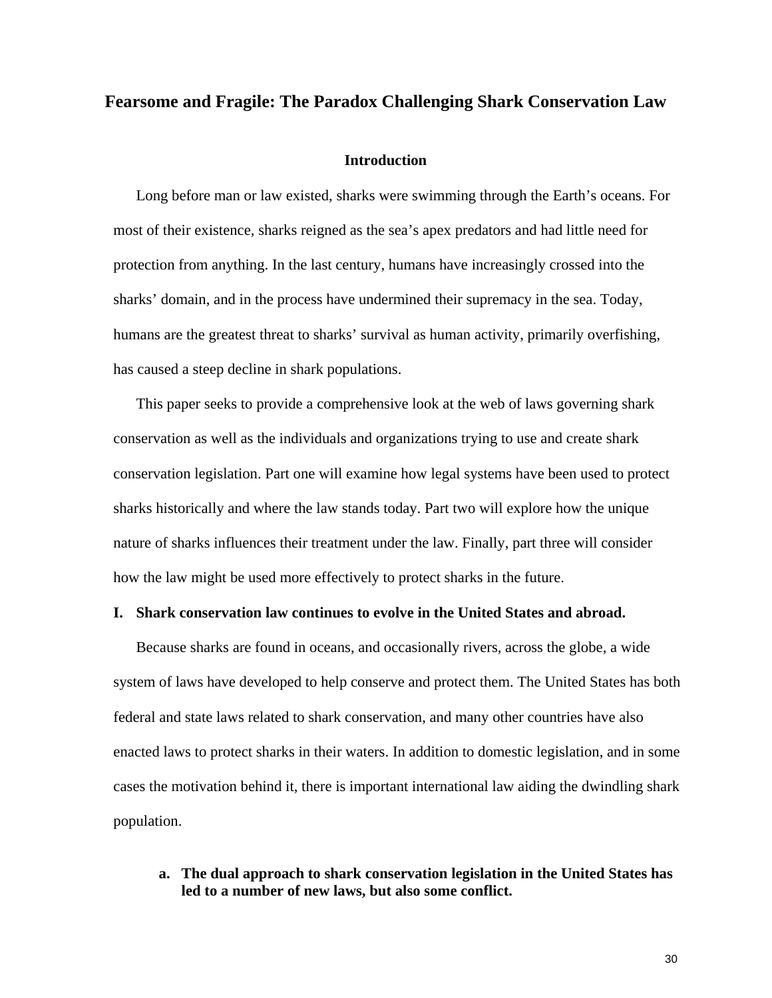#### **Fearsome and Fragile: The Paradox Challenging Shark Conservation Law**

#### **Introduction**

Long before man or law existed, sharks were swimming through the Earth's oceans. For most of their existence, sharks reigned as the sea's apex predators and had little need for protection from anything. In the last century, humans have increasingly crossed into the sharks' domain, and in the process have undermined their supremacy in the sea. Today, humans are the greatest threat to sharks' survival as human activity, primarily overfishing, has caused a steep decline in shark populations.

This paper seeks to provide a comprehensive look at the web of laws governing shark conservation as well as the individuals and organizations trying to use and create shark conservation legislation. Part one will examine how legal systems have been used to protect sharks historically and where the law stands today. Part two will explore how the unique nature of sharks influences their treatment under the law. Finally, part three will consider how the law might be used more effectively to protect sharks in the future.

#### **I. Shark conservation law continues to evolve in the United States and abroad.**

Because sharks are found in oceans, and occasionally rivers, across the globe, a wide system of laws have developed to help conserve and protect them. The United States has both federal and state laws related to shark conservation, and many other countries have also enacted laws to protect sharks in their waters. In addition to domestic legislation, and in some cases the motivation behind it, there is important international law aiding the dwindling shark population.

#### **a. The dual approach to shark conservation legislation in the United States has led to a number of new laws, but also some conflict.**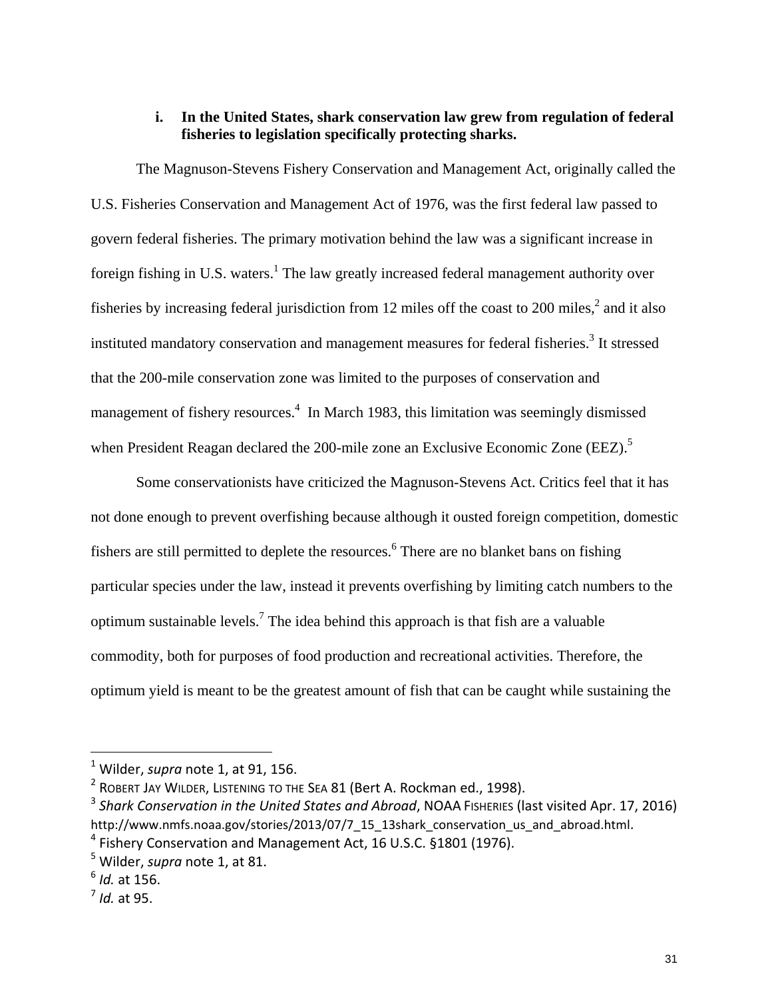### **i. In the United States, shark conservation law grew from regulation of federal fisheries to legislation specifically protecting sharks.**

The Magnuson-Stevens Fishery Conservation and Management Act, originally called the U.S. Fisheries Conservation and Management Act of 1976, was the first federal law passed to govern federal fisheries. The primary motivation behind the law was a significant increase in foreign fishing in U.S. waters.<sup>1</sup> The law greatly increased federal management authority over fisheries by increasing federal jurisdiction from 12 miles off the coast to 200 miles, $^2$  and it also instituted mandatory conservation and management measures for federal fisheries.<sup>3</sup> It stressed that the 200-mile conservation zone was limited to the purposes of conservation and management of fishery resources.<sup>4</sup> In March 1983, this limitation was seemingly dismissed when President Reagan declared the 200-mile zone an Exclusive Economic Zone (EEZ).<sup>5</sup>

Some conservationists have criticized the Magnuson-Stevens Act. Critics feel that it has not done enough to prevent overfishing because although it ousted foreign competition, domestic fishers are still permitted to deplete the resources.<sup>6</sup> There are no blanket bans on fishing particular species under the law, instead it prevents overfishing by limiting catch numbers to the optimum sustainable levels.<sup>7</sup> The idea behind this approach is that fish are a valuable commodity, both for purposes of food production and recreational activities. Therefore, the optimum yield is meant to be the greatest amount of fish that can be caught while sustaining the

<sup>1</sup> Wilder, *supra* note 1, at 91, 156.

<sup>&</sup>lt;sup>2</sup> ROBERT JAY WILDER, LISTENING TO THE SEA 81 (Bert A. Rockman ed., 1998).

<sup>3</sup> *Shark Conservation in the United States and Abroad*, NOAA FISHERIES (last visited Apr. 17, 2016) http://www.nmfs.noaa.gov/stories/2013/07/7\_15\_13shark\_conservation\_us\_and\_abroad.html.  $4$  Fishery Conservation and Management Act, 16 U.S.C. §1801 (1976).

<sup>5</sup> Wilder, *supra* note 1, at 81.

<sup>6</sup> *Id.* at 156.

<sup>7</sup> *Id.* at 95.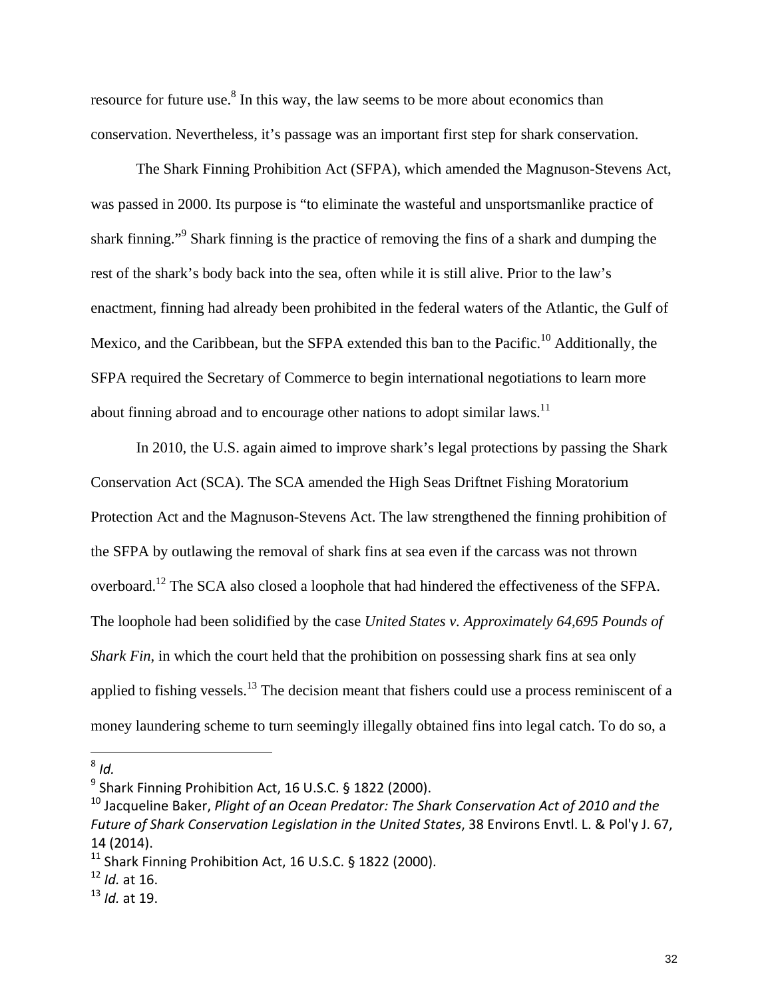resource for future use.<sup>8</sup> In this way, the law seems to be more about economics than conservation. Nevertheless, it's passage was an important first step for shark conservation.

The Shark Finning Prohibition Act (SFPA), which amended the Magnuson-Stevens Act, was passed in 2000. Its purpose is "to eliminate the wasteful and unsportsmanlike practice of shark finning."<sup>9</sup> Shark finning is the practice of removing the fins of a shark and dumping the rest of the shark's body back into the sea, often while it is still alive. Prior to the law's enactment, finning had already been prohibited in the federal waters of the Atlantic, the Gulf of Mexico, and the Caribbean, but the SFPA extended this ban to the Pacific.<sup>10</sup> Additionally, the SFPA required the Secretary of Commerce to begin international negotiations to learn more about finning abroad and to encourage other nations to adopt similar laws.<sup>11</sup>

In 2010, the U.S. again aimed to improve shark's legal protections by passing the Shark Conservation Act (SCA). The SCA amended the High Seas Driftnet Fishing Moratorium Protection Act and the Magnuson-Stevens Act. The law strengthened the finning prohibition of the SFPA by outlawing the removal of shark fins at sea even if the carcass was not thrown overboard.12 The SCA also closed a loophole that had hindered the effectiveness of the SFPA. The loophole had been solidified by the case *United States v. Approximately 64,695 Pounds of Shark Fin*, in which the court held that the prohibition on possessing shark fins at sea only applied to fishing vessels.<sup>13</sup> The decision meant that fishers could use a process reminiscent of a money laundering scheme to turn seemingly illegally obtained fins into legal catch. To do so, a

 $8$  *Id.* 

<sup>&</sup>lt;sup>9</sup> Shark Finning Prohibition Act, 16 U.S.C. § 1822 (2000).

<sup>10</sup> Jacqueline Baker, *Plight of an Ocean Predator: The Shark Conservation Act of 2010 and the Future of Shark Conservation Legislation in the United States*, 38 Environs Envtl. L. & Pol'y J. 67, 14 (2014).

 $11$  Shark Finning Prohibition Act, 16 U.S.C. § 1822 (2000).

<sup>12</sup> *Id.* at 16.

<sup>13</sup> *Id.* at 19.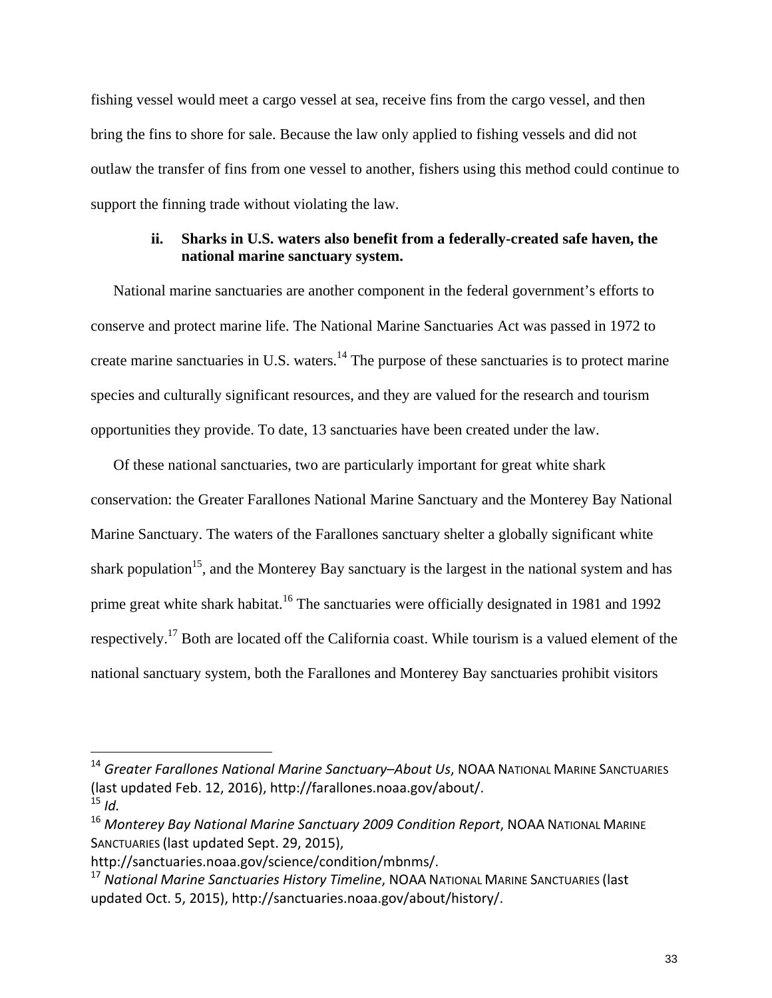fishing vessel would meet a cargo vessel at sea, receive fins from the cargo vessel, and then bring the fins to shore for sale. Because the law only applied to fishing vessels and did not outlaw the transfer of fins from one vessel to another, fishers using this method could continue to support the finning trade without violating the law.

#### **ii. Sharks in U.S. waters also benefit from a federally-created safe haven, the national marine sanctuary system.**

National marine sanctuaries are another component in the federal government's efforts to conserve and protect marine life. The National Marine Sanctuaries Act was passed in 1972 to create marine sanctuaries in U.S. waters.14 The purpose of these sanctuaries is to protect marine species and culturally significant resources, and they are valued for the research and tourism opportunities they provide. To date, 13 sanctuaries have been created under the law.

Of these national sanctuaries, two are particularly important for great white shark conservation: the Greater Farallones National Marine Sanctuary and the Monterey Bay National Marine Sanctuary. The waters of the Farallones sanctuary shelter a globally significant white shark population<sup>15</sup>, and the Monterey Bay sanctuary is the largest in the national system and has prime great white shark habitat.<sup>16</sup> The sanctuaries were officially designated in 1981 and 1992 respectively.17 Both are located off the California coast. While tourism is a valued element of the national sanctuary system, both the Farallones and Monterey Bay sanctuaries prohibit visitors

<sup>14</sup> *Greater Farallones National Marine Sanctuary*–*About Us*, NOAA NATIONAL MARINE SANCTUARIES (last updated Feb. 12, 2016), http://farallones.noaa.gov/about/.  $15$  *Id.* 

<sup>16</sup> *Monterey Bay National Marine Sanctuary 2009 Condition Report*, NOAA NATIONAL MARINE SANCTUARIES (last updated Sept. 29, 2015),

http://sanctuaries.noaa.gov/science/condition/mbnms/.

<sup>17</sup> *National Marine Sanctuaries History Timeline*, NOAA NATIONAL MARINE SANCTUARIES (last updated Oct. 5, 2015), http://sanctuaries.noaa.gov/about/history/.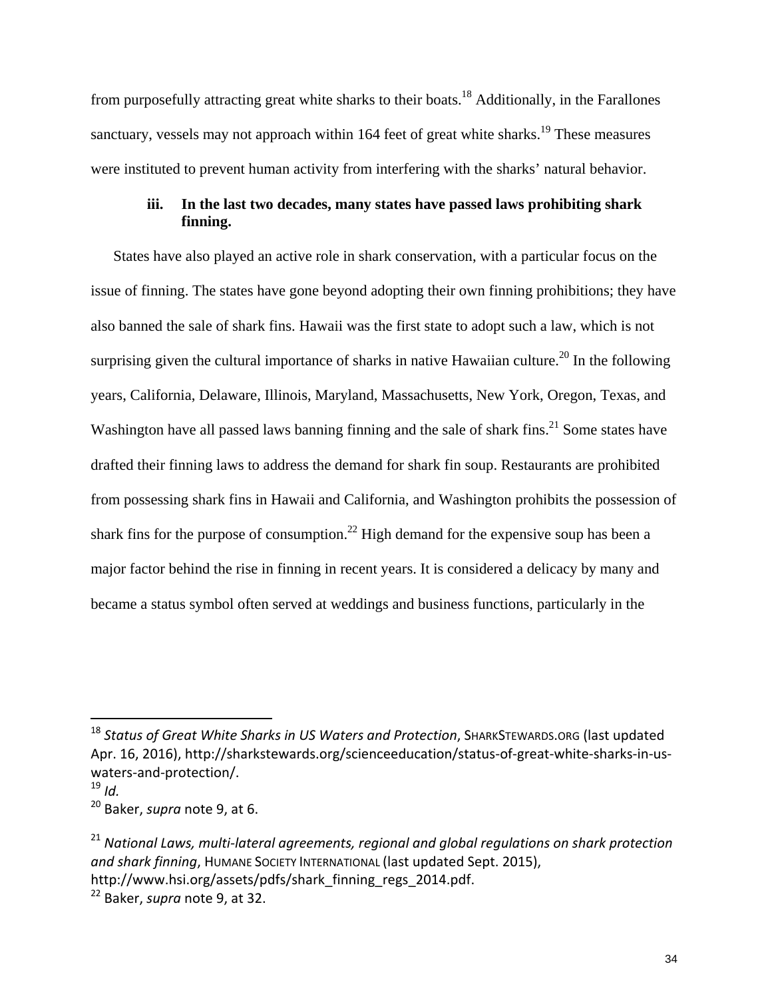from purposefully attracting great white sharks to their boats.18 Additionally, in the Farallones sanctuary, vessels may not approach within 164 feet of great white sharks.<sup>19</sup> These measures were instituted to prevent human activity from interfering with the sharks' natural behavior.

## **iii. In the last two decades, many states have passed laws prohibiting shark finning.**

States have also played an active role in shark conservation, with a particular focus on the issue of finning. The states have gone beyond adopting their own finning prohibitions; they have also banned the sale of shark fins. Hawaii was the first state to adopt such a law, which is not surprising given the cultural importance of sharks in native Hawaiian culture.<sup>20</sup> In the following years, California, Delaware, Illinois, Maryland, Massachusetts, New York, Oregon, Texas, and Washington have all passed laws banning finning and the sale of shark fins.<sup>21</sup> Some states have drafted their finning laws to address the demand for shark fin soup. Restaurants are prohibited from possessing shark fins in Hawaii and California, and Washington prohibits the possession of shark fins for the purpose of consumption.<sup>22</sup> High demand for the expensive soup has been a major factor behind the rise in finning in recent years. It is considered a delicacy by many and became a status symbol often served at weddings and business functions, particularly in the

<sup>18</sup> *Status of Great White Sharks in US Waters and Protection*, SHARKSTEWARDS.ORG (last updated Apr. 16, 2016), http://sharkstewards.org/scienceeducation/status‐of‐great‐white‐sharks‐in‐us‐ waters‐and‐protection/.

 $19$  *Id.* 

<sup>20</sup> Baker, *supra* note 9, at 6.

<sup>21</sup> *National Laws, multi‐lateral agreements, regional and global regulations on shark protection and shark finning*, HUMANE SOCIETY INTERNATIONAL (last updated Sept. 2015), http://www.hsi.org/assets/pdfs/shark finning regs 2014.pdf.

<sup>22</sup> Baker, *supra* note 9, at 32.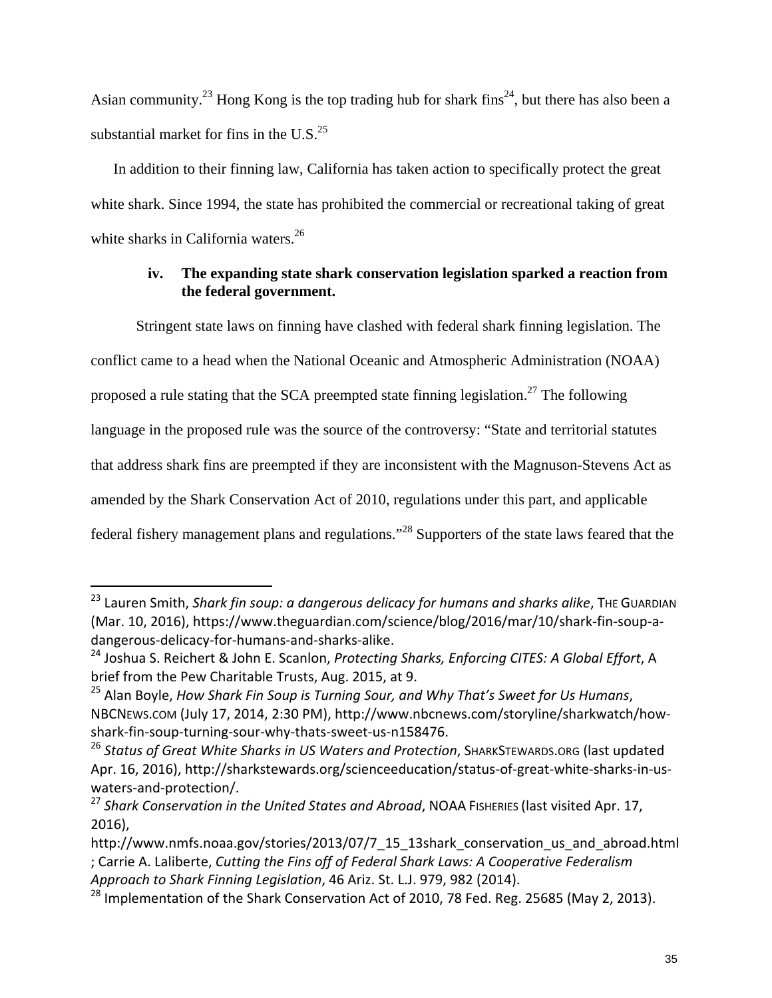Asian community.<sup>23</sup> Hong Kong is the top trading hub for shark fins<sup>24</sup>, but there has also been a substantial market for fins in the U.S. $^{25}$ 

In addition to their finning law, California has taken action to specifically protect the great white shark. Since 1994, the state has prohibited the commercial or recreational taking of great white sharks in California waters.<sup>26</sup>

### **iv. The expanding state shark conservation legislation sparked a reaction from the federal government.**

Stringent state laws on finning have clashed with federal shark finning legislation. The conflict came to a head when the National Oceanic and Atmospheric Administration (NOAA) proposed a rule stating that the SCA preempted state finning legislation.<sup>27</sup> The following language in the proposed rule was the source of the controversy: "State and territorial statutes that address shark fins are preempted if they are inconsistent with the Magnuson-Stevens Act as amended by the Shark Conservation Act of 2010, regulations under this part, and applicable federal fishery management plans and regulations."28 Supporters of the state laws feared that the

<sup>23</sup> Lauren Smith, *Shark fin soup: a dangerous delicacy for humans and sharks alike*, THE GUARDIAN (Mar. 10, 2016), https://www.theguardian.com/science/blog/2016/mar/10/shark‐fin‐soup‐a‐ dangerous‐delicacy‐for‐humans‐and‐sharks‐alike.

<sup>24</sup> Joshua S. Reichert & John E. Scanlon, *Protecting Sharks, Enforcing CITES: A Global Effort*, A brief from the Pew Charitable Trusts, Aug. 2015, at 9.

<sup>25</sup> Alan Boyle, *How Shark Fin Soup is Turning Sour, and Why That's Sweet for Us Humans*, NBCNEWS.COM (July 17, 2014, 2:30 PM), http://www.nbcnews.com/storyline/sharkwatch/how‐ shark‐fin‐soup‐turning‐sour‐why‐thats‐sweet‐us‐n158476.

<sup>26</sup> *Status of Great White Sharks in US Waters and Protection*, SHARKSTEWARDS.ORG (last updated Apr. 16, 2016), http://sharkstewards.org/scienceeducation/status-of-great-white-sharks-in-uswaters‐and‐protection/.

<sup>27</sup> *Shark Conservation in the United States and Abroad*, NOAA FISHERIES (last visited Apr. 17, 2016),

http://www.nmfs.noaa.gov/stories/2013/07/7\_15\_13shark\_conservation\_us\_and\_abroad.html ; Carrie A. Laliberte, *Cutting the Fins off of Federal Shark Laws: A Cooperative Federalism Approach to Shark Finning Legislation*, 46 Ariz. St. L.J. 979, 982 (2014).

<sup>&</sup>lt;sup>28</sup> Implementation of the Shark Conservation Act of 2010, 78 Fed. Reg. 25685 (May 2, 2013).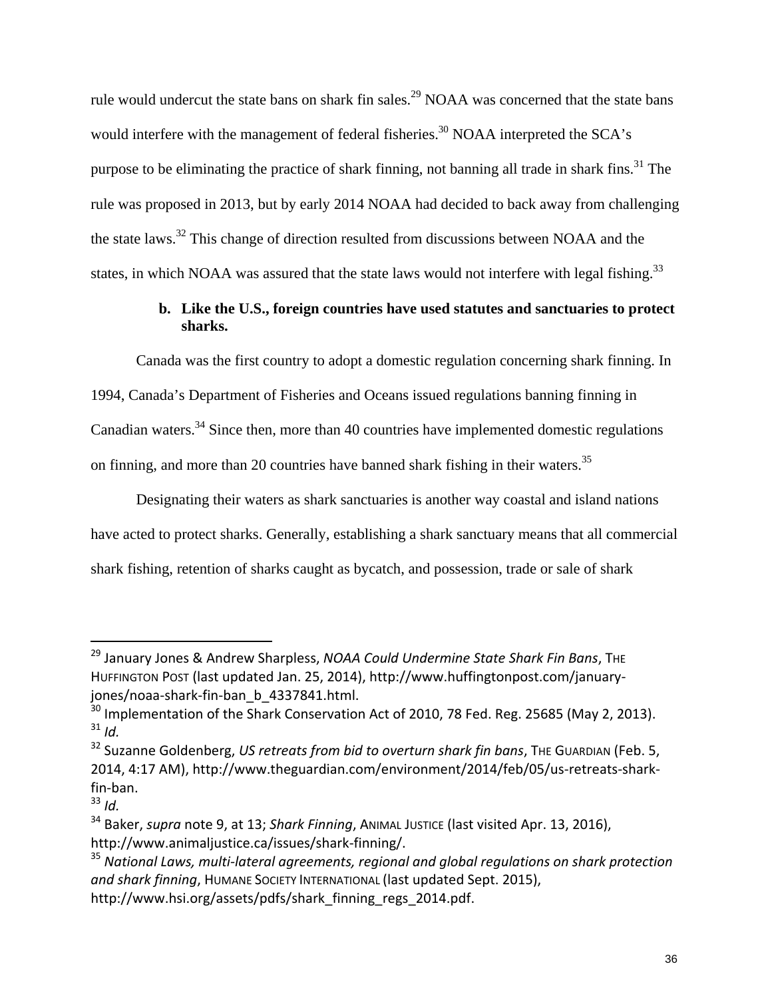rule would undercut the state bans on shark fin sales.<sup>29</sup> NOAA was concerned that the state bans would interfere with the management of federal fisheries.<sup>30</sup> NOAA interpreted the SCA's purpose to be eliminating the practice of shark finning, not banning all trade in shark fins.<sup>31</sup> The rule was proposed in 2013, but by early 2014 NOAA had decided to back away from challenging the state laws.32 This change of direction resulted from discussions between NOAA and the states, in which NOAA was assured that the state laws would not interfere with legal fishing.<sup>33</sup>

### **b. Like the U.S., foreign countries have used statutes and sanctuaries to protect sharks.**

Canada was the first country to adopt a domestic regulation concerning shark finning. In 1994, Canada's Department of Fisheries and Oceans issued regulations banning finning in Canadian waters.<sup>34</sup> Since then, more than 40 countries have implemented domestic regulations on finning, and more than 20 countries have banned shark fishing in their waters.35

Designating their waters as shark sanctuaries is another way coastal and island nations have acted to protect sharks. Generally, establishing a shark sanctuary means that all commercial shark fishing, retention of sharks caught as bycatch, and possession, trade or sale of shark

<sup>29</sup> January Jones & Andrew Sharpless, *NOAA Could Undermine State Shark Fin Bans*, THE HUFFINGTON POST (last updated Jan. 25, 2014), http://www.huffingtonpost.com/january‐ jones/noaa-shark-fin-ban\_b\_4337841.html.

 $30$  Implementation of the Shark Conservation Act of 2010, 78 Fed. Reg. 25685 (May 2, 2013).  $31$  *Id.* 

<sup>32</sup> Suzanne Goldenberg, *US retreats from bid to overturn shark fin bans*, THE GUARDIAN (Feb. 5, 2014, 4:17 AM), http://www.theguardian.com/environment/2014/feb/05/us‐retreats‐shark‐ fin‐ban.

 $33$  *Id.* 

<sup>34</sup> Baker, *supra* note 9, at 13; *Shark Finning*, ANIMAL JUSTICE (last visited Apr. 13, 2016), http://www.animaljustice.ca/issues/shark‐finning/.

<sup>35</sup> *National Laws, multi‐lateral agreements, regional and global regulations on shark protection and shark finning*, HUMANE SOCIETY INTERNATIONAL (last updated Sept. 2015), http://www.hsi.org/assets/pdfs/shark finning regs 2014.pdf.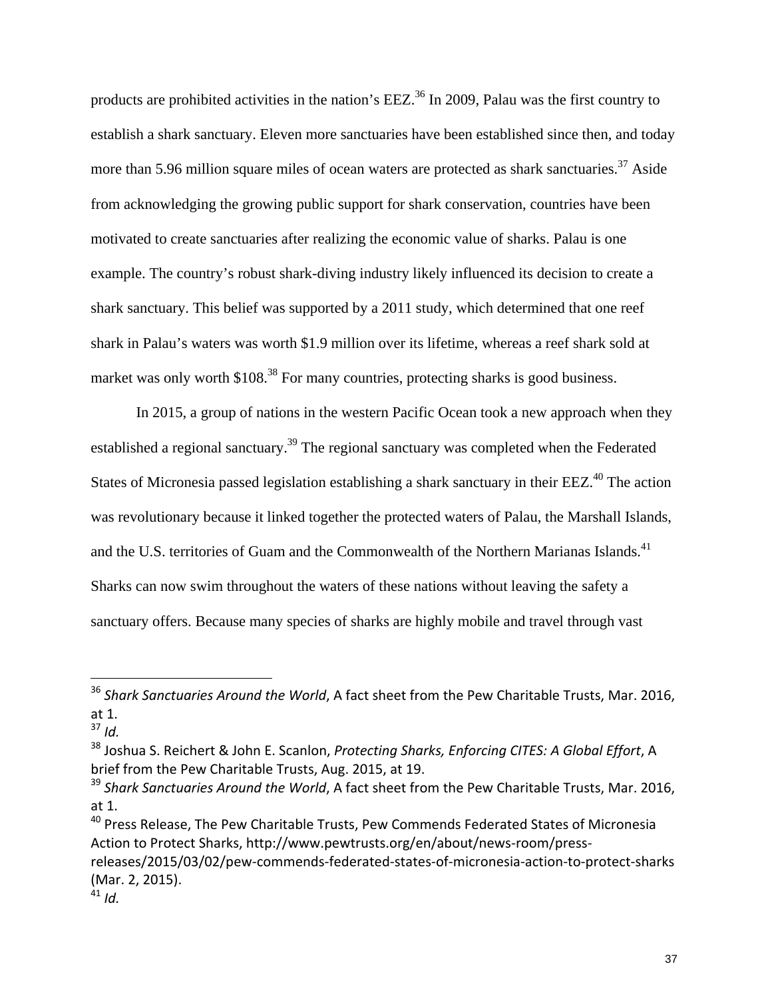products are prohibited activities in the nation's  $EEZ<sup>36</sup>$  In 2009, Palau was the first country to establish a shark sanctuary. Eleven more sanctuaries have been established since then, and today more than 5.96 million square miles of ocean waters are protected as shark sanctuaries.<sup>37</sup> Aside from acknowledging the growing public support for shark conservation, countries have been motivated to create sanctuaries after realizing the economic value of sharks. Palau is one example. The country's robust shark-diving industry likely influenced its decision to create a shark sanctuary. This belief was supported by a 2011 study, which determined that one reef shark in Palau's waters was worth \$1.9 million over its lifetime, whereas a reef shark sold at market was only worth \$108<sup>38</sup>. For many countries, protecting sharks is good business.

In 2015, a group of nations in the western Pacific Ocean took a new approach when they established a regional sanctuary.39 The regional sanctuary was completed when the Federated States of Micronesia passed legislation establishing a shark sanctuary in their EEZ.<sup>40</sup> The action was revolutionary because it linked together the protected waters of Palau, the Marshall Islands, and the U.S. territories of Guam and the Commonwealth of the Northern Marianas Islands.<sup>41</sup> Sharks can now swim throughout the waters of these nations without leaving the safety a sanctuary offers. Because many species of sharks are highly mobile and travel through vast

<sup>38</sup> Joshua S. Reichert & John E. Scanlon, *Protecting Sharks, Enforcing CITES: A Global Effort*, A brief from the Pew Charitable Trusts, Aug. 2015, at 19.

<sup>40</sup> Press Release, The Pew Charitable Trusts, Pew Commends Federated States of Micronesia Action to Protect Sharks, http://www.pewtrusts.org/en/about/news‐room/press‐

releases/2015/03/02/pew‐commends‐federated‐states‐of‐micronesia‐action‐to‐protect‐sharks (Mar. 2, 2015).

<sup>36</sup> *Shark Sanctuaries Around the World*, A fact sheet from the Pew Charitable Trusts, Mar. 2016, at 1.

 $37$  *Id.* 

<sup>39</sup> *Shark Sanctuaries Around the World*, A fact sheet from the Pew Charitable Trusts, Mar. 2016, at 1.

 $^{41}$  *Id.*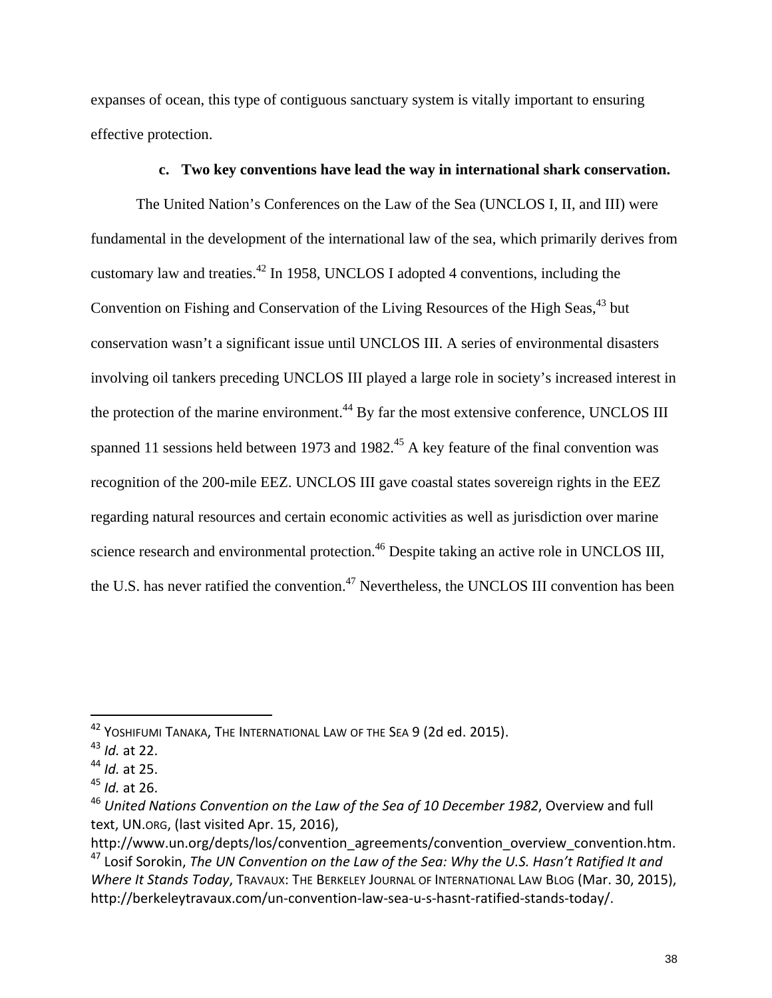expanses of ocean, this type of contiguous sanctuary system is vitally important to ensuring effective protection.

#### **c. Two key conventions have lead the way in international shark conservation.**

The United Nation's Conferences on the Law of the Sea (UNCLOS I, II, and III) were fundamental in the development of the international law of the sea, which primarily derives from customary law and treaties.42 In 1958, UNCLOS I adopted 4 conventions, including the Convention on Fishing and Conservation of the Living Resources of the High Seas,<sup>43</sup> but conservation wasn't a significant issue until UNCLOS III. A series of environmental disasters involving oil tankers preceding UNCLOS III played a large role in society's increased interest in the protection of the marine environment.<sup>44</sup> By far the most extensive conference, UNCLOS III spanned 11 sessions held between 1973 and 1982.<sup>45</sup> A key feature of the final convention was recognition of the 200-mile EEZ. UNCLOS III gave coastal states sovereign rights in the EEZ regarding natural resources and certain economic activities as well as jurisdiction over marine science research and environmental protection.<sup>46</sup> Despite taking an active role in UNCLOS III, the U.S. has never ratified the convention.<sup>47</sup> Nevertheless, the UNCLOS III convention has been

<sup>42</sup> YOSHIFUMI TANAKA, THE INTERNATIONAL LAW OF THE SEA 9 (2d ed. 2015).

<sup>43</sup> *Id.* at 22.

<sup>44</sup> *Id.* at 25.

<sup>45</sup> *Id.* at 26.

<sup>46</sup> *United Nations Convention on the Law of the Sea of 10 December 1982*, Overview and full text, UN.ORG, (last visited Apr. 15, 2016),

http://www.un.org/depts/los/convention\_agreements/convention\_overview\_convention.htm. <sup>47</sup> Losif Sorokin, *The UN Convention on the Law of the Sea: Why the U.S. Hasn't Ratified It and*

*Where It Stands Today*, TRAVAUX: THE BERKELEY JOURNAL OF INTERNATIONAL LAW BLOG (Mar. 30, 2015), http://berkeleytravaux.com/un‐convention‐law‐sea‐u‐s‐hasnt‐ratified‐stands‐today/.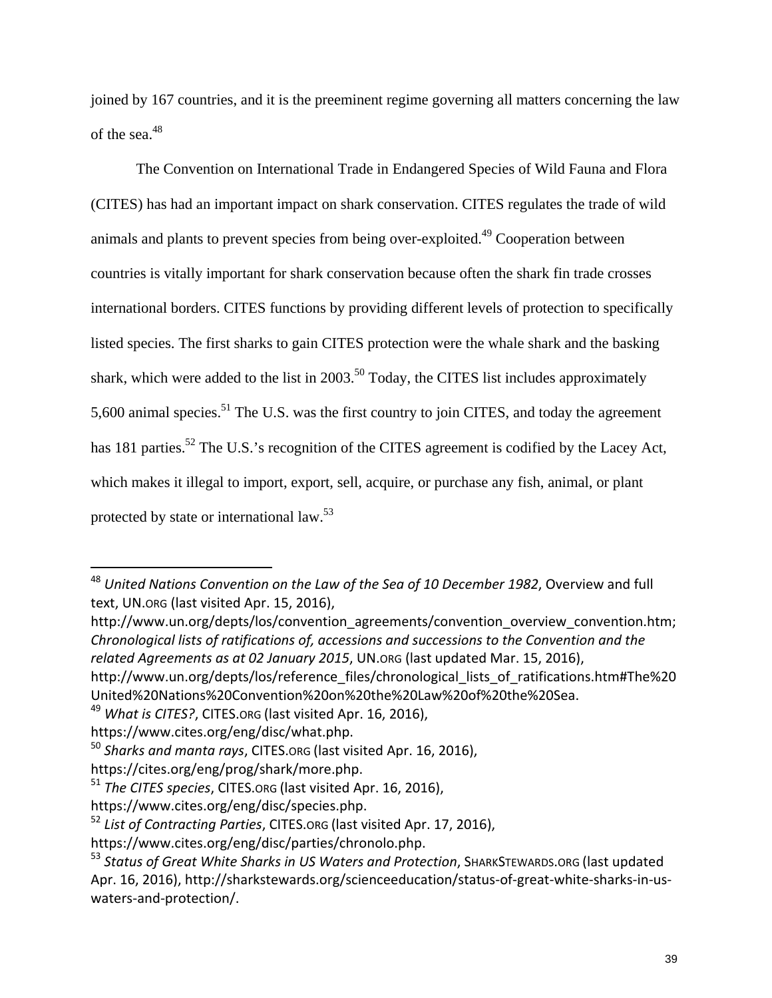joined by 167 countries, and it is the preeminent regime governing all matters concerning the law of the sea.<sup>48</sup>

The Convention on International Trade in Endangered Species of Wild Fauna and Flora (CITES) has had an important impact on shark conservation. CITES regulates the trade of wild animals and plants to prevent species from being over-exploited.49 Cooperation between countries is vitally important for shark conservation because often the shark fin trade crosses international borders. CITES functions by providing different levels of protection to specifically listed species. The first sharks to gain CITES protection were the whale shark and the basking shark, which were added to the list in  $2003$ <sup>50</sup> Today, the CITES list includes approximately 5,600 animal species.<sup>51</sup> The U.S. was the first country to join CITES, and today the agreement has 181 parties.<sup>52</sup> The U.S.'s recognition of the CITES agreement is codified by the Lacey Act, which makes it illegal to import, export, sell, acquire, or purchase any fish, animal, or plant protected by state or international law.53

<sup>48</sup> *United Nations Convention on the Law of the Sea of 10 December 1982*, Overview and full text, UN.ORG (last visited Apr. 15, 2016),

http://www.un.org/depts/los/convention\_agreements/convention\_overview\_convention.htm; *Chronological lists of ratifications of, accessions and successions to the Convention and the related Agreements as at 02 January 2015*, UN.ORG (last updated Mar. 15, 2016),

http://www.un.org/depts/los/reference\_files/chronological\_lists\_of\_ratifications.htm#The%20 United%20Nations%20Convention%20on%20the%20Law%20of%20the%20Sea.

<sup>49</sup> *What is CITES?*, CITES.ORG (last visited Apr. 16, 2016),

https://www.cites.org/eng/disc/what.php.

<sup>50</sup> *Sharks and manta rays*, CITES.ORG (last visited Apr. 16, 2016),

https://cites.org/eng/prog/shark/more.php.

<sup>51</sup> *The CITES species*, CITES.ORG (last visited Apr. 16, 2016),

https://www.cites.org/eng/disc/species.php.

<sup>52</sup> *List of Contracting Parties*, CITES.ORG (last visited Apr. 17, 2016),

https://www.cites.org/eng/disc/parties/chronolo.php.

<sup>53</sup> *Status of Great White Sharks in US Waters and Protection*, SHARKSTEWARDS.ORG (last updated Apr. 16, 2016), http://sharkstewards.org/scienceeducation/status-of-great-white-sharks-in-uswaters‐and‐protection/.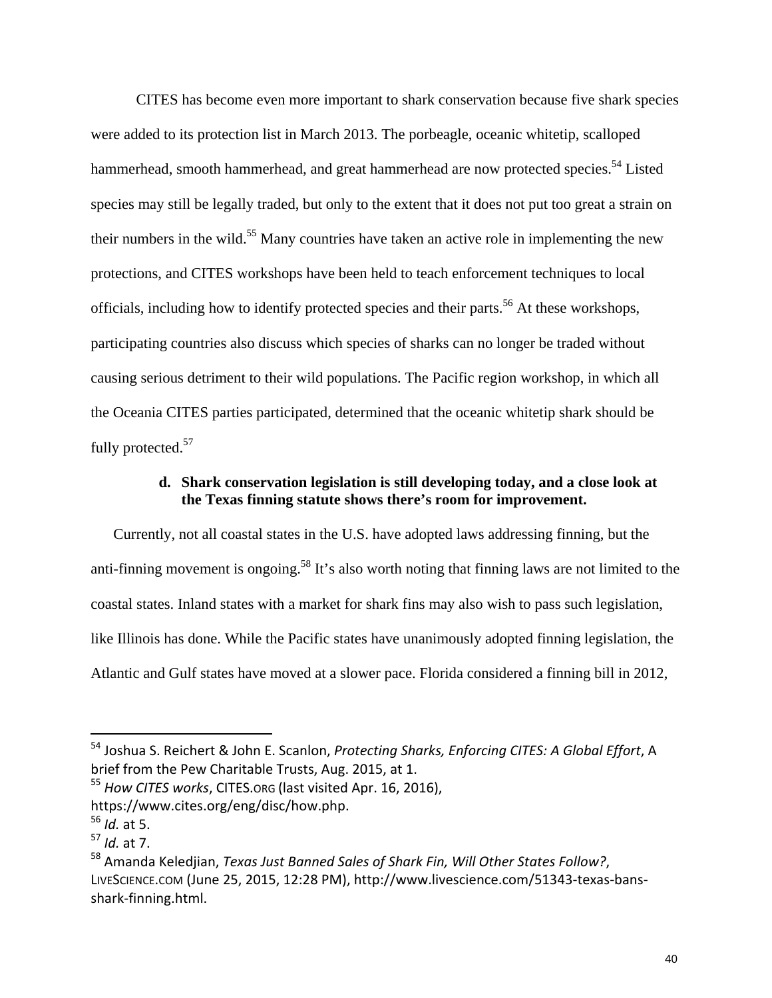CITES has become even more important to shark conservation because five shark species were added to its protection list in March 2013. The porbeagle, oceanic whitetip, scalloped hammerhead, smooth hammerhead, and great hammerhead are now protected species.<sup>54</sup> Listed species may still be legally traded, but only to the extent that it does not put too great a strain on their numbers in the wild.<sup>55</sup> Many countries have taken an active role in implementing the new protections, and CITES workshops have been held to teach enforcement techniques to local officials, including how to identify protected species and their parts.<sup>56</sup> At these workshops, participating countries also discuss which species of sharks can no longer be traded without causing serious detriment to their wild populations. The Pacific region workshop, in which all the Oceania CITES parties participated, determined that the oceanic whitetip shark should be fully protected.<sup>57</sup>

#### **d. Shark conservation legislation is still developing today, and a close look at the Texas finning statute shows there's room for improvement.**

Currently, not all coastal states in the U.S. have adopted laws addressing finning, but the anti-finning movement is ongoing.<sup>58</sup> It's also worth noting that finning laws are not limited to the coastal states. Inland states with a market for shark fins may also wish to pass such legislation, like Illinois has done. While the Pacific states have unanimously adopted finning legislation, the Atlantic and Gulf states have moved at a slower pace. Florida considered a finning bill in 2012,

<sup>54</sup> Joshua S. Reichert & John E. Scanlon, *Protecting Sharks, Enforcing CITES: A Global Effort*, A brief from the Pew Charitable Trusts, Aug. 2015, at 1.

<sup>55</sup> *How CITES works*, CITES.ORG (last visited Apr. 16, 2016),

https://www.cites.org/eng/disc/how.php.

<sup>56</sup> *Id.* at 5.

<sup>57</sup> *Id.* at 7.

<sup>58</sup> Amanda Keledjian, *Texas Just Banned Sales of Shark Fin, Will Other States Follow?*, LIVESCIENCE.COM (June 25, 2015, 12:28 PM), http://www.livescience.com/51343‐texas‐bans‐ shark‐finning.html.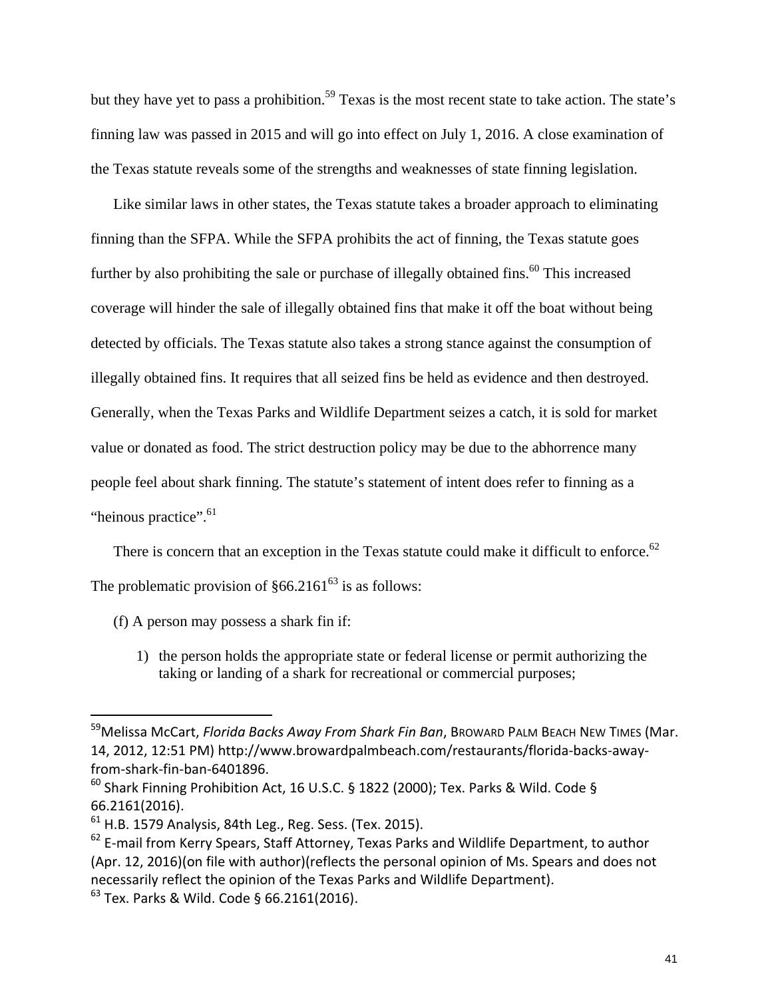but they have yet to pass a prohibition.<sup>59</sup> Texas is the most recent state to take action. The state's finning law was passed in 2015 and will go into effect on July 1, 2016. A close examination of the Texas statute reveals some of the strengths and weaknesses of state finning legislation.

Like similar laws in other states, the Texas statute takes a broader approach to eliminating finning than the SFPA. While the SFPA prohibits the act of finning, the Texas statute goes further by also prohibiting the sale or purchase of illegally obtained fins.<sup>60</sup> This increased coverage will hinder the sale of illegally obtained fins that make it off the boat without being detected by officials. The Texas statute also takes a strong stance against the consumption of illegally obtained fins. It requires that all seized fins be held as evidence and then destroyed. Generally, when the Texas Parks and Wildlife Department seizes a catch, it is sold for market value or donated as food. The strict destruction policy may be due to the abhorrence many people feel about shark finning. The statute's statement of intent does refer to finning as a "heinous practice".<sup>61</sup>

There is concern that an exception in the Texas statute could make it difficult to enforce.<sup>62</sup> The problematic provision of  $§66.2161^{63}$  is as follows:

(f) A person may possess a shark fin if:

1) the person holds the appropriate state or federal license or permit authorizing the taking or landing of a shark for recreational or commercial purposes;

<sup>59</sup>Melissa McCart, *Florida Backs Away From Shark Fin Ban*, BROWARD PALM BEACH NEW TIMES (Mar. 14, 2012, 12:51 PM) http://www.browardpalmbeach.com/restaurants/florida‐backs‐away‐ from‐shark‐fin‐ban‐6401896.

 $^{60}$  Shark Finning Prohibition Act, 16 U.S.C. § 1822 (2000); Tex. Parks & Wild. Code § 66.2161(2016).

 $61$  H.B. 1579 Analysis, 84th Leg., Reg. Sess. (Tex. 2015).

 $62$  E-mail from Kerry Spears, Staff Attorney, Texas Parks and Wildlife Department, to author (Apr. 12, 2016)(on file with author)(reflects the personal opinion of Ms. Spears and does not necessarily reflect the opinion of the Texas Parks and Wildlife Department).

<sup>63</sup> Tex. Parks & Wild. Code § 66.2161(2016).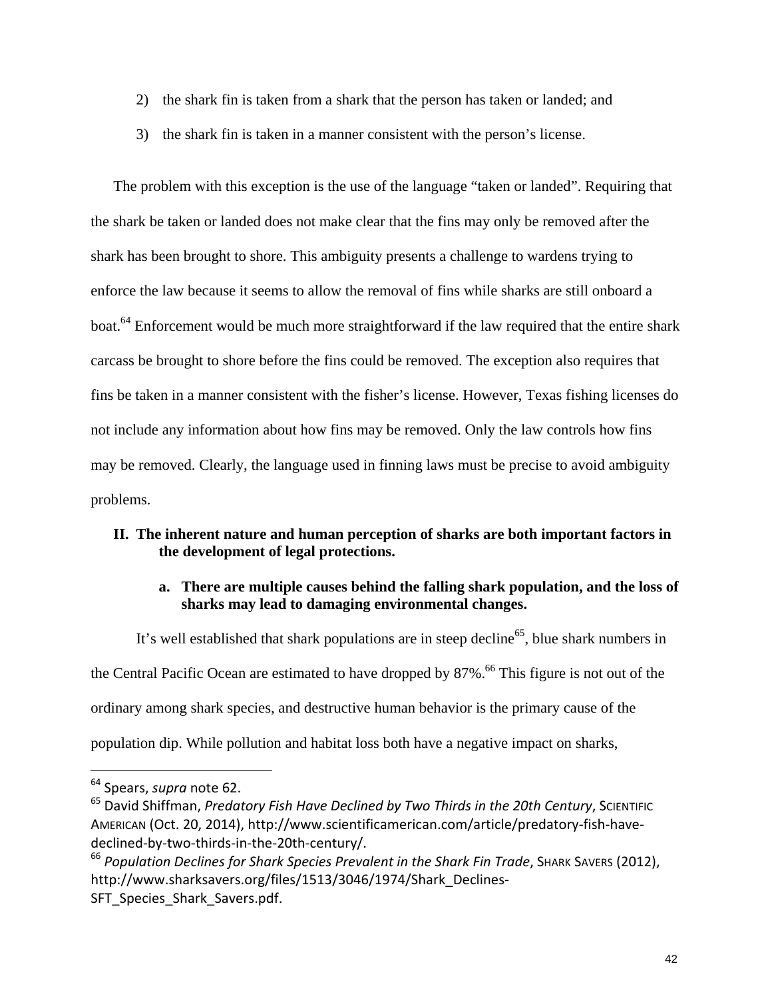- 2) the shark fin is taken from a shark that the person has taken or landed; and
- 3) the shark fin is taken in a manner consistent with the person's license.

The problem with this exception is the use of the language "taken or landed". Requiring that the shark be taken or landed does not make clear that the fins may only be removed after the shark has been brought to shore. This ambiguity presents a challenge to wardens trying to enforce the law because it seems to allow the removal of fins while sharks are still onboard a boat.<sup>64</sup> Enforcement would be much more straightforward if the law required that the entire shark carcass be brought to shore before the fins could be removed. The exception also requires that fins be taken in a manner consistent with the fisher's license. However, Texas fishing licenses do not include any information about how fins may be removed. Only the law controls how fins may be removed. Clearly, the language used in finning laws must be precise to avoid ambiguity problems.

## **II. The inherent nature and human perception of sharks are both important factors in the development of legal protections.**

### **a. There are multiple causes behind the falling shark population, and the loss of sharks may lead to damaging environmental changes.**

It's well established that shark populations are in steep decline<sup>65</sup>, blue shark numbers in the Central Pacific Ocean are estimated to have dropped by 87%.<sup>66</sup> This figure is not out of the ordinary among shark species, and destructive human behavior is the primary cause of the population dip. While pollution and habitat loss both have a negative impact on sharks,

<sup>64</sup> Spears, *supra* note 62.

<sup>65</sup> David Shiffman, *Predatory Fish Have Declined by Two Thirds in the 20th Century*, SCIENTIFIC AMERICAN (Oct. 20, 2014), http://www.scientificamerican.com/article/predatory‐fish‐have‐ declined‐by‐two‐thirds‐in‐the‐20th‐century/.

<sup>66</sup> *Population Declines for Shark Species Prevalent in the Shark Fin Trade*, SHARK SAVERS (2012), http://www.sharksavers.org/files/1513/3046/1974/Shark Declines-SFT Species Shark Savers.pdf.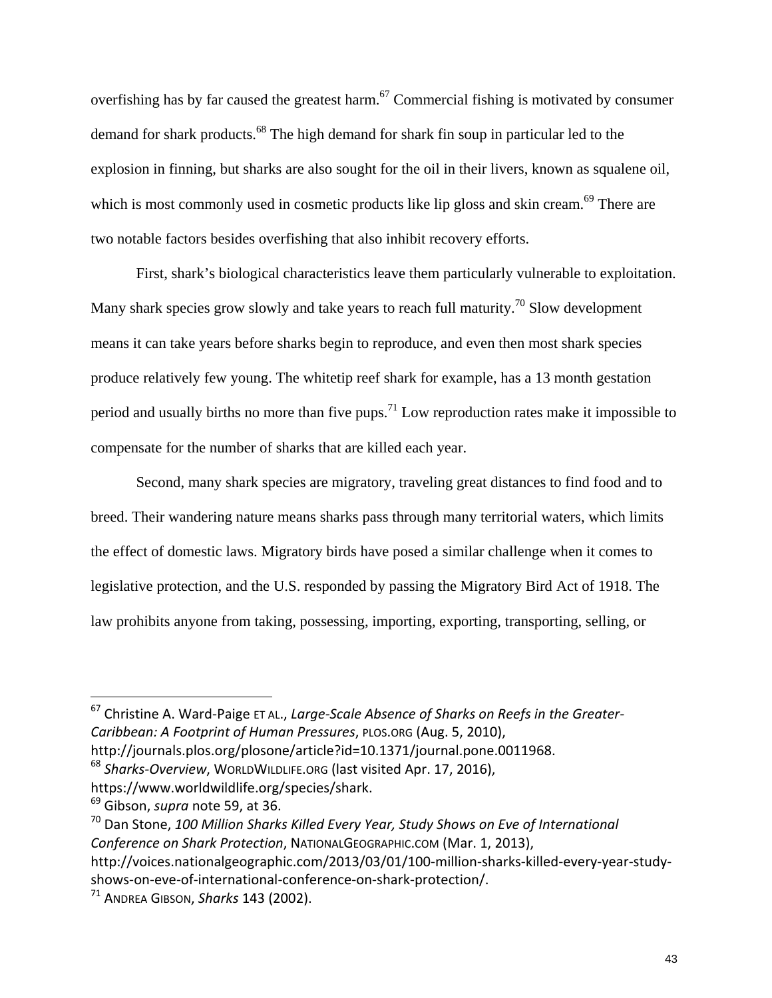overfishing has by far caused the greatest harm.<sup>67</sup> Commercial fishing is motivated by consumer demand for shark products.<sup>68</sup> The high demand for shark fin soup in particular led to the explosion in finning, but sharks are also sought for the oil in their livers, known as squalene oil, which is most commonly used in cosmetic products like lip gloss and skin cream.<sup>69</sup> There are two notable factors besides overfishing that also inhibit recovery efforts.

First, shark's biological characteristics leave them particularly vulnerable to exploitation. Many shark species grow slowly and take years to reach full maturity.<sup>70</sup> Slow development means it can take years before sharks begin to reproduce, and even then most shark species produce relatively few young. The whitetip reef shark for example, has a 13 month gestation period and usually births no more than five pups.<sup>71</sup> Low reproduction rates make it impossible to compensate for the number of sharks that are killed each year.

Second, many shark species are migratory, traveling great distances to find food and to breed. Their wandering nature means sharks pass through many territorial waters, which limits the effect of domestic laws. Migratory birds have posed a similar challenge when it comes to legislative protection, and the U.S. responded by passing the Migratory Bird Act of 1918. The law prohibits anyone from taking, possessing, importing, exporting, transporting, selling, or

<sup>67</sup> Christine A. Ward‐Paige ET AL., *Large‐Scale Absence of Sharks on Reefs in the Greater‐ Caribbean: A Footprint of Human Pressures*, PLOS.ORG (Aug. 5, 2010),

http://journals.plos.org/plosone/article?id=10.1371/journal.pone.0011968.

<sup>68</sup> *Sharks‐Overview*, WORLDWILDLIFE.ORG (last visited Apr. 17, 2016),

https://www.worldwildlife.org/species/shark.

<sup>69</sup> Gibson, *supra* note 59, at 36.

<sup>70</sup> Dan Stone, *100 Million Sharks Killed Every Year, Study Shows on Eve of International Conference on Shark Protection*, NATIONALGEOGRAPHIC.COM (Mar. 1, 2013), http://voices.nationalgeographic.com/2013/03/01/100-million-sharks-killed-every-year-studyshows‐on‐eve‐of‐international‐conference‐on‐shark‐protection/.

<sup>71</sup> ANDREA GIBSON, *Sharks* 143 (2002).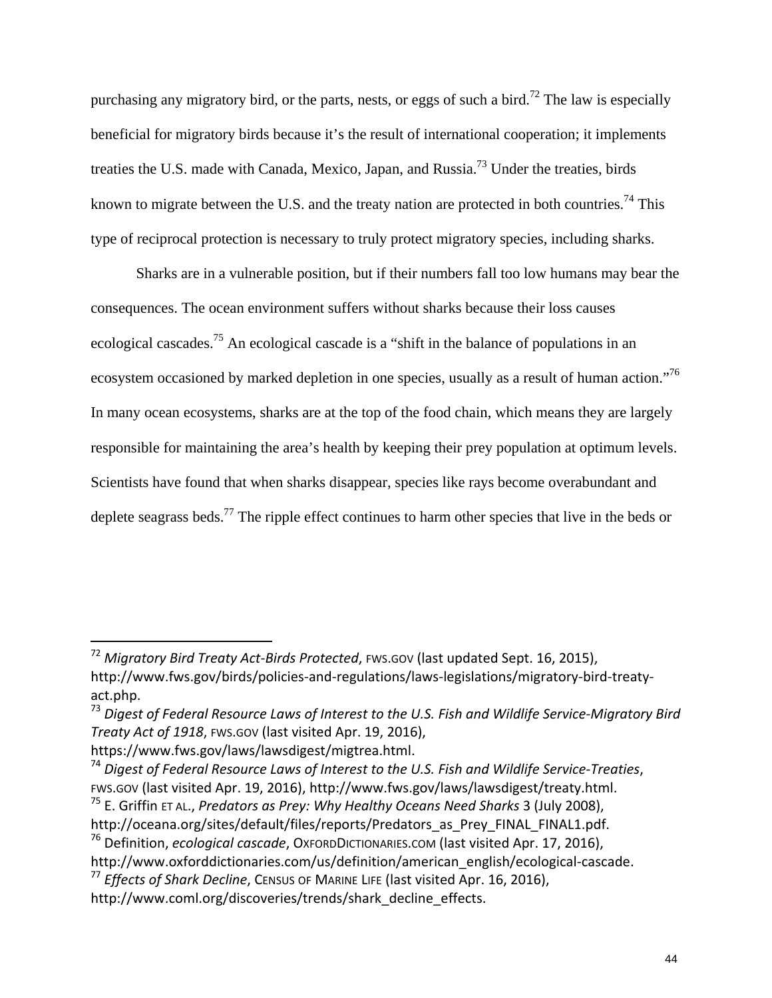purchasing any migratory bird, or the parts, nests, or eggs of such a bird.<sup>72</sup> The law is especially beneficial for migratory birds because it's the result of international cooperation; it implements treaties the U.S. made with Canada, Mexico, Japan, and Russia.73 Under the treaties, birds known to migrate between the U.S. and the treaty nation are protected in both countries.<sup>74</sup> This type of reciprocal protection is necessary to truly protect migratory species, including sharks.

Sharks are in a vulnerable position, but if their numbers fall too low humans may bear the consequences. The ocean environment suffers without sharks because their loss causes ecological cascades.75 An ecological cascade is a "shift in the balance of populations in an ecosystem occasioned by marked depletion in one species, usually as a result of human action."76 In many ocean ecosystems, sharks are at the top of the food chain, which means they are largely responsible for maintaining the area's health by keeping their prey population at optimum levels. Scientists have found that when sharks disappear, species like rays become overabundant and deplete seagrass beds.<sup>77</sup> The ripple effect continues to harm other species that live in the beds or

<sup>72</sup> *Migratory Bird Treaty Act‐Birds Protected*, FWS.GOV (last updated Sept. 16, 2015), http://www.fws.gov/birds/policies-and-regulations/laws-legislations/migratory-bird-treatyact.php.

<sup>73</sup> *Digest of Federal Resource Laws of Interest to the U.S. Fish and Wildlife Service‐Migratory Bird Treaty Act of 1918*, FWS.GOV (last visited Apr. 19, 2016),

https://www.fws.gov/laws/lawsdigest/migtrea.html.

<sup>74</sup> *Digest of Federal Resource Laws of Interest to the U.S. Fish and Wildlife Service‐Treaties*, FWS.GOV (last visited Apr. 19, 2016), http://www.fws.gov/laws/lawsdigest/treaty.html. <sup>75</sup> E. Griffin ET AL., *Predators as Prey: Why Healthy Oceans Need Sharks* 3 (July 2008),

http://oceana.org/sites/default/files/reports/Predators as Prey FINAL FINAL1.pdf.

<sup>&</sup>lt;sup>76</sup> Definition, *ecological cascade*, OxFORDDICTIONARIES.COM (last visited Apr. 17, 2016),

http://www.oxforddictionaries.com/us/definition/american\_english/ecological-cascade.

<sup>77</sup> *Effects of Shark Decline*, CENSUS OF MARINE LIFE (last visited Apr. 16, 2016),

http://www.coml.org/discoveries/trends/shark\_decline\_effects.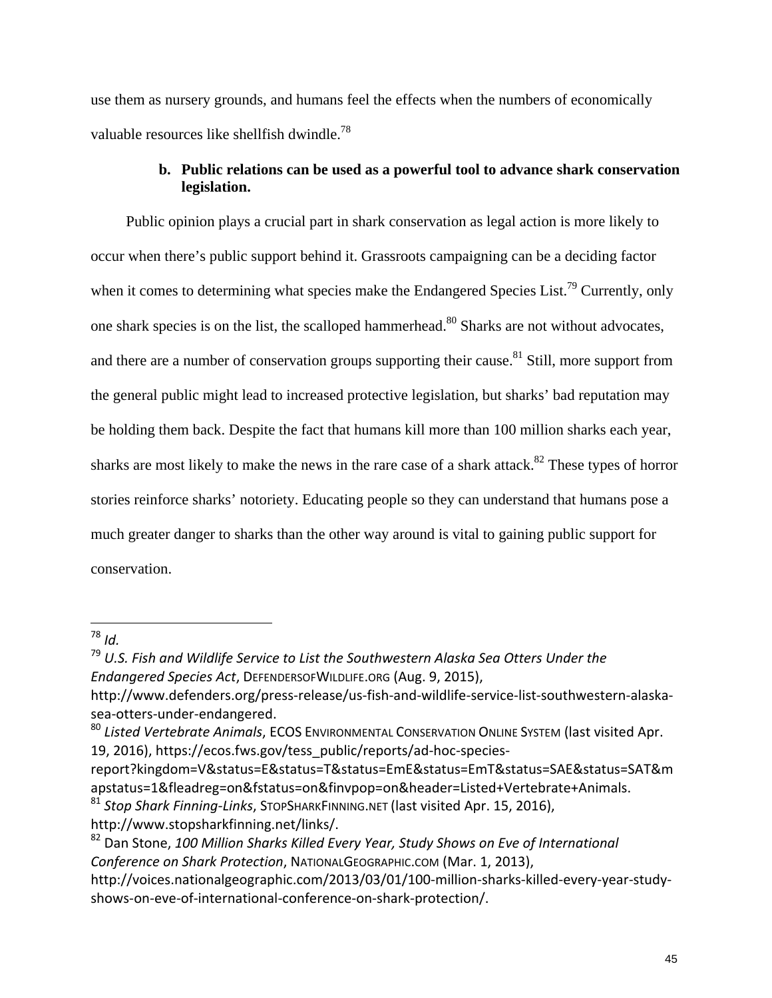use them as nursery grounds, and humans feel the effects when the numbers of economically valuable resources like shellfish dwindle.<sup>78</sup>

## **b. Public relations can be used as a powerful tool to advance shark conservation legislation.**

 Public opinion plays a crucial part in shark conservation as legal action is more likely to occur when there's public support behind it. Grassroots campaigning can be a deciding factor when it comes to determining what species make the Endangered Species List.<sup>79</sup> Currently, only one shark species is on the list, the scalloped hammerhead.<sup>80</sup> Sharks are not without advocates, and there are a number of conservation groups supporting their cause.<sup>81</sup> Still, more support from the general public might lead to increased protective legislation, but sharks' bad reputation may be holding them back. Despite the fact that humans kill more than 100 million sharks each year, sharks are most likely to make the news in the rare case of a shark attack. $82$  These types of horror stories reinforce sharks' notoriety. Educating people so they can understand that humans pose a much greater danger to sharks than the other way around is vital to gaining public support for conservation.

<sup>78</sup> *Id.*

report?kingdom=V&status=E&status=T&status=EmE&status=EmT&status=SAE&status=SAT&m apstatus=1&fleadreg=on&fstatus=on&finvpop=on&header=Listed+Vertebrate+Animals. <sup>81</sup> *Stop Shark Finning‐Links*, STOPSHARKFINNING.NET (last visited Apr. 15, 2016),

http://www.stopsharkfinning.net/links/.

<sup>79</sup> *U.S. Fish and Wildlife Service to List the Southwestern Alaska Sea Otters Under the Endangered Species Act*, DEFENDERSOFWILDLIFE.ORG (Aug. 9, 2015),

http://www.defenders.org/press‐release/us‐fish‐and‐wildlife‐service‐list‐southwestern‐alaska‐ sea‐otters‐under‐endangered.

<sup>80</sup> *Listed Vertebrate Animals*, ECOS ENVIRONMENTAL CONSERVATION ONLINE SYSTEM (last visited Apr. 19, 2016), https://ecos.fws.gov/tess\_public/reports/ad‐hoc‐species‐

<sup>82</sup> Dan Stone, *100 Million Sharks Killed Every Year, Study Shows on Eve of International Conference on Shark Protection*, NATIONALGEOGRAPHIC.COM (Mar. 1, 2013),

http://voices.nationalgeographic.com/2013/03/01/100‐million‐sharks‐killed‐every‐year‐study‐ shows‐on‐eve‐of‐international‐conference‐on‐shark‐protection/.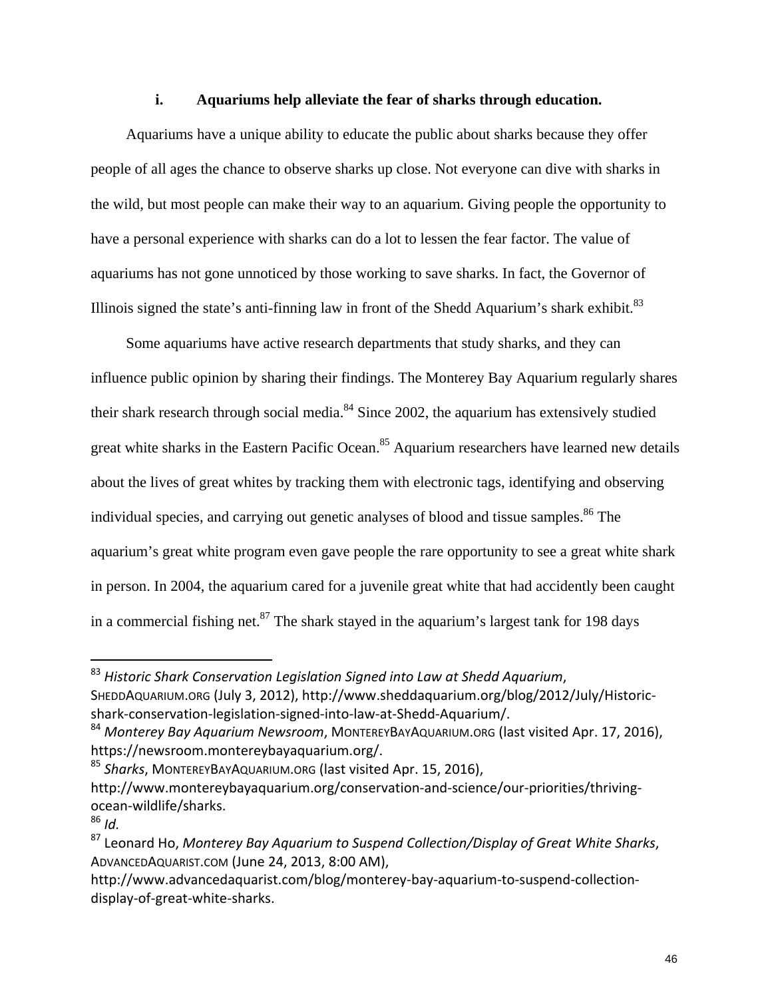#### **i. Aquariums help alleviate the fear of sharks through education.**

 Aquariums have a unique ability to educate the public about sharks because they offer people of all ages the chance to observe sharks up close. Not everyone can dive with sharks in the wild, but most people can make their way to an aquarium. Giving people the opportunity to have a personal experience with sharks can do a lot to lessen the fear factor. The value of aquariums has not gone unnoticed by those working to save sharks. In fact, the Governor of Illinois signed the state's anti-finning law in front of the Shedd Aquarium's shark exhibit.<sup>83</sup>

 Some aquariums have active research departments that study sharks, and they can influence public opinion by sharing their findings. The Monterey Bay Aquarium regularly shares their shark research through social media. $84$  Since 2002, the aquarium has extensively studied great white sharks in the Eastern Pacific Ocean.<sup>85</sup> Aquarium researchers have learned new details about the lives of great whites by tracking them with electronic tags, identifying and observing individual species, and carrying out genetic analyses of blood and tissue samples.<sup>86</sup> The aquarium's great white program even gave people the rare opportunity to see a great white shark in person. In 2004, the aquarium cared for a juvenile great white that had accidently been caught in a commercial fishing net. $87$  The shark stayed in the aquarium's largest tank for 198 days

<sup>85</sup> *Sharks*, MONTEREYBAYAQUARIUM.ORG (last visited Apr. 15, 2016), http://www.montereybayaquarium.org/conservation-and-science/our-priorities/thrivingocean‐wildlife/sharks.

<sup>83</sup> *Historic Shark Conservation Legislation Signed into Law at Shedd Aquarium*, SHEDDAQUARIUM.ORG (July 3, 2012), http://www.sheddaquarium.org/blog/2012/July/Historic‐ shark-conservation-legislation-signed-into-law-at-Shedd-Aquarium/.

<sup>84</sup> *Monterey Bay Aquarium Newsroom*, MONTEREYBAYAQUARIUM.ORG (last visited Apr. 17, 2016), https://newsroom.montereybayaquarium.org/.

<sup>86</sup> *Id.*

<sup>87</sup> Leonard Ho, *Monterey Bay Aquarium to Suspend Collection/Display of Great White Sharks*, ADVANCEDAQUARIST.COM (June 24, 2013, 8:00 AM),

http://www.advancedaquarist.com/blog/monterey-bay-aquarium-to-suspend-collectiondisplay‐of‐great‐white‐sharks.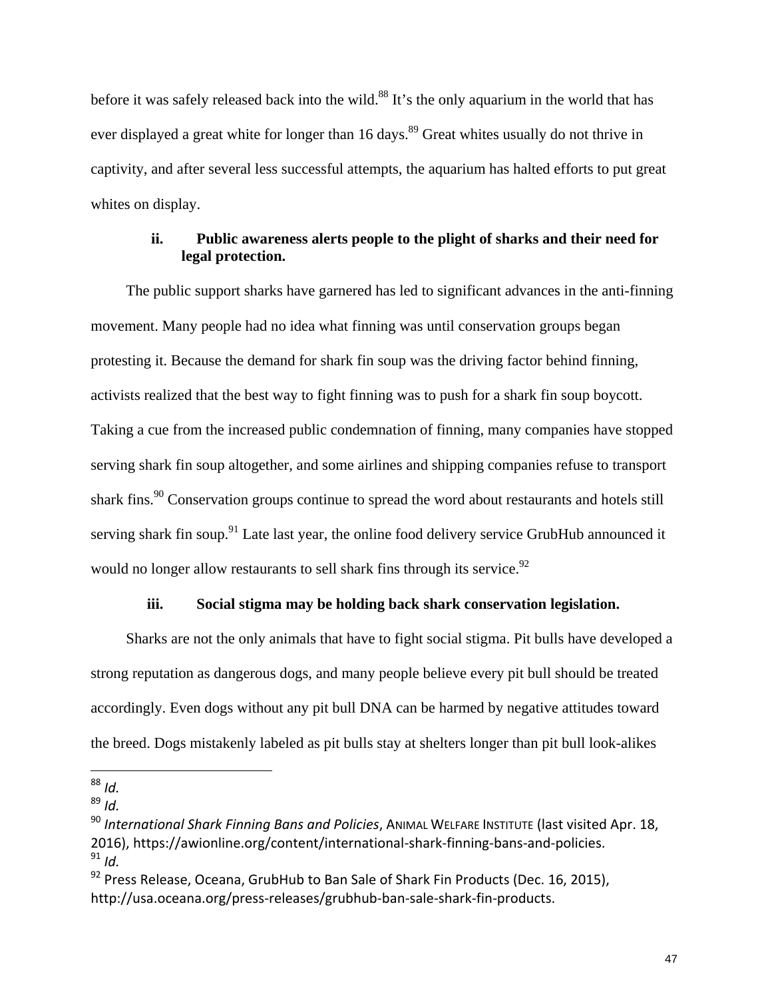before it was safely released back into the wild.<sup>88</sup> It's the only aquarium in the world that has ever displayed a great white for longer than 16 days.<sup>89</sup> Great whites usually do not thrive in captivity, and after several less successful attempts, the aquarium has halted efforts to put great whites on display.

#### **ii. Public awareness alerts people to the plight of sharks and their need for legal protection.**

 The public support sharks have garnered has led to significant advances in the anti-finning movement. Many people had no idea what finning was until conservation groups began protesting it. Because the demand for shark fin soup was the driving factor behind finning, activists realized that the best way to fight finning was to push for a shark fin soup boycott. Taking a cue from the increased public condemnation of finning, many companies have stopped serving shark fin soup altogether, and some airlines and shipping companies refuse to transport shark fins.<sup>90</sup> Conservation groups continue to spread the word about restaurants and hotels still serving shark fin soup.<sup>91</sup> Late last year, the online food delivery service GrubHub announced it would no longer allow restaurants to sell shark fins through its service.<sup>92</sup>

#### **iii. Social stigma may be holding back shark conservation legislation.**

 Sharks are not the only animals that have to fight social stigma. Pit bulls have developed a strong reputation as dangerous dogs, and many people believe every pit bull should be treated accordingly. Even dogs without any pit bull DNA can be harmed by negative attitudes toward the breed. Dogs mistakenly labeled as pit bulls stay at shelters longer than pit bull look-alikes

 <sup>88</sup> *Id.*

<sup>89</sup> *Id.*

<sup>90</sup> *International Shark Finning Bans and Policies*, ANIMAL WELFARE INSTITUTE (last visited Apr. 18, 2016), https://awionline.org/content/international‐shark‐finning‐bans‐and‐policies. <sup>91</sup> *Id.*

 $92$  Press Release, Oceana, GrubHub to Ban Sale of Shark Fin Products (Dec. 16, 2015), http://usa.oceana.org/press‐releases/grubhub‐ban‐sale‐shark‐fin‐products.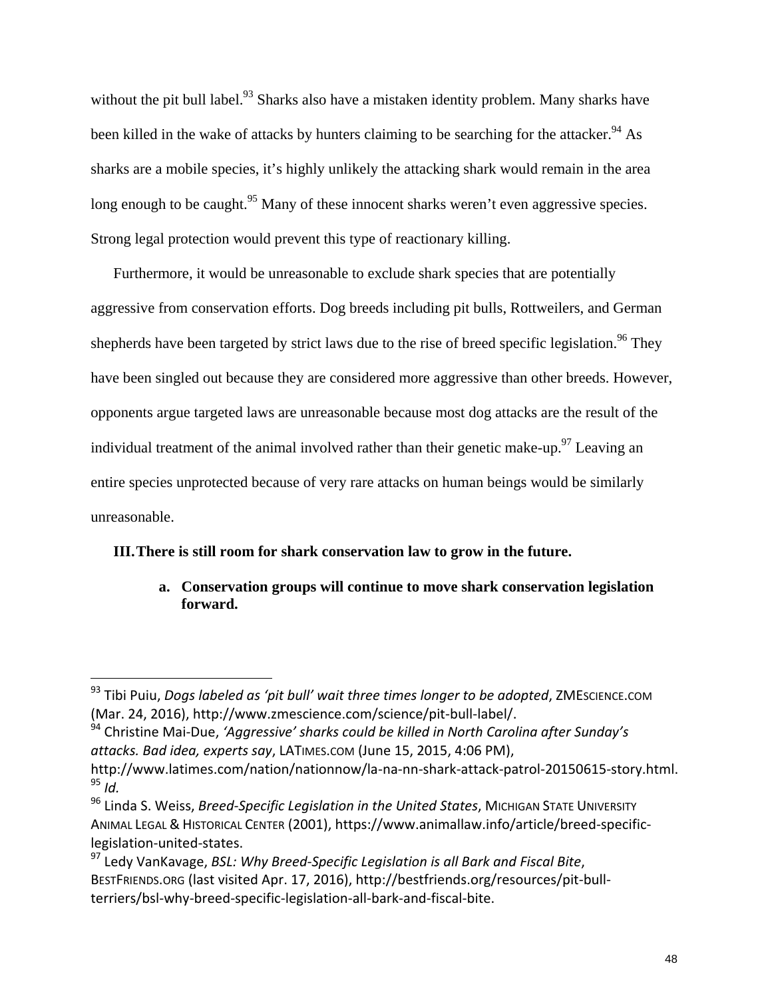without the pit bull label.<sup>93</sup> Sharks also have a mistaken identity problem. Many sharks have been killed in the wake of attacks by hunters claiming to be searching for the attacker.<sup>94</sup> As sharks are a mobile species, it's highly unlikely the attacking shark would remain in the area long enough to be caught.<sup>95</sup> Many of these innocent sharks weren't even aggressive species. Strong legal protection would prevent this type of reactionary killing.

Furthermore, it would be unreasonable to exclude shark species that are potentially aggressive from conservation efforts. Dog breeds including pit bulls, Rottweilers, and German shepherds have been targeted by strict laws due to the rise of breed specific legislation.<sup>96</sup> They have been singled out because they are considered more aggressive than other breeds. However, opponents argue targeted laws are unreasonable because most dog attacks are the result of the individual treatment of the animal involved rather than their genetic make-up.<sup>97</sup> Leaving an entire species unprotected because of very rare attacks on human beings would be similarly unreasonable.

#### **III.There is still room for shark conservation law to grow in the future.**

**a. Conservation groups will continue to move shark conservation legislation forward.** 

<sup>93</sup> Tibi Puiu, *Dogs labeled as 'pit bull' wait three times longer to be adopted*, ZMESCIENCE.COM (Mar. 24, 2016), http://www.zmescience.com/science/pit‐bull‐label/.

<sup>94</sup> Christine Mai‐Due, *'Aggressive' sharks could be killed in North Carolina after Sunday's attacks. Bad idea, experts say*, LATIMES.COM (June 15, 2015, 4:06 PM),

http://www.latimes.com/nation/nationnow/la‐na‐nn‐shark‐attack‐patrol‐20150615‐story.html. <sup>95</sup> *Id.*

<sup>96</sup> Linda S. Weiss, *Breed‐Specific Legislation in the United States*, MICHIGAN STATE UNIVERSITY ANIMAL LEGAL & HISTORICAL CENTER (2001), https://www.animallaw.info/article/breed‐specific‐ legislation‐united‐states.

<sup>97</sup> Ledy VanKavage, *BSL: Why Breed‐Specific Legislation is all Bark and Fiscal Bite*, BESTFRIENDS.ORG (last visited Apr. 17, 2016), http://bestfriends.org/resources/pit‐bull‐ terriers/bsl‐why‐breed‐specific‐legislation‐all‐bark‐and‐fiscal‐bite.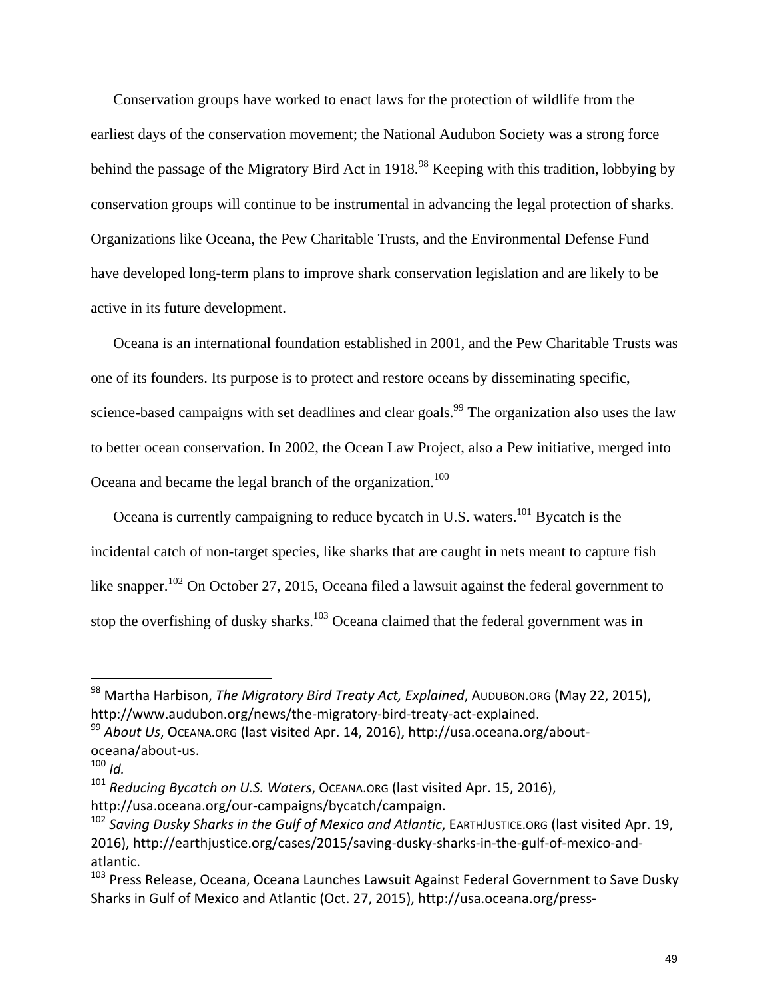Conservation groups have worked to enact laws for the protection of wildlife from the earliest days of the conservation movement; the National Audubon Society was a strong force behind the passage of the Migratory Bird Act in 1918.<sup>98</sup> Keeping with this tradition, lobbying by conservation groups will continue to be instrumental in advancing the legal protection of sharks. Organizations like Oceana, the Pew Charitable Trusts, and the Environmental Defense Fund have developed long-term plans to improve shark conservation legislation and are likely to be active in its future development.

Oceana is an international foundation established in 2001, and the Pew Charitable Trusts was one of its founders. Its purpose is to protect and restore oceans by disseminating specific, science-based campaigns with set deadlines and clear goals.<sup>99</sup> The organization also uses the law to better ocean conservation. In 2002, the Ocean Law Project, also a Pew initiative, merged into Oceana and became the legal branch of the organization.<sup>100</sup>

Oceana is currently campaigning to reduce bycatch in U.S. waters.<sup>101</sup> Bycatch is the incidental catch of non-target species, like sharks that are caught in nets meant to capture fish like snapper.<sup>102</sup> On October 27, 2015, Oceana filed a lawsuit against the federal government to stop the overfishing of dusky sharks.<sup>103</sup> Oceana claimed that the federal government was in

<sup>98</sup> Martha Harbison, *The Migratory Bird Treaty Act, Explained*, AUDUBON.ORG (May 22, 2015), http://www.audubon.org/news/the‐migratory‐bird‐treaty‐act‐explained.

<sup>99</sup> *About Us*, OCEANA.ORG (last visited Apr. 14, 2016), http://usa.oceana.org/about‐ oceana/about‐us.

 $100$  *Id.* 

<sup>101</sup> *Reducing Bycatch on U.S. Waters*, OCEANA.ORG (last visited Apr. 15, 2016), http://usa.oceana.org/our‐campaigns/bycatch/campaign.

<sup>102</sup> *Saving Dusky Sharks in the Gulf of Mexico and Atlantic*, EARTHJUSTICE.ORG (last visited Apr. 19, 2016), http://earthjustice.org/cases/2015/saving‐dusky‐sharks‐in‐the‐gulf‐of‐mexico‐and‐ atlantic.

<sup>&</sup>lt;sup>103</sup> Press Release, Oceana, Oceana Launches Lawsuit Against Federal Government to Save Dusky Sharks in Gulf of Mexico and Atlantic (Oct. 27, 2015), http://usa.oceana.org/press‐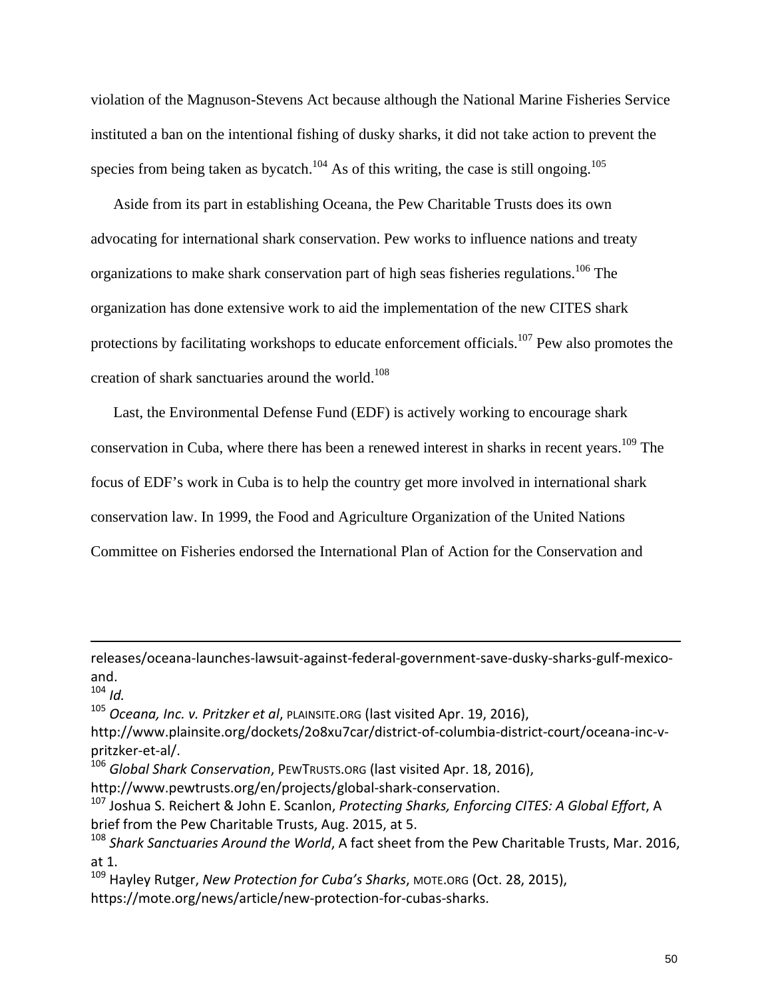violation of the Magnuson-Stevens Act because although the National Marine Fisheries Service instituted a ban on the intentional fishing of dusky sharks, it did not take action to prevent the species from being taken as bycatch.<sup>104</sup> As of this writing, the case is still ongoing.<sup>105</sup>

Aside from its part in establishing Oceana, the Pew Charitable Trusts does its own advocating for international shark conservation. Pew works to influence nations and treaty organizations to make shark conservation part of high seas fisheries regulations.<sup>106</sup> The organization has done extensive work to aid the implementation of the new CITES shark protections by facilitating workshops to educate enforcement officials.<sup>107</sup> Pew also promotes the creation of shark sanctuaries around the world.<sup>108</sup>

Last, the Environmental Defense Fund (EDF) is actively working to encourage shark conservation in Cuba, where there has been a renewed interest in sharks in recent years.<sup>109</sup> The focus of EDF's work in Cuba is to help the country get more involved in international shark conservation law. In 1999, the Food and Agriculture Organization of the United Nations Committee on Fisheries endorsed the International Plan of Action for the Conservation and

<u> 1989 - Johann Stein, marwolaethau a cyfeiliad y cyfeiliad a gynydd a gynydd a gynydd a gynydd a gynydd a gyn</u>

 $104$  *Id.* 

<sup>105</sup> *Oceana, Inc. v. Pritzker et al*, PLAINSITE.ORG (last visited Apr. 19, 2016),

<sup>106</sup> *Global Shark Conservation*, PEWTRUSTS.ORG (last visited Apr. 18, 2016),

http://www.pewtrusts.org/en/projects/global‐shark‐conservation.

<sup>107</sup> Joshua S. Reichert & John E. Scanlon, *Protecting Sharks, Enforcing CITES: A Global Effort*, A brief from the Pew Charitable Trusts, Aug. 2015, at 5.

<sup>109</sup> Hayley Rutger, *New Protection for Cuba's Sharks*, MOTE.ORG (Oct. 28, 2015), https://mote.org/news/article/new‐protection‐for‐cubas‐sharks.

releases/oceana‐launches‐lawsuit‐against‐federal‐government‐save‐dusky‐sharks‐gulf‐mexico‐ and.

http://www.plainsite.org/dockets/2o8xu7car/district‐of‐columbia‐district‐court/oceana‐inc‐v‐ pritzker‐et‐al/.

<sup>108</sup> *Shark Sanctuaries Around the World*, A fact sheet from the Pew Charitable Trusts, Mar. 2016, at 1.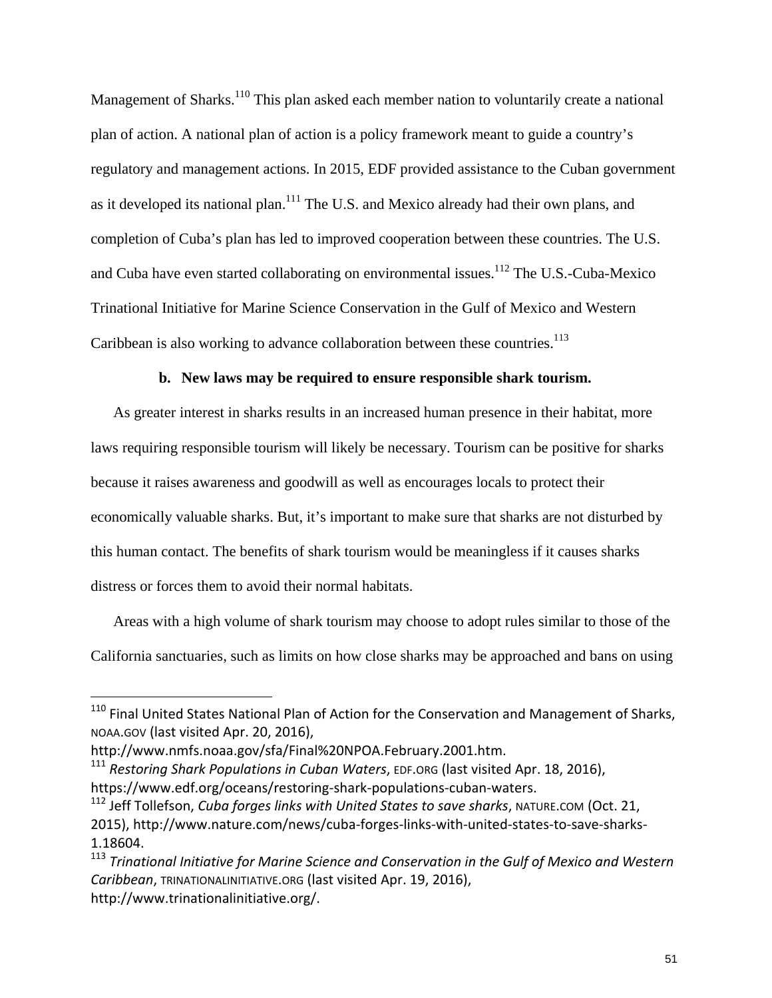Management of Sharks.<sup>110</sup> This plan asked each member nation to voluntarily create a national plan of action. A national plan of action is a policy framework meant to guide a country's regulatory and management actions. In 2015, EDF provided assistance to the Cuban government as it developed its national plan.<sup>111</sup> The U.S. and Mexico already had their own plans, and completion of Cuba's plan has led to improved cooperation between these countries. The U.S. and Cuba have even started collaborating on environmental issues.<sup>112</sup> The U.S.-Cuba-Mexico Trinational Initiative for Marine Science Conservation in the Gulf of Mexico and Western Caribbean is also working to advance collaboration between these countries.<sup>113</sup>

#### **b. New laws may be required to ensure responsible shark tourism.**

As greater interest in sharks results in an increased human presence in their habitat, more laws requiring responsible tourism will likely be necessary. Tourism can be positive for sharks because it raises awareness and goodwill as well as encourages locals to protect their economically valuable sharks. But, it's important to make sure that sharks are not disturbed by this human contact. The benefits of shark tourism would be meaningless if it causes sharks distress or forces them to avoid their normal habitats.

Areas with a high volume of shark tourism may choose to adopt rules similar to those of the California sanctuaries, such as limits on how close sharks may be approached and bans on using

<sup>&</sup>lt;sup>110</sup> Final United States National Plan of Action for the Conservation and Management of Sharks, NOAA.GOV (last visited Apr. 20, 2016),

http://www.nmfs.noaa.gov/sfa/Final%20NPOA.February.2001.htm.

<sup>111</sup> *Restoring Shark Populations in Cuban Waters*, EDF.ORG (last visited Apr. 18, 2016), https://www.edf.org/oceans/restoring‐shark‐populations‐cuban‐waters.

<sup>112</sup> Jeff Tollefson, *Cuba forges links with United States to save sharks*, NATURE.COM (Oct. 21, 2015), http://www.nature.com/news/cuba‐forges‐links‐with‐united‐states‐to‐save‐sharks‐ 1.18604.

<sup>113</sup> *Trinational Initiative for Marine Science and Conservation in the Gulf of Mexico and Western Caribbean*, TRINATIONALINITIATIVE.ORG (last visited Apr. 19, 2016), http://www.trinationalinitiative.org/.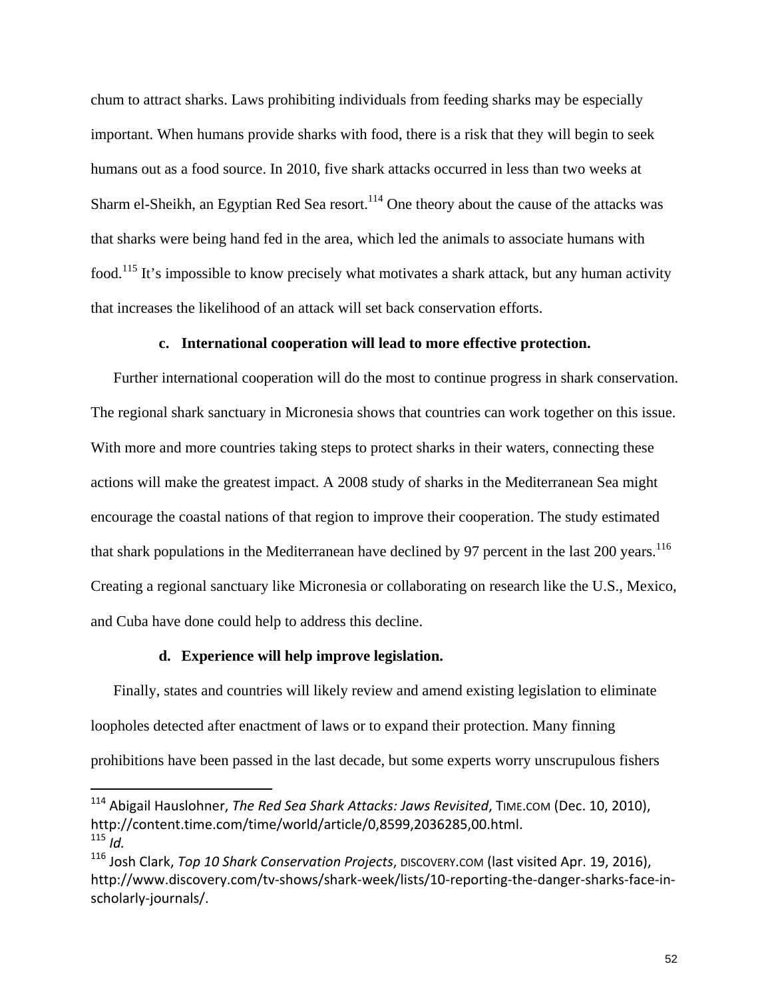chum to attract sharks. Laws prohibiting individuals from feeding sharks may be especially important. When humans provide sharks with food, there is a risk that they will begin to seek humans out as a food source. In 2010, five shark attacks occurred in less than two weeks at Sharm el-Sheikh, an Egyptian Red Sea resort.<sup>114</sup> One theory about the cause of the attacks was that sharks were being hand fed in the area, which led the animals to associate humans with food.115 It's impossible to know precisely what motivates a shark attack, but any human activity that increases the likelihood of an attack will set back conservation efforts.

#### **c. International cooperation will lead to more effective protection.**

Further international cooperation will do the most to continue progress in shark conservation. The regional shark sanctuary in Micronesia shows that countries can work together on this issue. With more and more countries taking steps to protect sharks in their waters, connecting these actions will make the greatest impact. A 2008 study of sharks in the Mediterranean Sea might encourage the coastal nations of that region to improve their cooperation. The study estimated that shark populations in the Mediterranean have declined by 97 percent in the last 200 years.<sup>116</sup> Creating a regional sanctuary like Micronesia or collaborating on research like the U.S., Mexico, and Cuba have done could help to address this decline.

#### **d. Experience will help improve legislation.**

Finally, states and countries will likely review and amend existing legislation to eliminate loopholes detected after enactment of laws or to expand their protection. Many finning prohibitions have been passed in the last decade, but some experts worry unscrupulous fishers

<sup>114</sup> Abigail Hauslohner, *The Red Sea Shark Attacks: Jaws Revisited*, TIME.COM (Dec. 10, 2010), http://content.time.com/time/world/article/0,8599,2036285,00.html.  $115$  *Id.* 

<sup>116</sup> Josh Clark, *Top 10 Shark Conservation Projects*, DISCOVERY.COM (last visited Apr. 19, 2016), http://www.discovery.com/tv-shows/shark-week/lists/10-reporting-the-danger-sharks-face-inscholarly‐journals/.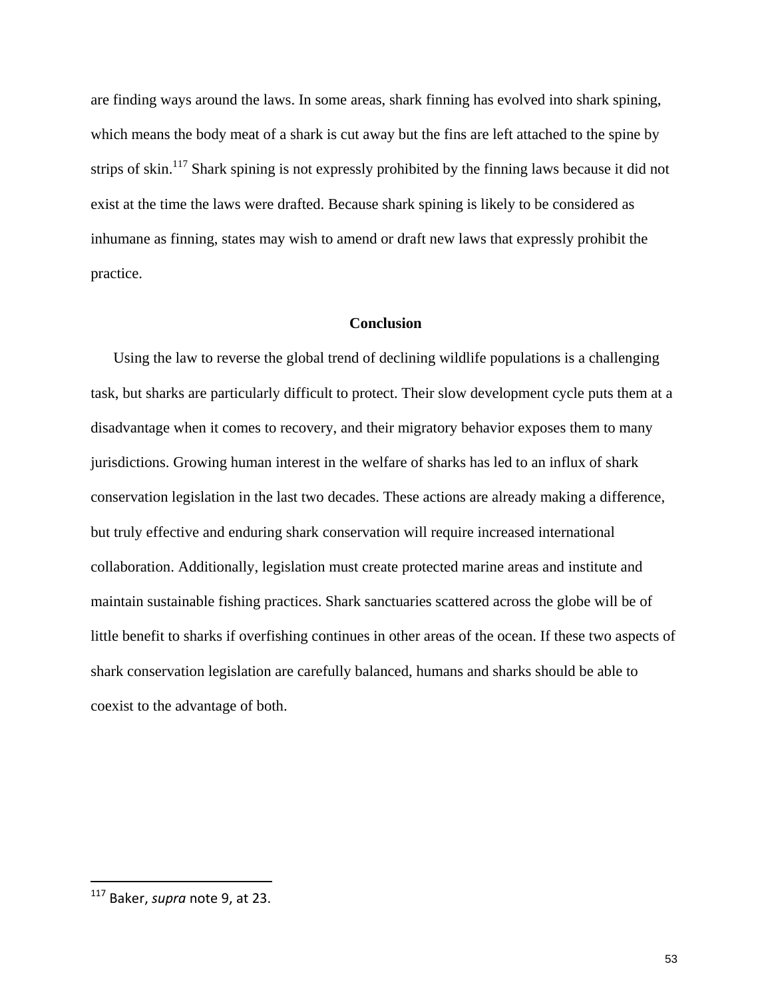are finding ways around the laws. In some areas, shark finning has evolved into shark spining, which means the body meat of a shark is cut away but the fins are left attached to the spine by strips of skin.<sup>117</sup> Shark spining is not expressly prohibited by the finning laws because it did not exist at the time the laws were drafted. Because shark spining is likely to be considered as inhumane as finning, states may wish to amend or draft new laws that expressly prohibit the practice.

#### **Conclusion**

Using the law to reverse the global trend of declining wildlife populations is a challenging task, but sharks are particularly difficult to protect. Their slow development cycle puts them at a disadvantage when it comes to recovery, and their migratory behavior exposes them to many jurisdictions. Growing human interest in the welfare of sharks has led to an influx of shark conservation legislation in the last two decades. These actions are already making a difference, but truly effective and enduring shark conservation will require increased international collaboration. Additionally, legislation must create protected marine areas and institute and maintain sustainable fishing practices. Shark sanctuaries scattered across the globe will be of little benefit to sharks if overfishing continues in other areas of the ocean. If these two aspects of shark conservation legislation are carefully balanced, humans and sharks should be able to coexist to the advantage of both.

 <sup>117</sup> Baker, *supra* note 9, at 23.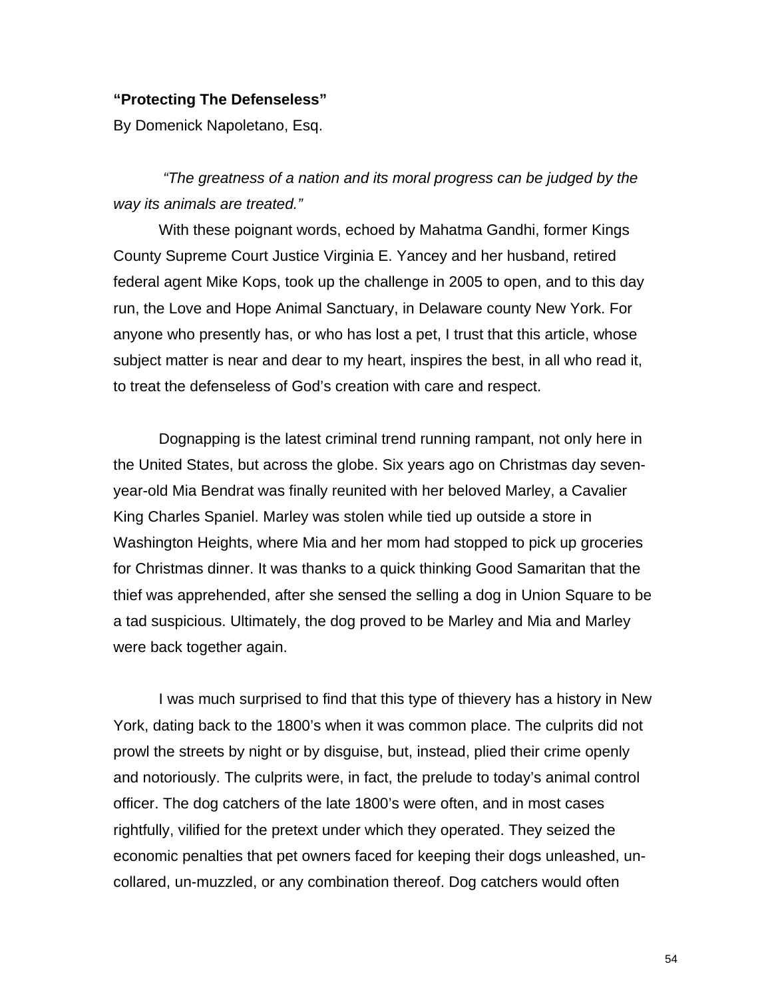#### **"Protecting The Defenseless"**

By Domenick Napoletano, Esq.

 *"The greatness of a nation and its moral progress can be judged by the way its animals are treated."* 

With these poignant words, echoed by Mahatma Gandhi, former Kings County Supreme Court Justice Virginia E. Yancey and her husband, retired federal agent Mike Kops, took up the challenge in 2005 to open, and to this day run, the Love and Hope Animal Sanctuary, in Delaware county New York. For anyone who presently has, or who has lost a pet, I trust that this article, whose subject matter is near and dear to my heart, inspires the best, in all who read it, to treat the defenseless of God's creation with care and respect.

Dognapping is the latest criminal trend running rampant, not only here in the United States, but across the globe. Six years ago on Christmas day sevenyear-old Mia Bendrat was finally reunited with her beloved Marley, a Cavalier King Charles Spaniel. Marley was stolen while tied up outside a store in Washington Heights, where Mia and her mom had stopped to pick up groceries for Christmas dinner. It was thanks to a quick thinking Good Samaritan that the thief was apprehended, after she sensed the selling a dog in Union Square to be a tad suspicious. Ultimately, the dog proved to be Marley and Mia and Marley were back together again.

I was much surprised to find that this type of thievery has a history in New York, dating back to the 1800's when it was common place. The culprits did not prowl the streets by night or by disguise, but, instead, plied their crime openly and notoriously. The culprits were, in fact, the prelude to today's animal control officer. The dog catchers of the late 1800's were often, and in most cases rightfully, vilified for the pretext under which they operated. They seized the economic penalties that pet owners faced for keeping their dogs unleashed, uncollared, un-muzzled, or any combination thereof. Dog catchers would often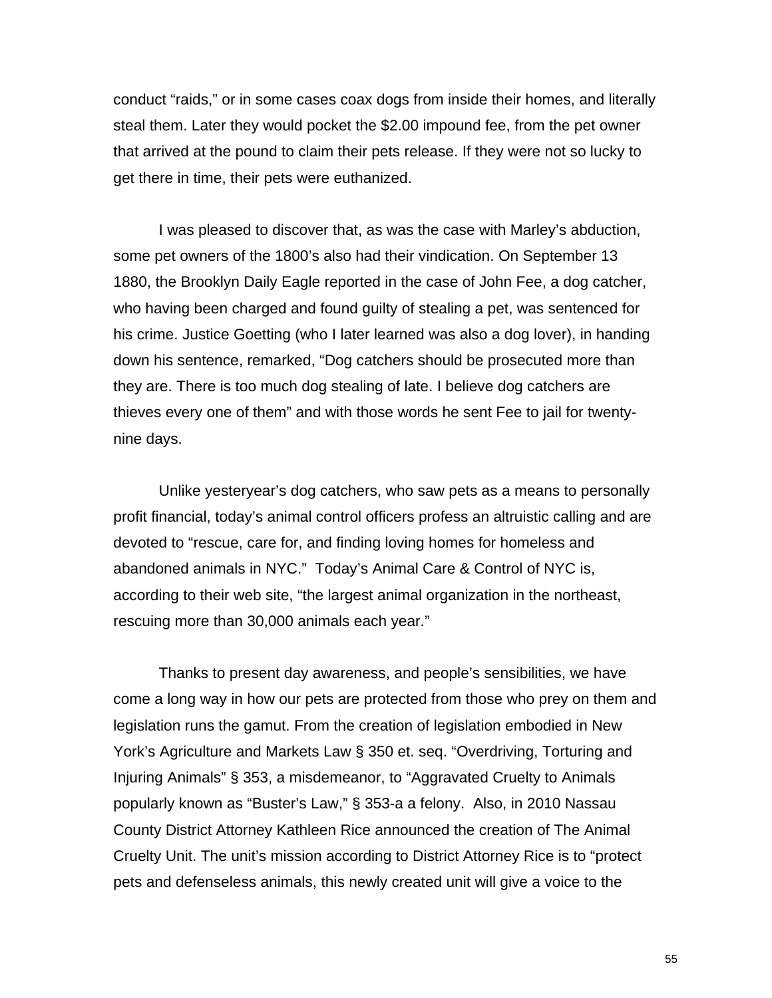conduct "raids," or in some cases coax dogs from inside their homes, and literally steal them. Later they would pocket the \$2.00 impound fee, from the pet owner that arrived at the pound to claim their pets release. If they were not so lucky to get there in time, their pets were euthanized.

I was pleased to discover that, as was the case with Marley's abduction, some pet owners of the 1800's also had their vindication. On September 13 1880, the Brooklyn Daily Eagle reported in the case of John Fee, a dog catcher, who having been charged and found guilty of stealing a pet, was sentenced for his crime. Justice Goetting (who I later learned was also a dog lover), in handing down his sentence, remarked, "Dog catchers should be prosecuted more than they are. There is too much dog stealing of late. I believe dog catchers are thieves every one of them" and with those words he sent Fee to jail for twentynine days.

Unlike yesteryear's dog catchers, who saw pets as a means to personally profit financial, today's animal control officers profess an altruistic calling and are devoted to "rescue, care for, and finding loving homes for homeless and abandoned animals in NYC." Today's Animal Care & Control of NYC is, according to their web site, "the largest animal organization in the northeast, rescuing more than 30,000 animals each year."

Thanks to present day awareness, and people's sensibilities, we have come a long way in how our pets are protected from those who prey on them and legislation runs the gamut. From the creation of legislation embodied in New York's Agriculture and Markets Law § 350 et. seq. "Overdriving, Torturing and Injuring Animals" § 353, a misdemeanor, to "Aggravated Cruelty to Animals popularly known as "Buster's Law," § 353-a a felony. Also, in 2010 Nassau County District Attorney Kathleen Rice announced the creation of The Animal Cruelty Unit. The unit's mission according to District Attorney Rice is to "protect pets and defenseless animals, this newly created unit will give a voice to the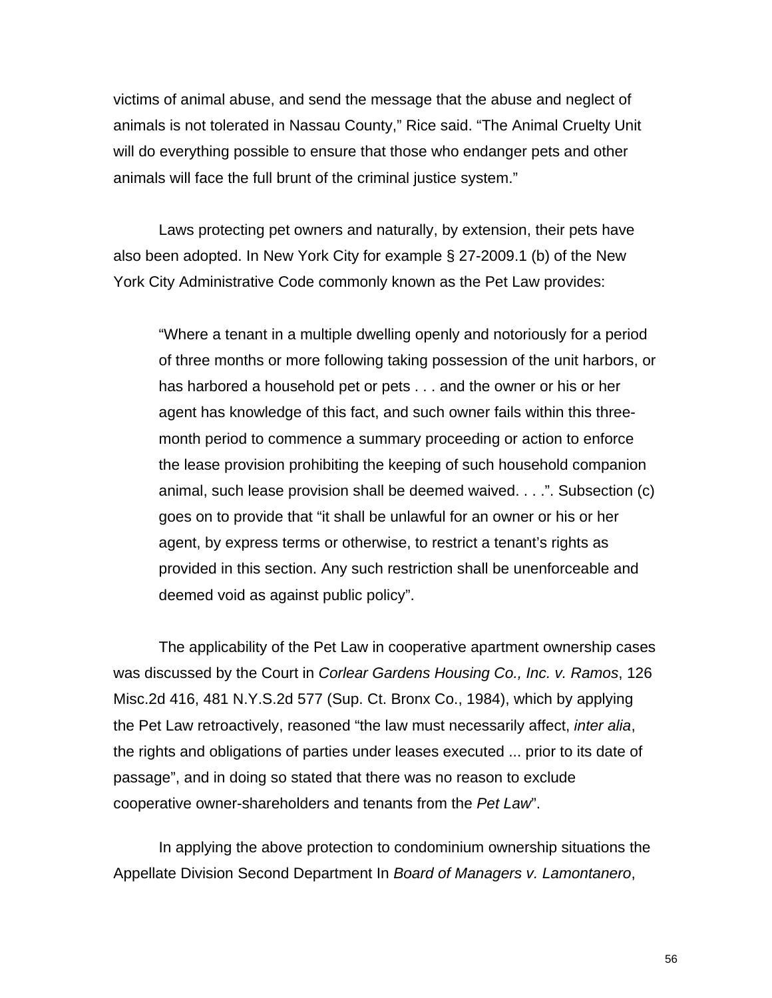victims of animal abuse, and send the message that the abuse and neglect of animals is not tolerated in Nassau County," Rice said. "The Animal Cruelty Unit will do everything possible to ensure that those who endanger pets and other animals will face the full brunt of the criminal justice system."

Laws protecting pet owners and naturally, by extension, their pets have also been adopted. In New York City for example § 27-2009.1 (b) of the New York City Administrative Code commonly known as the Pet Law provides:

"Where a tenant in a multiple dwelling openly and notoriously for a period of three months or more following taking possession of the unit harbors, or has harbored a household pet or pets . . . and the owner or his or her agent has knowledge of this fact, and such owner fails within this threemonth period to commence a summary proceeding or action to enforce the lease provision prohibiting the keeping of such household companion animal, such lease provision shall be deemed waived. . . .". Subsection (c) goes on to provide that "it shall be unlawful for an owner or his or her agent, by express terms or otherwise, to restrict a tenant's rights as provided in this section. Any such restriction shall be unenforceable and deemed void as against public policy".

The applicability of the Pet Law in cooperative apartment ownership cases was discussed by the Court in *Corlear Gardens Housing Co., Inc. v. Ramos*, 126 Misc.2d 416, 481 N.Y.S.2d 577 (Sup. Ct. Bronx Co., 1984), which by applying the Pet Law retroactively, reasoned "the law must necessarily affect, *inter alia*, the rights and obligations of parties under leases executed ... prior to its date of passage", and in doing so stated that there was no reason to exclude cooperative owner-shareholders and tenants from the *Pet Law*".

In applying the above protection to condominium ownership situations the Appellate Division Second Department In *Board of Managers v. Lamontanero*,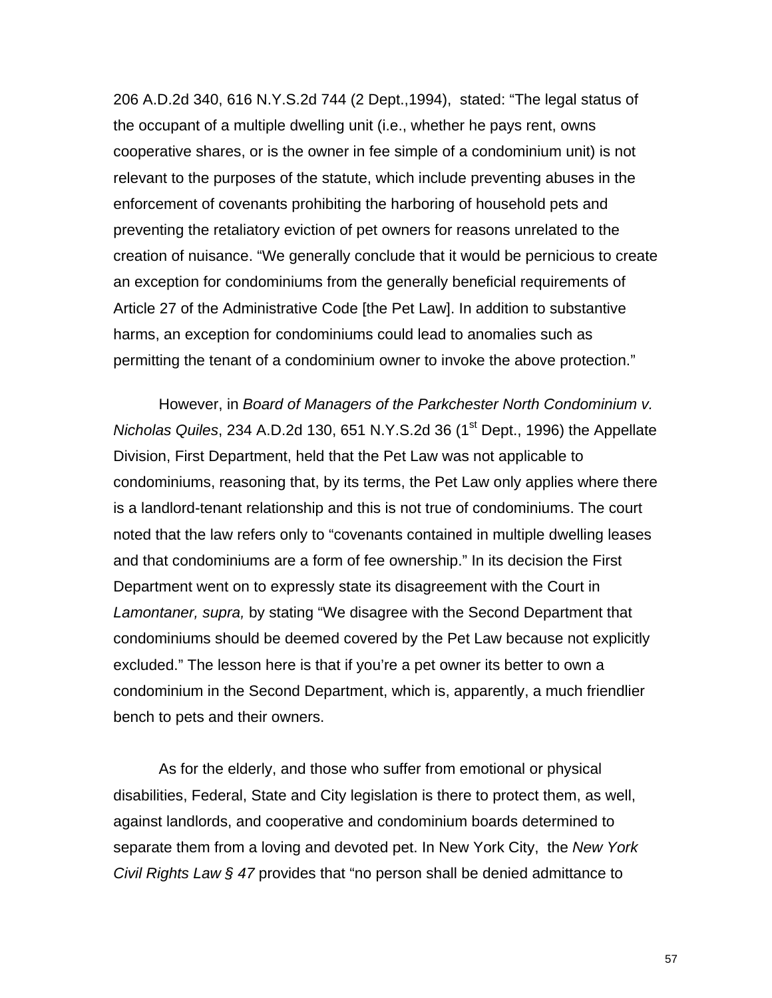206 A.D.2d 340, 616 N.Y.S.2d 744 (2 Dept.,1994), stated: "The legal status of the occupant of a multiple dwelling unit (i.e., whether he pays rent, owns cooperative shares, or is the owner in fee simple of a condominium unit) is not relevant to the purposes of the statute, which include preventing abuses in the enforcement of covenants prohibiting the harboring of household pets and preventing the retaliatory eviction of pet owners for reasons unrelated to the creation of nuisance. "We generally conclude that it would be pernicious to create an exception for condominiums from the generally beneficial requirements of Article 27 of the Administrative Code [the Pet Law]. In addition to substantive harms, an exception for condominiums could lead to anomalies such as permitting the tenant of a condominium owner to invoke the above protection."

 However, in *Board of Managers of the Parkchester North Condominium v. Nicholas Quiles, 234 A.D.2d 130, 651 N.Y.S.2d 36 (1<sup>st</sup> Dept., 1996) the Appellate* Division, First Department, held that the Pet Law was not applicable to condominiums, reasoning that, by its terms, the Pet Law only applies where there is a landlord-tenant relationship and this is not true of condominiums. The court noted that the law refers only to "covenants contained in multiple dwelling leases and that condominiums are a form of fee ownership." In its decision the First Department went on to expressly state its disagreement with the Court in *Lamontaner, supra,* by stating "We disagree with the Second Department that condominiums should be deemed covered by the Pet Law because not explicitly excluded." The lesson here is that if you're a pet owner its better to own a condominium in the Second Department, which is, apparently, a much friendlier bench to pets and their owners.

 As for the elderly, and those who suffer from emotional or physical disabilities, Federal, State and City legislation is there to protect them, as well, against landlords, and cooperative and condominium boards determined to separate them from a loving and devoted pet. In New York City, the *New York Civil Rights Law § 47* provides that "no person shall be denied admittance to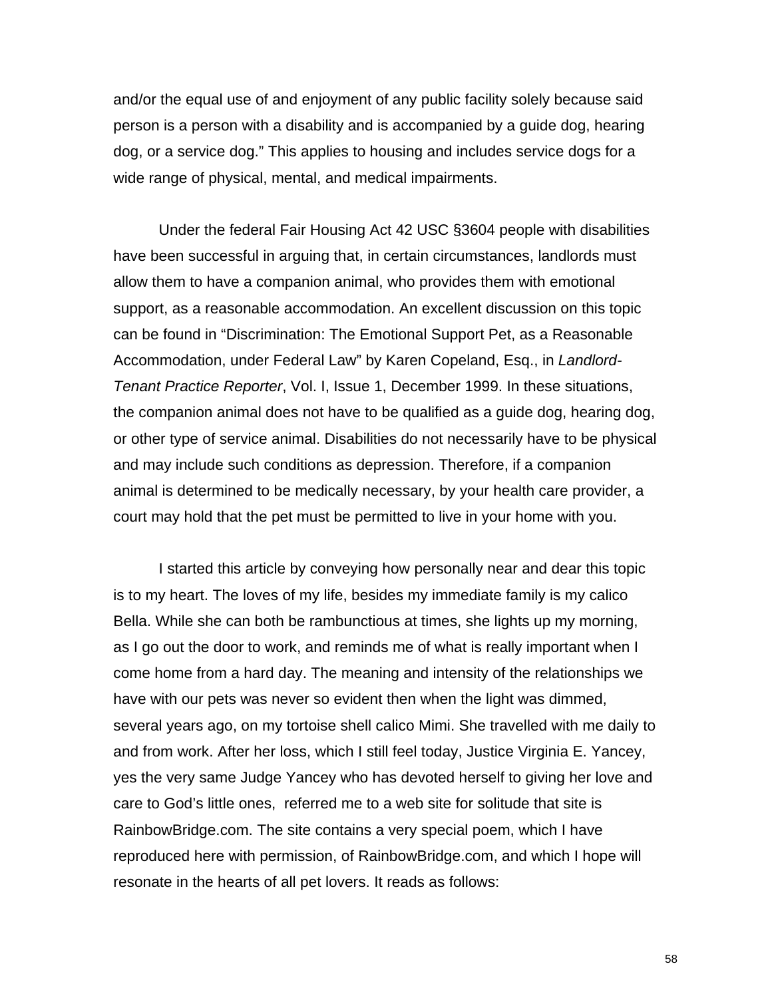and/or the equal use of and enjoyment of any public facility solely because said person is a person with a disability and is accompanied by a guide dog, hearing dog, or a service dog." This applies to housing and includes service dogs for a wide range of physical, mental, and medical impairments.

Under the federal Fair Housing Act 42 USC §3604 people with disabilities have been successful in arguing that, in certain circumstances, landlords must allow them to have a companion animal, who provides them with emotional support, as a reasonable accommodation. An excellent discussion on this topic can be found in "Discrimination: The Emotional Support Pet, as a Reasonable Accommodation, under Federal Law" by Karen Copeland, Esq., in *Landlord-Tenant Practice Reporter*, Vol. I, Issue 1, December 1999. In these situations, the companion animal does not have to be qualified as a guide dog, hearing dog, or other type of service animal. Disabilities do not necessarily have to be physical and may include such conditions as depression. Therefore, if a companion animal is determined to be medically necessary, by your health care provider, a court may hold that the pet must be permitted to live in your home with you.

I started this article by conveying how personally near and dear this topic is to my heart. The loves of my life, besides my immediate family is my calico Bella. While she can both be rambunctious at times, she lights up my morning, as I go out the door to work, and reminds me of what is really important when I come home from a hard day. The meaning and intensity of the relationships we have with our pets was never so evident then when the light was dimmed, several years ago, on my tortoise shell calico Mimi. She travelled with me daily to and from work. After her loss, which I still feel today, Justice Virginia E. Yancey, yes the very same Judge Yancey who has devoted herself to giving her love and care to God's little ones, referred me to a web site for solitude that site is RainbowBridge.com. The site contains a very special poem, which I have reproduced here with permission, of RainbowBridge.com, and which I hope will resonate in the hearts of all pet lovers. It reads as follows: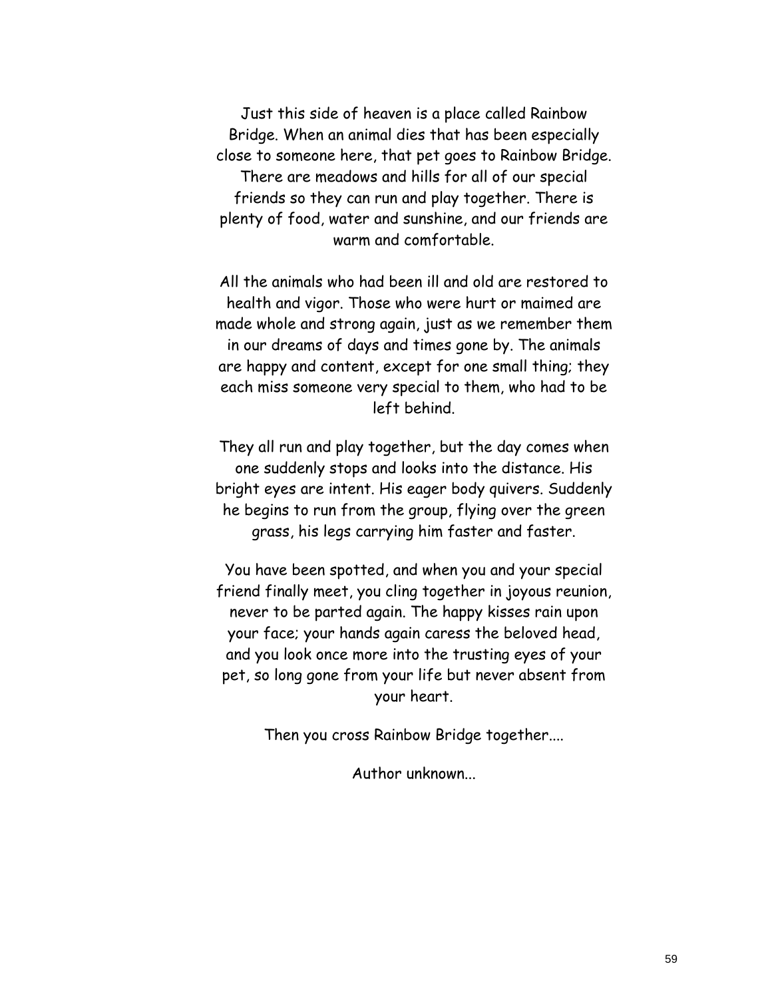Just this side of heaven is a place called Rainbow Bridge. When an animal dies that has been especially close to someone here, that pet goes to Rainbow Bridge. There are meadows and hills for all of our special friends so they can run and play together. There is plenty of food, water and sunshine, and our friends are warm and comfortable.

All the animals who had been ill and old are restored to health and vigor. Those who were hurt or maimed are made whole and strong again, just as we remember them in our dreams of days and times gone by. The animals are happy and content, except for one small thing; they each miss someone very special to them, who had to be left behind.

They all run and play together, but the day comes when one suddenly stops and looks into the distance. His bright eyes are intent. His eager body quivers. Suddenly he begins to run from the group, flying over the green grass, his legs carrying him faster and faster.

You have been spotted, and when you and your special friend finally meet, you cling together in joyous reunion, never to be parted again. The happy kisses rain upon your face; your hands again caress the beloved head, and you look once more into the trusting eyes of your pet, so long gone from your life but never absent from your heart.

Then you cross Rainbow Bridge together....

Author unknown...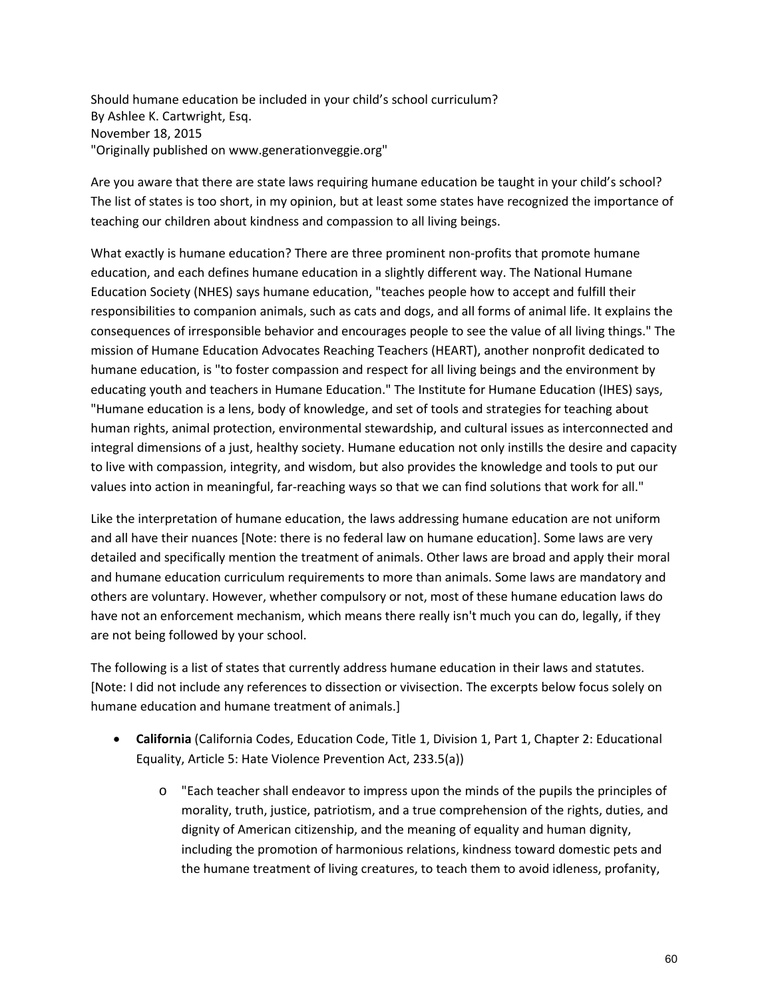Should humane education be included in your child's school curriculum? By Ashlee K. Cartwright, Esq. November 18, 2015 "Originally published on www.generationveggie.org"

Are you aware that there are state laws requiring humane education be taught in your child's school? The list of states is too short, in my opinion, but at least some states have recognized the importance of teaching our children about kindness and compassion to all living beings.

What exactly is humane education? There are three prominent non-profits that promote humane education, and each defines humane education in a slightly different way. The National Humane Education Society (NHES) says humane education, "teaches people how to accept and fulfill their responsibilities to companion animals, such as cats and dogs, and all forms of animal life. It explains the consequences of irresponsible behavior and encourages people to see the value of all living things." The mission of Humane Education Advocates Reaching Teachers (HEART), another nonprofit dedicated to humane education, is "to foster compassion and respect for all living beings and the environment by educating youth and teachers in Humane Education." The Institute for Humane Education (IHES) says, "Humane education is a lens, body of knowledge, and set of tools and strategies for teaching about human rights, animal protection, environmental stewardship, and cultural issues as interconnected and integral dimensions of a just, healthy society. Humane education not only instills the desire and capacity to live with compassion, integrity, and wisdom, but also provides the knowledge and tools to put our values into action in meaningful, far-reaching ways so that we can find solutions that work for all."

Like the interpretation of humane education, the laws addressing humane education are not uniform and all have their nuances [Note: there is no federal law on humane education]. Some laws are very detailed and specifically mention the treatment of animals. Other laws are broad and apply their moral and humane education curriculum requirements to more than animals. Some laws are mandatory and others are voluntary. However, whether compulsory or not, most of these humane education laws do have not an enforcement mechanism, which means there really isn't much you can do, legally, if they are not being followed by your school.

The following is a list of states that currently address humane education in their laws and statutes. [Note: I did not include any references to dissection or vivisection. The excerpts below focus solely on humane education and humane treatment of animals.]

- **California** (California Codes, Education Code, Title 1, Division 1, Part 1, Chapter 2: Educational Equality, Article 5: Hate Violence Prevention Act, 233.5(a))
	- o "Each teacher shall endeavor to impress upon the minds of the pupils the principles of morality, truth, justice, patriotism, and a true comprehension of the rights, duties, and dignity of American citizenship, and the meaning of equality and human dignity, including the promotion of harmonious relations, kindness toward domestic pets and the humane treatment of living creatures, to teach them to avoid idleness, profanity,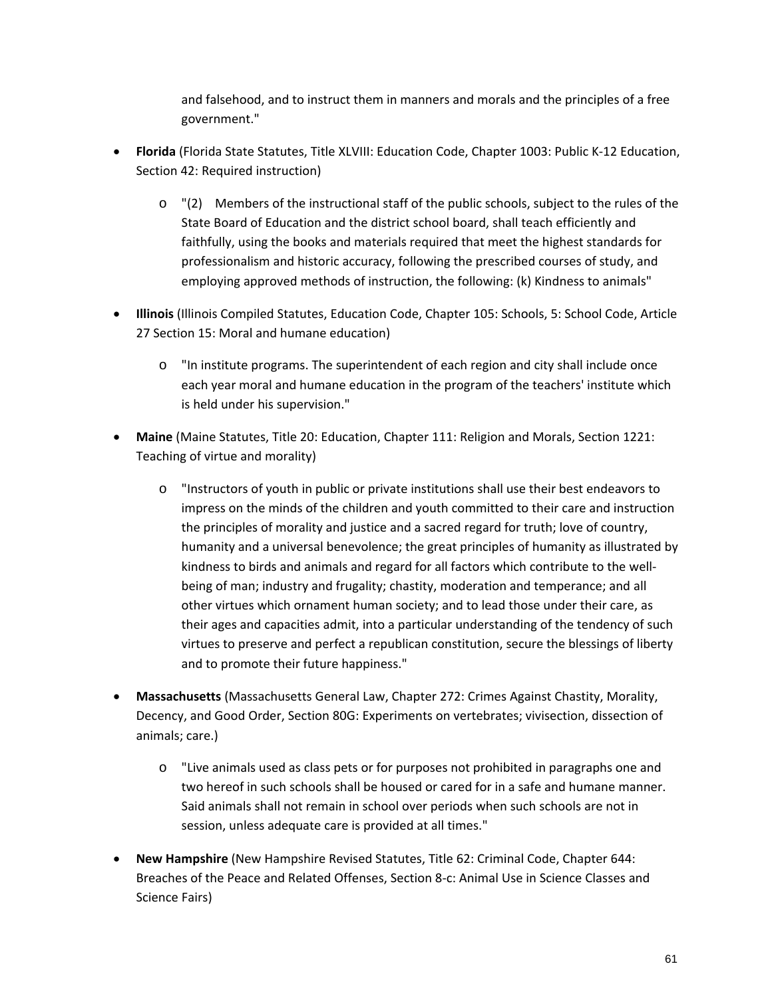and falsehood, and to instruct them in manners and morals and the principles of a free government."

- **Florida** (Florida State Statutes, Title XLVIII: Education Code, Chapter 1003: Public K‐12 Education, Section 42: Required instruction)
	- $\circ$  "(2) Members of the instructional staff of the public schools, subject to the rules of the State Board of Education and the district school board, shall teach efficiently and faithfully, using the books and materials required that meet the highest standards for professionalism and historic accuracy, following the prescribed courses of study, and employing approved methods of instruction, the following: (k) Kindness to animals"
- **Illinois** (Illinois Compiled Statutes, Education Code, Chapter 105: Schools, 5: School Code, Article 27 Section 15: Moral and humane education)
	- o "In institute programs. The superintendent of each region and city shall include once each year moral and humane education in the program of the teachers' institute which is held under his supervision."
- **Maine** (Maine Statutes, Title 20: Education, Chapter 111: Religion and Morals, Section 1221: Teaching of virtue and morality)
	- o "Instructors of youth in public or private institutions shall use their best endeavors to impress on the minds of the children and youth committed to their care and instruction the principles of morality and justice and a sacred regard for truth; love of country, humanity and a universal benevolence; the great principles of humanity as illustrated by kindness to birds and animals and regard for all factors which contribute to the well‐ being of man; industry and frugality; chastity, moderation and temperance; and all other virtues which ornament human society; and to lead those under their care, as their ages and capacities admit, into a particular understanding of the tendency of such virtues to preserve and perfect a republican constitution, secure the blessings of liberty and to promote their future happiness."
- **Massachusetts** (Massachusetts General Law, Chapter 272: Crimes Against Chastity, Morality, Decency, and Good Order, Section 80G: Experiments on vertebrates; vivisection, dissection of animals; care.)
	- o "Live animals used as class pets or for purposes not prohibited in paragraphs one and two hereof in such schools shall be housed or cared for in a safe and humane manner. Said animals shall not remain in school over periods when such schools are not in session, unless adequate care is provided at all times."
- **New Hampshire** (New Hampshire Revised Statutes, Title 62: Criminal Code, Chapter 644: Breaches of the Peace and Related Offenses, Section 8‐c: Animal Use in Science Classes and Science Fairs)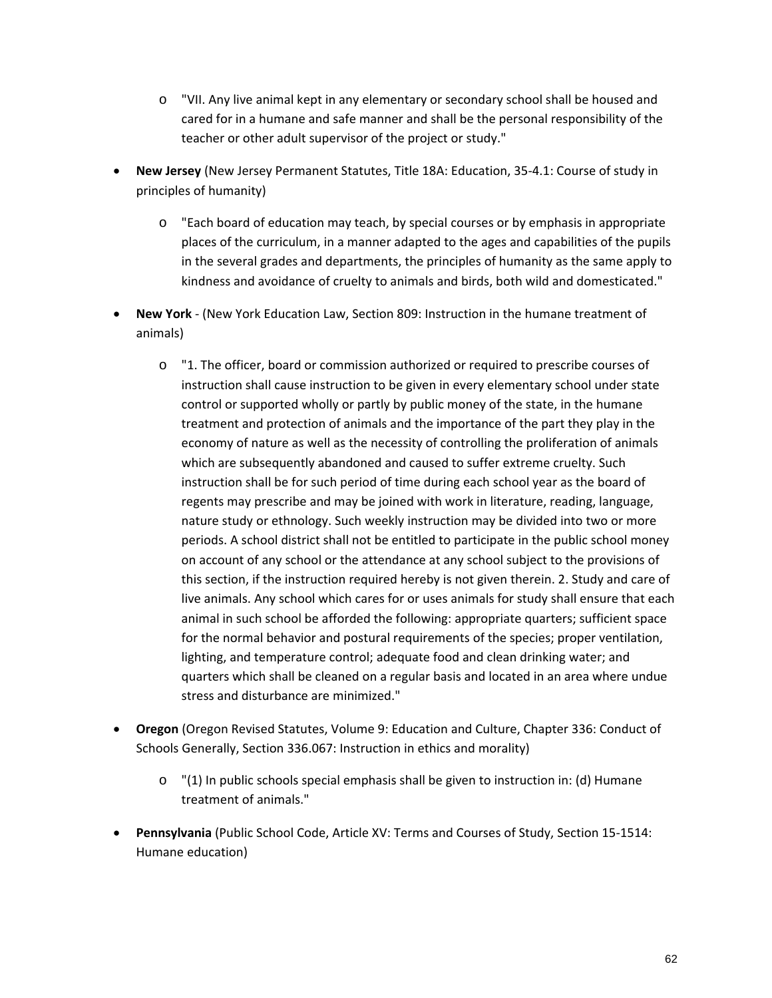- o "VII. Any live animal kept in any elementary or secondary school shall be housed and cared for in a humane and safe manner and shall be the personal responsibility of the teacher or other adult supervisor of the project or study."
- **New Jersey** (New Jersey Permanent Statutes, Title 18A: Education, 35‐4.1: Course of study in principles of humanity)
	- o "Each board of education may teach, by special courses or by emphasis in appropriate places of the curriculum, in a manner adapted to the ages and capabilities of the pupils in the several grades and departments, the principles of humanity as the same apply to kindness and avoidance of cruelty to animals and birds, both wild and domesticated."
- **New York** ‐ (New York Education Law, Section 809: Instruction in the humane treatment of animals)
	- o "1. The officer, board or commission authorized or required to prescribe courses of instruction shall cause instruction to be given in every elementary school under state control or supported wholly or partly by public money of the state, in the humane treatment and protection of animals and the importance of the part they play in the economy of nature as well as the necessity of controlling the proliferation of animals which are subsequently abandoned and caused to suffer extreme cruelty. Such instruction shall be for such period of time during each school year as the board of regents may prescribe and may be joined with work in literature, reading, language, nature study or ethnology. Such weekly instruction may be divided into two or more periods. A school district shall not be entitled to participate in the public school money on account of any school or the attendance at any school subject to the provisions of this section, if the instruction required hereby is not given therein. 2. Study and care of live animals. Any school which cares for or uses animals for study shall ensure that each animal in such school be afforded the following: appropriate quarters; sufficient space for the normal behavior and postural requirements of the species; proper ventilation, lighting, and temperature control; adequate food and clean drinking water; and quarters which shall be cleaned on a regular basis and located in an area where undue stress and disturbance are minimized."
- **Oregon** (Oregon Revised Statutes, Volume 9: Education and Culture, Chapter 336: Conduct of Schools Generally, Section 336.067: Instruction in ethics and morality)
	- $\circ$  "(1) In public schools special emphasis shall be given to instruction in: (d) Humane treatment of animals."
- **Pennsylvania** (Public School Code, Article XV: Terms and Courses of Study, Section 15‐1514: Humane education)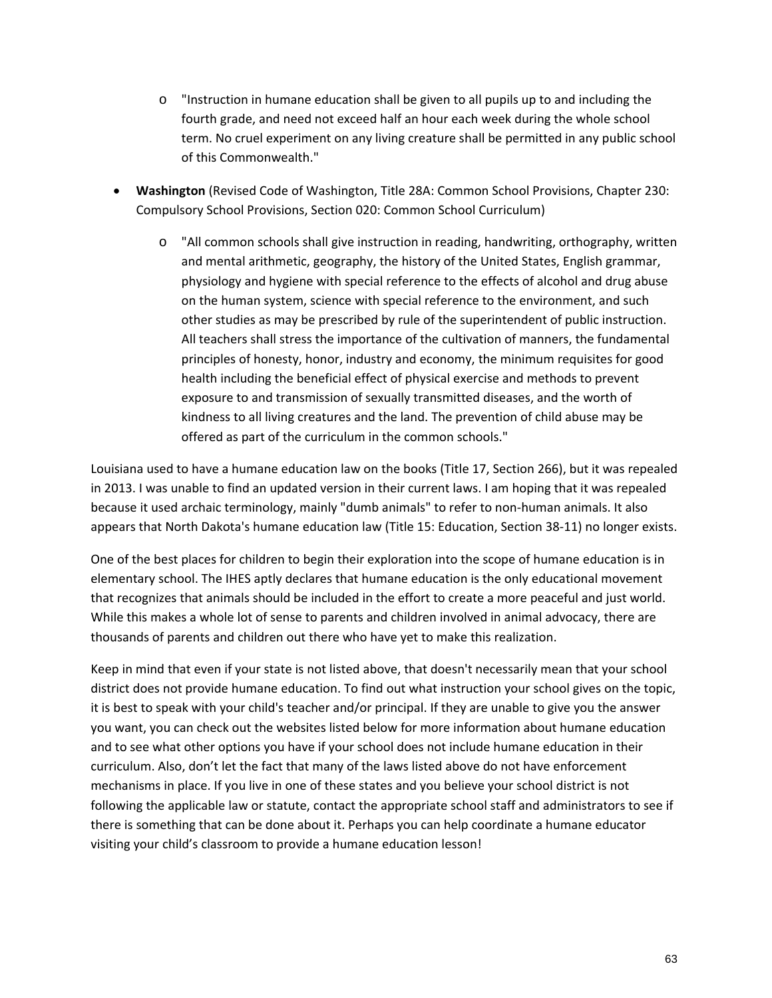- o "Instruction in humane education shall be given to all pupils up to and including the fourth grade, and need not exceed half an hour each week during the whole school term. No cruel experiment on any living creature shall be permitted in any public school of this Commonwealth."
- **Washington** (Revised Code of Washington, Title 28A: Common School Provisions, Chapter 230: Compulsory School Provisions, Section 020: Common School Curriculum)
	- o "All common schools shall give instruction in reading, handwriting, orthography, written and mental arithmetic, geography, the history of the United States, English grammar, physiology and hygiene with special reference to the effects of alcohol and drug abuse on the human system, science with special reference to the environment, and such other studies as may be prescribed by rule of the superintendent of public instruction. All teachers shall stress the importance of the cultivation of manners, the fundamental principles of honesty, honor, industry and economy, the minimum requisites for good health including the beneficial effect of physical exercise and methods to prevent exposure to and transmission of sexually transmitted diseases, and the worth of kindness to all living creatures and the land. The prevention of child abuse may be offered as part of the curriculum in the common schools."

Louisiana used to have a humane education law on the books (Title 17, Section 266), but it was repealed in 2013. I was unable to find an updated version in their current laws. I am hoping that it was repealed because it used archaic terminology, mainly "dumb animals" to refer to non-human animals. It also appears that North Dakota's humane education law (Title 15: Education, Section 38‐11) no longer exists.

One of the best places for children to begin their exploration into the scope of humane education is in elementary school. The IHES aptly declares that humane education is the only educational movement that recognizes that animals should be included in the effort to create a more peaceful and just world. While this makes a whole lot of sense to parents and children involved in animal advocacy, there are thousands of parents and children out there who have yet to make this realization.

Keep in mind that even if your state is not listed above, that doesn't necessarily mean that your school district does not provide humane education. To find out what instruction your school gives on the topic, it is best to speak with your child's teacher and/or principal. If they are unable to give you the answer you want, you can check out the websites listed below for more information about humane education and to see what other options you have if your school does not include humane education in their curriculum. Also, don't let the fact that many of the laws listed above do not have enforcement mechanisms in place. If you live in one of these states and you believe your school district is not following the applicable law or statute, contact the appropriate school staff and administrators to see if there is something that can be done about it. Perhaps you can help coordinate a humane educator visiting your child's classroom to provide a humane education lesson!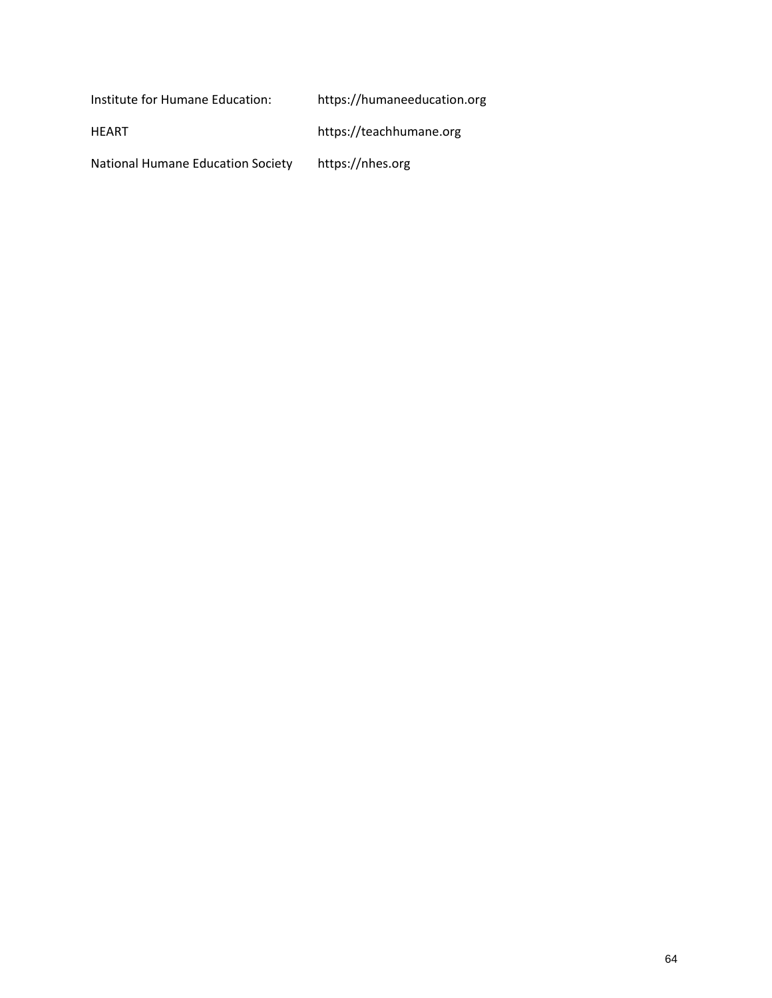Institute for Humane Education: https://humaneeducation.org

HEART https://teachhumane.org

National Humane Education Society https://nhes.org